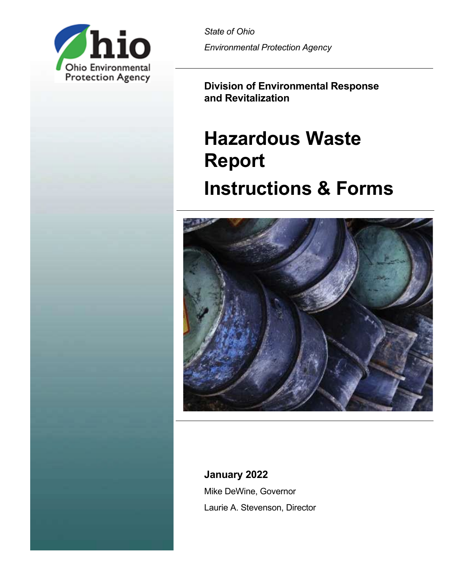

*State of Ohio Environmental Protection Agency*

**Division of Environmental Response and Revitalization** 

# **Hazardous Waste Report Instructions & Forms**



## **January 2022**

Mike DeWine, Governor Laurie A. Stevenson, Director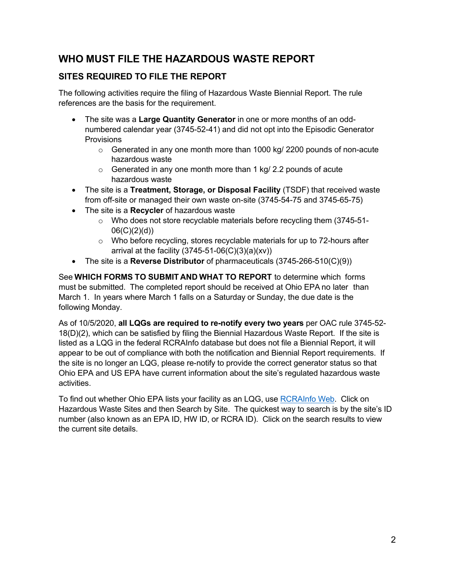## **WHO MUST FILE THE HAZARDOUS WASTE REPORT**

## **SITES REQUIRED TO FILE THE REPORT**

The following activities require the filing of Hazardous Waste Biennial Report. The rule references are the basis for the requirement.

- The site was a **Large Quantity Generator** in one or more months of an oddnumbered calendar year (3745-52-41) and did not opt into the Episodic Generator Provisions
	- $\circ$  Generated in any one month more than 1000 kg/ 2200 pounds of non-acute hazardous waste
	- o Generated in any one month more than 1 kg/ 2.2 pounds of acute hazardous waste
- The site is a **Treatment, Storage, or Disposal Facility** (TSDF) that received waste from off-site or managed their own waste on-site (3745-54-75 and 3745-65-75)
- The site is a **Recycler** of hazardous waste
	- $\circ$  Who does not store recyclable materials before recycling them (3745-51-06(C)(2)(d))
	- $\circ$  Who before recycling, stores recyclable materials for up to 72-hours after arrival at the facility  $(3745-51-06(C)(3)(a)(xv))$
- The site is a **Reverse Distributor** of pharmaceuticals (3745-266-510(C)(9))

See **WHICH FORMS TO SUBMIT AND WHAT TO REPORT** to determine which forms must be submitted. The completed report should be received at Ohio EPA no later than March 1. In years where March 1 falls on a Saturday or Sunday, the due date is the following Monday.

As of 10/5/2020, **all LQGs are required to re-notify every two years** per OAC rule 3745-52- 18(D)(2), which can be satisfied by filing the Biennial Hazardous Waste Report. If the site is listed as a LQG in the federal RCRAInfo database but does not file a Biennial Report, it will appear to be out of compliance with both the notification and Biennial Report requirements. If the site is no longer an LQG, please re-notify to provide the correct generator status so that Ohio EPA and US EPA have current information about the site's regulated hazardous waste activities.

To find out whether Ohio EPA lists your facility as an LQG, use [RCRAInfo Web.](https://rcrapublic.epa.gov/rcrainfoweb/action/main-menu/view) Click on Hazardous Waste Sites and then Search by Site. The quickest way to search is by the site's ID number (also known as an EPA ID, HW ID, or RCRA ID). Click on the search results to view the current site details.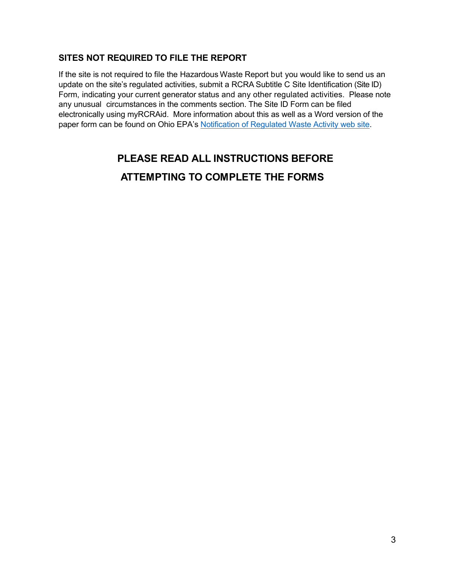## **SITES NOT REQUIRED TO FILE THE REPORT**

If the site is not required to file the Hazardous Waste Report but you would like to send us an update on the site's regulated activities, submit a RCRA Subtitle C Site Identification (Site ID) Form, indicating your current generator status and any other regulated activities. Please note any unusual circumstances in the comments section. The Site ID Form can be filed electronically using myRCRAid. More information about this as well as a Word version of the paper form can be found on Ohio EPA's [Notification of Regulated Waste Activity web site.](https://epa.ohio.gov/wps/portal/gov/epa/divisions-and-offices/environmental-response-revitalization/permits-and-notifications/notification-of-regulated-waste-activity)

## **PLEASE READ ALL INSTRUCTIONS BEFORE**

## **ATTEMPTING TO COMPLETE THE FORMS**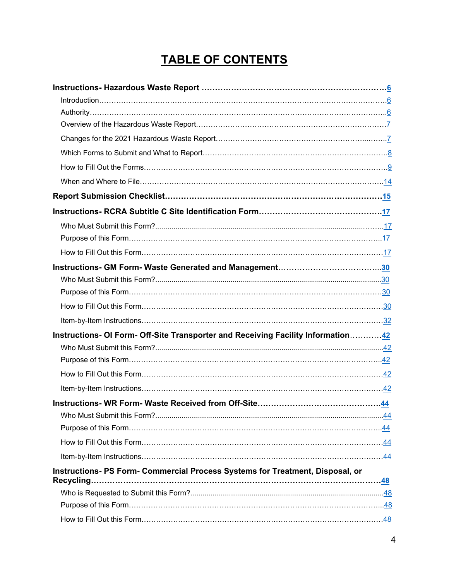## **TABLE OF CONTENTS**

| Instructions- OI Form- Off-Site Transporter and Receiving Facility Information42 |  |
|----------------------------------------------------------------------------------|--|
|                                                                                  |  |
|                                                                                  |  |
|                                                                                  |  |
|                                                                                  |  |
|                                                                                  |  |
|                                                                                  |  |
|                                                                                  |  |
|                                                                                  |  |
|                                                                                  |  |
| Instructions- PS Form- Commercial Process Systems for Treatment, Disposal, or    |  |
| Recycling.                                                                       |  |
|                                                                                  |  |
|                                                                                  |  |
|                                                                                  |  |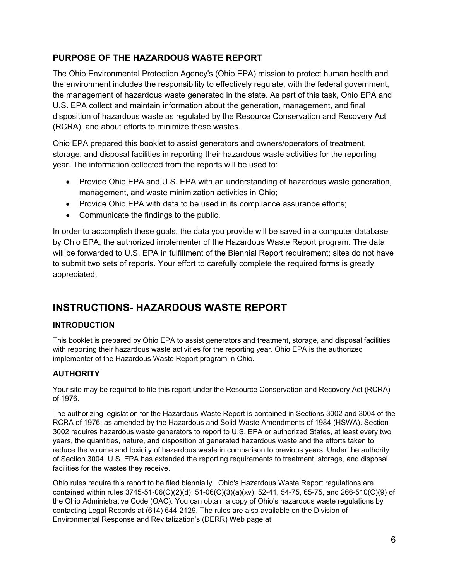## **PURPOSE OF THE HAZARDOUS WASTE REPORT**

The Ohio Environmental Protection Agency's (Ohio EPA) mission to protect human health and the environment includes the responsibility to effectively regulate, with the federal government, the management of hazardous waste generated in the state. As part of this task, Ohio EPA and U.S. EPA collect and maintain information about the generation, management, and final disposition of hazardous waste as regulated by the Resource Conservation and Recovery Act (RCRA), and about efforts to minimize these wastes.

Ohio EPA prepared this booklet to assist generators and owners/operators of treatment, storage, and disposal facilities in reporting their hazardous waste activities for the reporting year. The information collected from the reports will be used to:

- Provide Ohio EPA and U.S. EPA with an understanding of hazardous waste generation, management, and waste minimization activities in Ohio;
- Provide Ohio EPA with data to be used in its compliance assurance efforts;
- Communicate the findings to the public.

In order to accomplish these goals, the data you provide will be saved in a computer database by Ohio EPA, the authorized implementer of the Hazardous Waste Report program. The data will be forwarded to U.S. EPA in fulfillment of the Biennial Report requirement; sites do not have to submit two sets of reports. Your effort to carefully complete the required forms is greatly appreciated.

## <span id="page-5-0"></span>**INSTRUCTIONS- HAZARDOUS WASTE REPORT**

## <span id="page-5-1"></span>**INTRODUCTION**

This booklet is prepared by Ohio EPA to assist generators and treatment, storage, and disposal facilities with reporting their hazardous waste activities for the reporting year. Ohio EPA is the authorized implementer of the Hazardous Waste Report program in Ohio.

### <span id="page-5-2"></span>**AUTHORITY**

Your site may be required to file this report under the Resource Conservation and Recovery Act (RCRA) of 1976.

The authorizing legislation for the Hazardous Waste Report is contained in Sections 3002 and 3004 of the RCRA of 1976, as amended by the Hazardous and Solid Waste Amendments of 1984 (HSWA). Section 3002 requires hazardous waste generators to report to U.S. EPA or authorized States, at least every two years, the quantities, nature, and disposition of generated hazardous waste and the efforts taken to reduce the volume and toxicity of hazardous waste in comparison to previous years. Under the authority of Section 3004, U.S. EPA has extended the reporting requirements to treatment, storage, and disposal facilities for the wastes they receive.

Ohio rules require this report to be filed biennially. Ohio's Hazardous Waste Report regulations are contained within rules 3745-51-06(C)(2)(d); 51-06(C)(3)(a)(xv); 52-41, 54-75, 65-75, and 266-510(C)(9) of the Ohio Administrative Code (OAC). You can obtain a copy of Ohio's hazardous waste regulations by contacting Legal Records at (614) 644-2129. The rules are also available on the Division of Environmental Response and Revitalization's (DERR) Web page at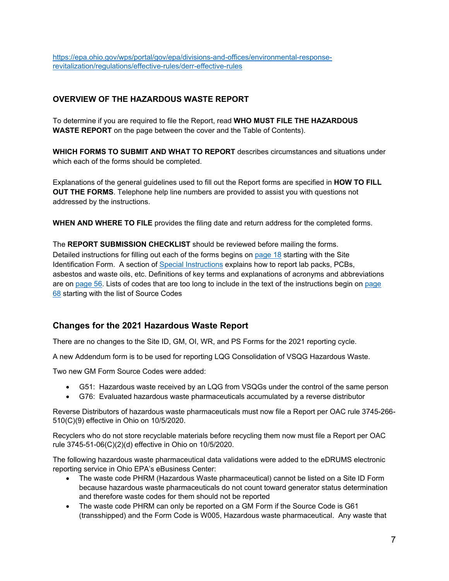[https://epa.ohio.gov/wps/portal/gov/epa/divisions-and-offices/environmental-response](https://epa.ohio.gov/wps/portal/gov/epa/divisions-and-offices/environmental-response-revitalization/regulations/effective-rules/derr-effective-rules)[revitalization/regulations/effective-rules/derr-effective-rules](https://epa.ohio.gov/wps/portal/gov/epa/divisions-and-offices/environmental-response-revitalization/regulations/effective-rules/derr-effective-rules)

## <span id="page-6-0"></span>**OVERVIEW OF THE HAZARDOUS WASTE REPORT**

To determine if you are required to file the Report, read **WHO MUST FILE THE HAZARDOUS WASTE REPORT** on the page between the cover and the Table of Contents).

**WHICH FORMS TO SUBMIT AND WHAT TO REPORT** describes circumstances and situations under which each of the forms should be completed.

Explanations of the general guidelines used to fill out the Report forms are specified in **HOW TO FILL OUT THE FORMS**. Telephone help line numbers are provided to assist you with questions not addressed by the instructions.

**WHEN AND WHERE TO FILE** provides the filing date and return address for the completed forms.

The **REPORT SUBMISSION CHECKLIST** should be reviewed before mailing the forms. Detailed instructions for filling out each of the forms begins o[n page 18](#page-17-0) starting with the Site Identification Form. A section of [Special Instructions](#page-52-0) explains how to report lab packs, PCBs, asbestos and waste oils, etc. Definitions of key terms and explanations of acronyms and abbreviations are on [page 56.](#page-55-0) Lists of codes that are too long to include in the text of the instructions begin on [page](#page-67-0)  [68](#page-67-0) starting with the list of Source Codes

## <span id="page-6-1"></span>**Changes for the 2021 Hazardous Waste Report**

There are no changes to the Site ID, GM, OI, WR, and PS Forms for the 2021 reporting cycle.

A new Addendum form is to be used for reporting LQG Consolidation of VSQG Hazardous Waste.

Two new GM Form Source Codes were added:

- G51: Hazardous waste received by an LQG from VSQGs under the control of the same person
- G76: Evaluated hazardous waste pharmaceuticals accumulated by a reverse distributor

Reverse Distributors of hazardous waste pharmaceuticals must now file a Report per OAC rule 3745-266- 510(C)(9) effective in Ohio on 10/5/2020.

Recyclers who do not store recyclable materials before recycling them now must file a Report per OAC rule 3745-51-06(C)(2)(d) effective in Ohio on 10/5/2020.

The following hazardous waste pharmaceutical data validations were added to the eDRUMS electronic reporting service in Ohio EPA's eBusiness Center:

- The waste code PHRM (Hazardous Waste pharmaceutical) cannot be listed on a Site ID Form because hazardous waste pharmaceuticals do not count toward generator status determination and therefore waste codes for them should not be reported
- The waste code PHRM can only be reported on a GM Form if the Source Code is G61 (transshipped) and the Form Code is W005, Hazardous waste pharmaceutical. Any waste that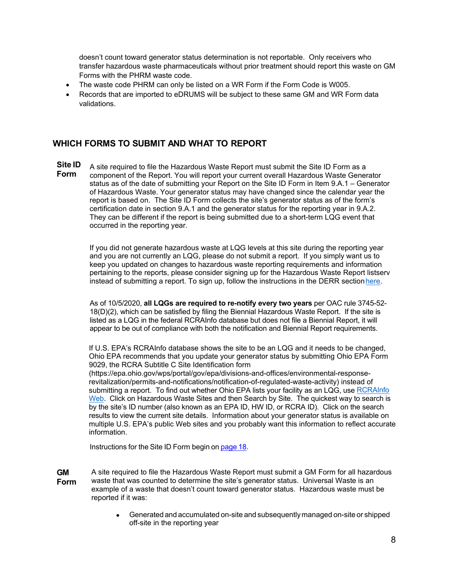doesn't count toward generator status determination is not reportable. Only receivers who transfer hazardous waste pharmaceuticals without prior treatment should report this waste on GM Forms with the PHRM waste code.

- The waste code PHRM can only be listed on a WR Form if the Form Code is W005.
- Records that are imported to eDRUMS will be subject to these same GM and WR Form data validations.

#### <span id="page-7-0"></span>**WHICH FORMS TO SUBMIT AND WHAT TO REPORT**

**Site ID Form** A site required to file the Hazardous Waste Report must submit the Site ID Form as a component of the Report. You will report your current overall Hazardous Waste Generator status as of the date of submitting your Report on the Site ID Form in Item 9.A.1 – Generator of Hazardous Waste. Your generator status may have changed since the calendar year the report is based on. The Site ID Form collects the site's generator status as of the form's certification date in section 9.A.1 and the generator status for the reporting year in 9.A.2. They can be different if the report is being submitted due to a short-term LQG event that occurred in the reporting year.

> If you did not generate hazardous waste at LQG levels at this site during the reporting year and you are not currently an LQG, please do not submit a report. If you simply want us to keep you updated on changes to hazardous waste reporting requirements and information pertaining to the reports, please consider signing up for the Hazardous Waste Report listserv instead of submitting a report. To sign up, follow the instructions in the DERR section here.

As of 10/5/2020, **all LQGs are required to re-notify every two years** per OAC rule 3745-52- 18(D)(2), which can be satisfied by filing the Biennial Hazardous Waste Report. If the site is listed as a LQG in the federal RCRAInfo database but does not file a Biennial Report, it will appear to be out of compliance with both the notification and Biennial Report requirements.

If U.S. EPA's RCRAInfo database shows the site to be an LQG and it needs to be changed, Ohio EPA recommends that you update your generator status by submitting Ohio EPA Form 9029, the RCRA Subtitle C Site Identification form

(https://epa.ohio.gov/wps/portal/gov/epa/divisions-and-offices/environmental-responserevitalization/permits-and-notifications/notification-of-regulated-waste-activity) instead of submitting a report. To find out whether Ohio EPA lists your facility as an LQG, use RCRAInfo [Web.](https://rcrapublic.epa.gov/rcrainfoweb/action/main-menu/view) Click on Hazardous Waste Sites and then Search by Site. The quickest way to search is by the site's ID number (also known as an EPA ID, HW ID, or RCRA ID). Click on the search results to view the current site details. Information about your generator status is available on multiple U.S. EPA's public Web sites and you probably want this information to reflect accurate information.

Instructions for the Site ID Form begin on [page](#page-17-0) 18.

- **GM Form** A site required to file the Hazardous Waste Report must submit a GM Form for all hazardous waste that was counted to determine the site's generator status. Universal Waste is an example of a waste that doesn't count toward generator status. Hazardous waste must be reported if it was:
	- Generated and accumulated on-site and subsequentlymanaged on-site or shipped off-site in the reporting year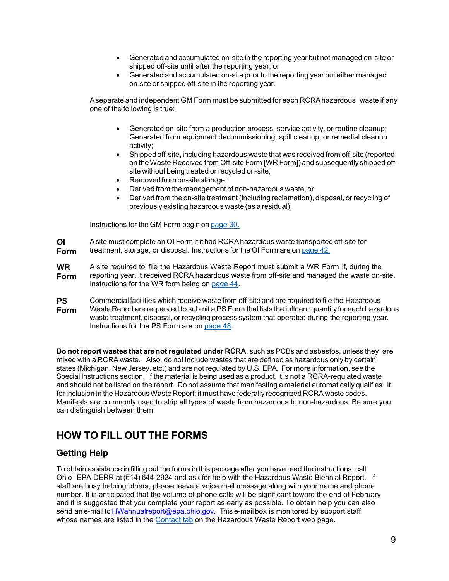- Generated and accumulated on-site in the reporting year but not managed on-site or shipped off-site until after the reporting year; or
- Generated and accumulated on-site prior to the reporting year but either managed on-site or shipped off-site in the reporting year.

Aseparate and independent GM Form must be submitted for each RCRAhazardous waste if any one of the following is true:

- Generated on-site from a production process, service activity, or routine cleanup; Generated from equipment decommissioning, spill cleanup, or remedial cleanup activity;
- Shipped off-site, including hazardous waste that was received from off-site (reported on theWaste Received from Off-site Form [WR Form]) and subsequently shipped offsite without being treated or recycled on-site;
- Removed from on-site storage:
- Derived from the management of non-hazardous waste; or
- Derived from the on-site treatment (including reclamation), disposal, or recycling of previously existing hazardous waste (as a residual).

Instructions for the GM Form begin on [page 30.](#page-29-0)

**OI Form** Asite must complete an OI Form if it had RCRAhazardous waste transported off-site for treatment, storage, or disposal. Instructions for the OI Form are on [page 42.](#page-41-0)

**WR Form** A site required to file the Hazardous Waste Report must submit a WR Form if, during the reporting year, it received RCRA hazardous waste from off-site and managed the waste on-site. Instructions for the WR form being on [page 44.](#page-43-0)

**PS** Commercial facilities which receive waste from off-site and are required to file the Hazardous

**Form** Waste Report are requested to submit a PS Form that lists the influent quantity for each hazardous waste treatment, disposal, or recycling process system that operated during the reporting year. Instructions for the PS Form are on [page 48.](#page-47-0)

**Do not report wastes that are not regulated under RCRA**, such as PCBs and asbestos, unless they are mixed with a RCRA waste. Also, do not include wastes that are defined as hazardous only by certain states (Michigan, New Jersey, etc.) and are not regulated by U.S. EPA. For more information, see the Special Instructions section. If the material is being used as a product, it is not a RCRA-regulated waste and should not be listed on the report. Do not assume that manifesting a material automatically qualifies it for inclusion in the Hazardous Waste Report; it must have federally recognized RCRA waste codes. Manifests are commonly used to ship all types of waste from hazardous to non-hazardous. Be sure you can distinguish between them.

## <span id="page-8-0"></span>**HOW TO FILL OUT THE FORMS**

### **Getting Help**

To obtain assistance in filling out the forms in this package after you have read the instructions, call Ohio EPA DERR at (614) 644-2924 and ask for help with the Hazardous Waste Biennial Report. If staff are busy helping others, please leave a voice mail message along with your name and phone number. It is anticipated that the volume of phone calls will be significant toward the end of February and it is suggested that you complete your report as early as possible. To obtain help you can also send an e-mail to **[HWannualreport@epa.ohio.gov.](mailto:HWannualreport@epa.ohio.gov)** This e-mail box is monitored by support staff whose names are listed in the [Contact tab](https://epa.ohio.gov/wps/portal/gov/epa/divisions-and-offices/environmental-response-revitalization/derr-programs/hazardous-waste) on the Hazardous Waste Report web page.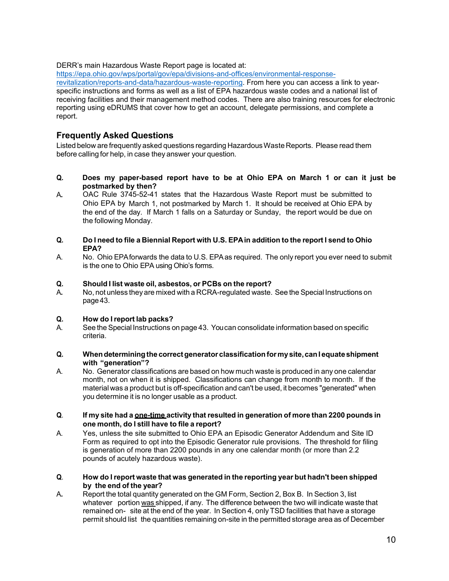#### DERR's main Hazardous Waste Report page is located at:

[https://epa.ohio.gov/wps/portal/gov/epa/divisions-and-offices/environmental-response](https://epa.ohio.gov/wps/portal/gov/epa/divisions-and-offices/environmental-response-revitalization/reports-and-data/hazardous-waste-reporting)[revitalization/reports-and-data/hazardous-waste-reporting.](https://epa.ohio.gov/wps/portal/gov/epa/divisions-and-offices/environmental-response-revitalization/reports-and-data/hazardous-waste-reporting) From here you can access a link to yearspecific instructions and forms as well as a list of EPA hazardous waste codes and a national list of receiving facilities and their management method codes. There are also training resources for electronic reporting using eDRUMS that cover how to get an account, delegate permissions, and complete a report.

### **Frequently Asked Questions**

Listed below are frequently asked questions regarding HazardousWasteReports. Please read them before calling for help, in case they answer your question.

- **Q. Does my paper-based report have to be at Ohio EPA on March 1 or can it just be postmarked by then?**
- A**.** OAC Rule 3745-52-41 states that the Hazardous Waste Report must be submitted to Ohio EPA by March 1, not postmarked by March 1. It should be received at Ohio EPA by the end of the day. If March 1 falls on a Saturday or Sunday, the report would be due on the following Monday.

#### Q. Do I need to file a Biennial Report with U.S. EPA in addition to the report I send to Ohio **EPA?**

A. No. Ohio EPAforwards the data to U.S. EPAas required. The only report you ever need to submit is the one to Ohio EPA using Ohio's forms.

#### **Q. Should I list waste oil, asbestos, or PCBs on the report?**

A**.** No, not unless they are mixed with a RCRA-regulated waste. See the Special Instructions on page43.

#### **Q. How do Ireport lab packs?**

- A. See the Special Instructions on page 43. You can consolidate information based on specific criteria.
- **Q. Whendeterminingthe correctgenerator classification formysite,canI equateshipment with "generation"?**
- A. No. Generator classifications are based on how much waste is produced in any one calendar month, not on when it is shipped. Classifications can change from month to month. If the material was a product but is off-specification and can't be used, it becomes "generated" when you determine it is no longer usable as a product.
- **Q**. **If my site had a one-time activity that resulted in generation of more than 2200 pounds in one month, do I still have to file a report?**
- A. Yes, unless the site submitted to Ohio EPA an Episodic Generator Addendum and Site ID Form as required to opt into the Episodic Generator rule provisions. The threshold for filing is generation of more than 2200 pounds in any one calendar month (or more than 2.2 pounds of acutely hazardous waste).
- **Q**. **How do Ireport waste that was generated in the reporting year but hadn't been shipped by the end of the year?**
- A**.** Report the total quantity generated on the GM Form, Section 2, Box B. In Section 3, list whatever portion was shipped, if any. The difference between the two will indicate waste that remained on- site at the end of the year. In Section 4, onlyTSD facilities that have a storage permit should list the quantities remaining on-site in the permitted storage area as of December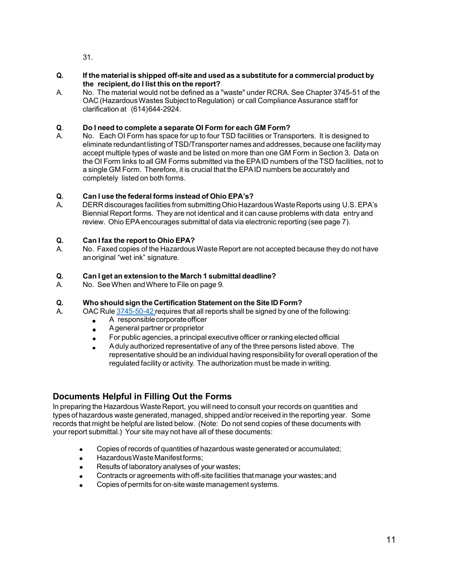31.

- **Q. If the material is shipped off-site and used as a substitute for a commercial product by the recipient, do I list this on the report?**
- A. No. The material would not be defined as a "waste" under RCRA. See Chapter 3745-51 of the OAC (Hazardous Wastes Subject to Regulation) or call Compliance Assurance staff for clarification at (614)644-2924.

#### **Q**. **Do I need to complete a separate OI Form for each GM Form?**

A. No. Each OI Form has space for up to four TSD facilities or Transporters. It is designed to eliminate redundant listing of TSD/Transporter names and addresses, because one facilitymay accept multiple types of waste and be listed on more than one GM Form in Section 3. Data on the OI Form links to all GM Forms submitted via the EPAID numbers of the TSD facilities, not to a single GM Form. Therefore, it is crucial that the EPAID numbers be accurately and completely listed on both forms.

## **Q. Can I use the federal forms instead of Ohio EPA's?**

DERR discourages facilities from submitting Ohio Hazardous Waste Reports using U.S. EPA's Biennial Report forms. They are not identical and it can cause problems with data entry and review. Ohio EPAencourages submittal of data via electronic reporting (see page 7).

#### **Q. Can I fax the report to Ohio EPA?**

A. No. Faxed copies of the HazardousWaste Report are not accepted because they do not have anoriginal "wet ink" signature.

#### **Q. Can I get an extension to the March 1 submittal deadline?**

A. No. SeeWhen andWhere to File on page 9.

## **Q. Who should sign the Certification Statement on the Site ID Form?**

- A**.** OAC Rule [3745-50-42](https://epa.ohio.gov/static/Portals/30/rules/HW%20Rules/oac_rules/50-42.pdf) requires that all reports shall be signed by one of the following:
	- A responsible corporate officer  $\bullet$
	- Ageneral partner or proprietor  $\bullet$
	- For public agencies, a principal executive officer or ranking elected official
	- Aduly authorized representative of any of the three persons listed above. The representative should be an individual having responsibility for overall operation of the regulated facility or activity. The authorization must be made in writing.

## **Documents Helpful in Filling Out the Forms**

In preparing the Hazardous Waste Report, you will need to consult your records on quantities and types of hazardous waste generated, managed, shipped and/or received in the reporting year. Some records that might be helpful are listed below. (Note: Do not send copies of these documents with your report submittal.) Your site may not have all of these documents:

- Copies of records of quantities of hazardous waste generated or accumulated;
- HazardousWasteManifestforms;  $\bullet$
- Results of laboratory analyses of your wastes;
- Contracts or agreements with off-site facilities that manage your wastes; and
- Copies of permits for on-site waste management systems.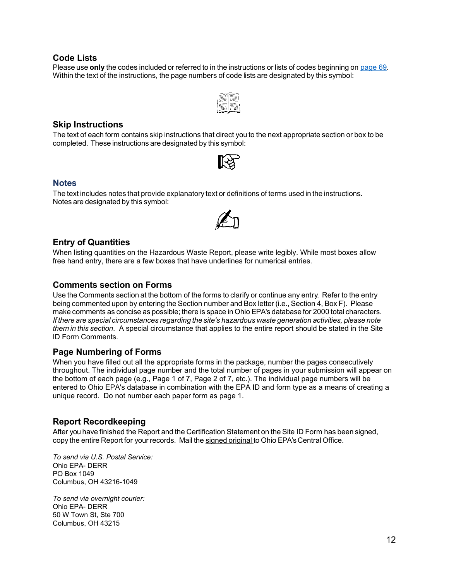#### **Code Lists**

Please use **only** the codes included or referred to in the instructions or lists of codes beginning on [page 69.](#page-67-0) Within the text of the instructions, the page numbers of code lists are designated by this symbol:



#### **Skip Instructions**

The text of each form contains skip instructions that direct you to the next appropriate section or box to be completed. These instructions are designated by this symbol:



#### **Notes**

The text includes notes that provide explanatory text or definitions of terms used in the instructions. Notes are designated by this symbol:



#### **Entry of Quantities**

When listing quantities on the Hazardous Waste Report, please write legibly. While most boxes allow free hand entry, there are a few boxes that have underlines for numerical entries.

#### **Comments section on Forms**

Use the Comments section at the bottom of the forms to clarify or continue any entry. Refer to the entry being commented upon by entering the Section number and Box letter (i.e., Section 4, Box F). Please make comments as concise as possible; there is space in Ohio EPA's database for 2000 total characters. *If there are special circumstances regarding the site's hazardous waste generation activities, please note them in this section*. A special circumstance that applies to the entire report should be stated in the Site ID Form Comments.

#### **Page Numbering of Forms**

When you have filled out all the appropriate forms in the package, number the pages consecutively throughout. The individual page number and the total number of pages in your submission will appear on the bottom of each page (e.g., Page 1 of 7, Page 2 of 7, etc.). The individual page numbers will be entered to Ohio EPA's database in combination with the EPA ID and form type as a means of creating a unique record. Do not number each paper form as page 1.

#### **Report Recordkeeping**

After you have finished the Report and the Certification Statement on the Site ID Form has been signed, copy the entire Report for your records. Mail the signed original to Ohio EPA's Central Office.

*To send via U.S. Postal Service:*  Ohio EPA- DERR PO Box 1049 Columbus, OH 43216-1049

*To send via overnight courier:*  Ohio EPA- DERR 50 W Town St, Ste 700 Columbus, OH 43215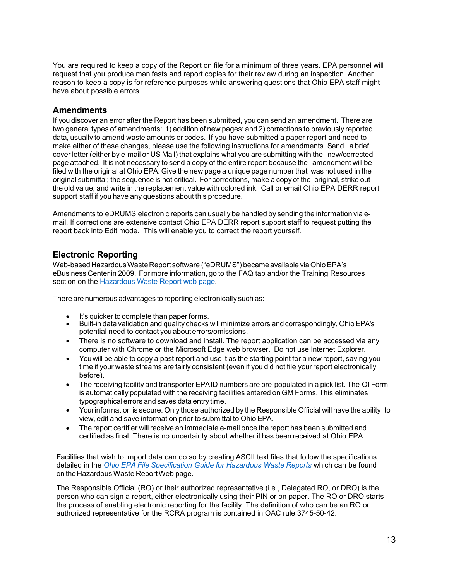You are required to keep a copy of the Report on file for a minimum of three years. EPA personnel will request that you produce manifests and report copies for their review during an inspection. Another reason to keep a copy is for reference purposes while answering questions that Ohio EPA staff might have about possible errors.

#### **Amendments**

If you discover an error after the Report has been submitted, you can send an amendment. There are two general types of amendments: 1) addition of new pages; and 2) corrections to previously reported data, usually to amend waste amounts or codes. If you have submitted a paper report and need to make either of these changes, please use the following instructions for amendments. Send a brief cover letter (either by e-mail or US Mail) that explains what you are submitting with the new/corrected page attached. It is not necessary to send a copy of the entire report because the amendment will be filed with the original at Ohio EPA. Give the new page a unique page number that was not used in the original submittal; the sequence is not critical. For corrections, make a copy of the original, strike out the old value, and write in the replacement value with colored ink. Call or email Ohio EPA DERR report support staff if you have any questions about this procedure.

Amendments to eDRUMS electronic reports can usually be handled by sending the information via email. If corrections are extensive contact Ohio EPA DERR report support staff to request putting the report back into Edit mode. This will enable you to correct the report yourself.

#### **Electronic Reporting**

Web-based Hazardous Waste Report software ("eDRUMS") became available via Ohio EPA's eBusiness Center in 2009. For more information, go to the FAQ tab and/or the Training Resources section on the [Hazardous Waste Report web page.](https://epa.ohio.gov/wps/portal/gov/epa/divisions-and-offices/environmental-response-revitalization/reports-and-data/hazardous-waste-reporting)

There are numerous advantages to reporting electronically such as:

- 
- It's quicker to complete than paper forms.<br>Built-in data validation and quality checks will minimize errors and correspondingly, Ohio EPA's potential need to contact youabouterrors/omissions.
- There is no software to download and install. The report application can be accessed via any computer with Chrome or the Microsoft Edge web browser. Do not use Internet Explorer.
- Youwill be able to copy a past report and use it as the starting point for a new report, saving you time if your waste streams are fairly consistent (even if you did not file your report electronically before).
- The receiving facility and transporter EPAID numbers are pre-populated in a pick list. The OI Form is automatically populated with the receiving facilities entered on GM Forms. This eliminates typographical errors and saves data entry time.
- Yourinformation is secure. Only those authorized by the Responsible Official will have the ability to view, edit and save information prior to submittal to Ohio EPA.
- The report certifier will receive an immediate e-mail once the report has been submitted and certified as final. There is no uncertainty about whether it has been received at Ohio EPA.

Facilities that wish to import data can do so by creating ASCII text files that follow the specifications detailed in the *Ohio EPA File [Specification](https://epa.ohio.gov/static/Portals/32/annualreport/Ohio%20File%20Specification%20Guide.pdf) Guide for Hazardous Waste Reports* which can be found on the Hazardous Waste Report Web page.

The Responsible Official (RO) or their authorized representative (i.e., Delegated RO, or DRO) is the person who can sign a report, either electronically using their PIN or on paper. The RO or DRO starts the process of enabling electronic reporting for the facility. The definition of who can be an RO or authorized representative for the RCRA program is contained in OAC rule [3745-50-42.](http://www.epa.ohio.gov/portals/32/oac_rules/50-42.pdf)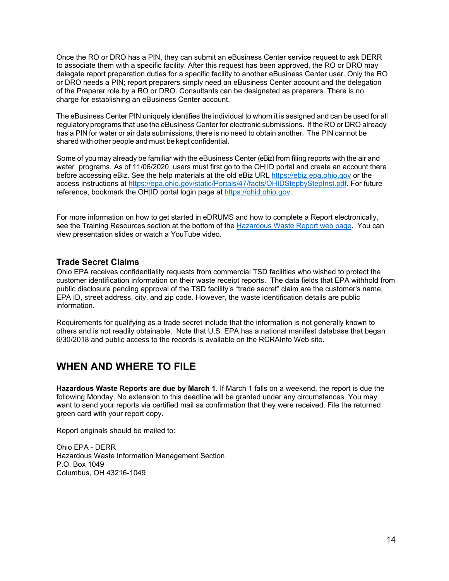Once the RO or DRO has a PIN, they can submit an eBusiness Center service request to ask DERR to associate them with a specific facility. After this request has been approved, the RO or DRO may delegate report preparation duties for a specific facility to another eBusiness Center user. Only the RO or DRO needs a PIN; report preparers simply need an eBusiness Center account and the delegation of the Preparer role by a RO or DRO. Consultants can be designated as preparers. There is no charge for establishing an eBusiness Center account.

The eBusiness Center PIN uniquely identifies the individual to whom it is assigned and can be used for all regulatory programs that use the eBusiness Center for electronic submissions. If the RO or DRO already has a PIN for water or air data submissions, there is no need to obtain another. The PIN cannot be shared with other people and must be kept confidential.

Some of you may already be familiar with the eBusiness Center (eBiz) from filing reports with the air and water programs. As of 11/06/2020, users must first go to the OHIID portal and create an account there before accessing eBiz. See the help materials at the old eBiz URL [https://ebiz.epa.ohio.gov](https://ebiz.epa.ohio.gov/) or the access instructions at [https://epa.ohio.gov/static/Portals/47/facts/OHIDStepbyStepInst.pdf.](https://epa.ohio.gov/static/Portals/47/facts/OHIDStepbyStepInst.pdf) For future reference, bookmark the OH|ID portal login page at [https://ohid.ohio.gov.](https://ohid.ohio.gov/)

For more information on how to get started in eDRUMS and how to complete a Report electronically, see the Training Resources section at the bottom of the [Hazardous Waste Report web page.](https://epa.ohio.gov/wps/portal/gov/epa/divisions-and-offices/environmental-response-revitalization/reports-and-data/hazardous-waste-reporting) You can view presentation slides or watch a YouTube video.

#### **Trade Secret Claims**

Ohio EPA receives confidentiality requests from commercial TSD facilities who wished to protect the customer identification information on their waste receipt reports. The data fields that EPA withhold from public disclosure pending approval of the TSD facility's "trade secret" claim are the customer's name, EPA ID, street address, city, and zip code. However, the waste identification details are public information.

Requirements for qualifying as a trade secret include that the information is not generally known to others and is not readily obtainable. Note that U.S. EPA has a national manifest database that began 6/30/2018 and public access to the records is available on the RCRAInfo Web site.

## <span id="page-13-0"></span>**WHEN AND WHERE TO FILE**

**Hazardous Waste Reports are due by March 1.** If March 1 falls on a weekend, the report is due the following Monday. No extension to this deadline will be granted under any circumstances. You may want to send your reports via certified mail as confirmation that they were received. File the returned green card with your report copy.

Report originals should be mailed to:

Ohio EPA - DERR Hazardous Waste Information Management Section P.O. Box 1049 Columbus, OH 43216-1049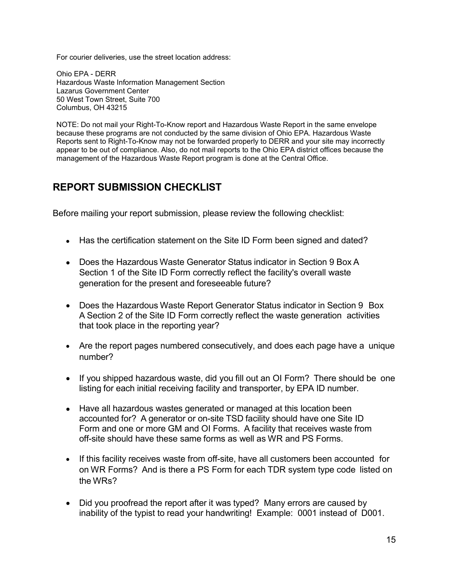For courier deliveries, use the street location address:

Ohio EPA - DERR Hazardous Waste Information Management Section Lazarus Government Center 50 West Town Street, Suite 700 Columbus, OH 43215

NOTE: Do not mail your Right-To-Know report and Hazardous Waste Report in the same envelope because these programs are not conducted by the same division of Ohio EPA. Hazardous Waste Reports sent to Right-To-Know may not be forwarded properly to DERR and your site may incorrectly appear to be out of compliance. Also, do not mail reports to the Ohio EPA district offices because the management of the Hazardous Waste Report program is done at the Central Office.

## <span id="page-14-0"></span>**REPORT SUBMISSION CHECKLIST**

Before mailing your report submission, please review the following checklist:

- Has the certification statement on the Site ID Form been signed and dated?
- Does the Hazardous Waste Generator Status indicator in Section 9 Box A Section 1 of the Site ID Form correctly reflect the facility's overall waste generation for the present and foreseeable future?
- Does the Hazardous Waste Report Generator Status indicator in Section 9 Box A Section 2 of the Site ID Form correctly reflect the waste generation activities that took place in the reporting year?
- Are the report pages numbered consecutively, and does each page have a unique number?
- If you shipped hazardous waste, did you fill out an OI Form? There should be one listing for each initial receiving facility and transporter, by EPA ID number.
- Have all hazardous wastes generated or managed at this location been accounted for? A generator or on-site TSD facility should have one Site ID Form and one or more GM and OI Forms. A facility that receives waste from off-site should have these same forms as well as WR and PS Forms.
- If this facility receives waste from off-site, have all customers been accounted for on WR Forms? And is there a PS Form for each TDR system type code listed on the WRs?
- Did you proofread the report after it was typed? Many errors are caused by inability of the typist to read your handwriting! Example: 0001 instead of D001.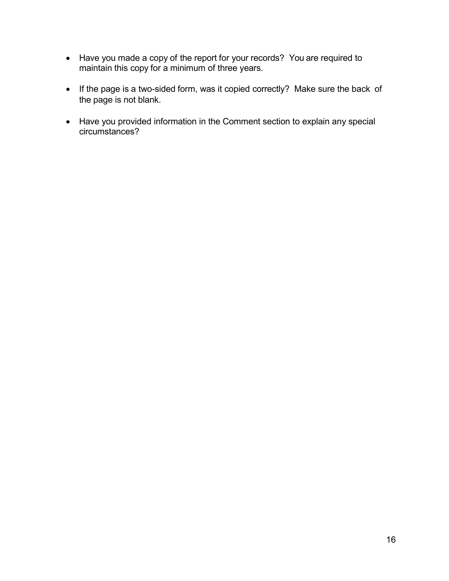- Have you made a copy of the report for your records? You are required to maintain this copy for a minimum of three years.
- If the page is a two-sided form, was it copied correctly? Make sure the back of the page is not blank.
- Have you provided information in the Comment section to explain any special circumstances?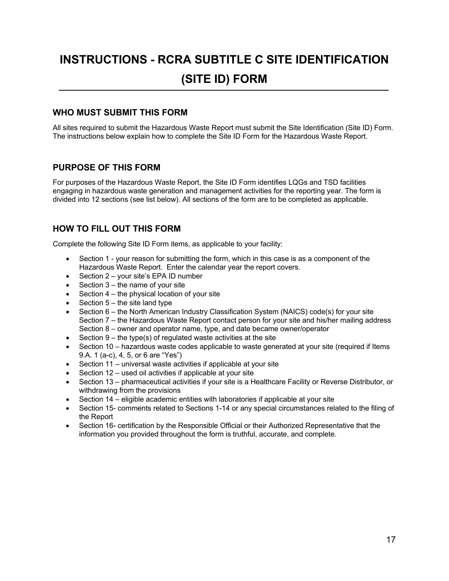## <span id="page-16-0"></span>**INSTRUCTIONS - RCRA SUBTITLE C SITE IDENTIFICATION (SITE ID) FORM**

## **WHO MUST SUBMIT THIS FORM**

All sites required to submit the Hazardous Waste Report must submit the Site Identification (Site ID) Form. The instructions below explain how to complete the Site ID Form for the Hazardous Waste Report.

## **PURPOSE OF THIS FORM**

For purposes of the Hazardous Waste Report, the Site ID Form identifies LQGs and TSD facilities engaging in hazardous waste generation and management activities for the reporting year. The form is divided into 12 sections (see list below). All sections of the form are to be completed as applicable.

## **HOW TO FILL OUT THIS FORM**

Complete the following Site ID Form items, as applicable to your facility:

- Section 1 your reason for submitting the form, which in this case is as a component of the Hazardous Waste Report. Enter the calendar year the report covers.
- Section 2 your site's EPA ID number
- Section  $3$  the name of your site
- Section  $4$  the physical location of your site
- Section  $5$  the site land type
- Section 6 the North American Industry Classification System (NAICS) code(s) for your site Section 7 – the Hazardous Waste Report contact person for your site and his/her mailing address Section 8 – owner and operator name, type, and date became owner/operator
- Section  $9$  the type(s) of regulated waste activities at the site
- Section 10 hazardous waste codes applicable to waste generated at your site (required if Items 9.A. 1 (a-c), 4, 5, or 6 are "Yes")
- Section 11 universal waste activities if applicable at your site
- Section 12 used oil activities if applicable at your site
- Section 13 pharmaceutical activities if your site is a Healthcare Facility or Reverse Distributor, or withdrawing from the provisions
- Section 14 eligible academic entities with laboratories if applicable at your site
- Section 15- comments related to Sections 1-14 or any special circumstances related to the filing of the Report
- Section 16- certification by the Responsible Official or their Authorized Representative that the information you provided throughout the form is truthful, accurate, and complete.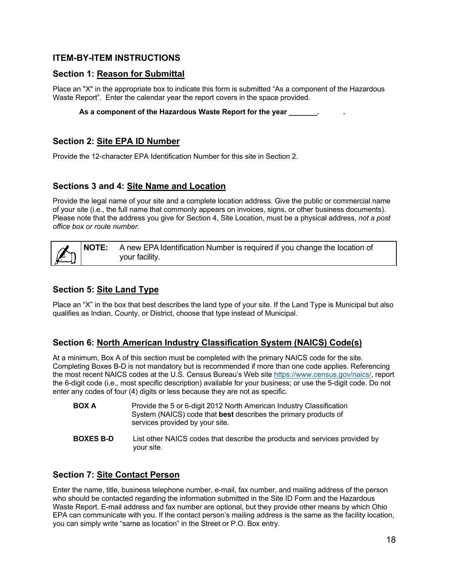## <span id="page-17-0"></span>**ITEM-BY-ITEM INSTRUCTIONS**

#### **Section 1: Reason for Submittal**

Place an "X" in the appropriate box to indicate this form is submitted "As a component of the Hazardous Waste Report". Enter the calendar year the report covers in the space provided.

#### **As a component of the Hazardous Waste Report for the year \_\_\_\_\_\_\_. .**

#### **Section 2: Site EPA ID Number**

Provide the 12-character EPA Identification Number for this site in Section 2.

#### **Sections 3 and 4: Site Name and Location**

Provide the legal name of your site and a complete location address. Give the public or commercial name of your site (i.e., the full name that commonly appears on invoices, signs, or other business documents). Please note that the address you give for Section 4, Site Location, must be a physical address, *not a post office box or route number.*



### **Section 5: Site Land Type**

Place an "X" in the box that best describes the land type of your site. If the Land Type is Municipal but also qualifies as Indian, County, or District, choose that type instead of Municipal.

### **Section 6: North American Industry Classification System (NAICS) Code(s)**

At a minimum, Box A of this section must be completed with the primary NAICS code for the site. Completing Boxes B-D is not mandatory but is recommended if more than one code applies. Referencing the most recent NAICS codes at the U.S. Census Bureau's Web site [https://www.census.gov/naics/,](https://www.census.gov/naics/) report the 6-digit code (i.e., most specific description) available for your business; or use the 5-digit code. Do not enter any codes of four (4) digits or less because they are not as specific.

| <b>BOX A</b> | Provide the 5 or 6-digit 2012 North American Industry Classification   |
|--------------|------------------------------------------------------------------------|
|              | System (NAICS) code that <b>best</b> describes the primary products of |
|              | services provided by your site.                                        |

**BOXES B-D** List other NAICS codes that describe the products and services provided by your site.

### **Section 7: Site Contact Person**

Enter the name, title, business telephone number, e-mail, fax number, and mailing address of the person who should be contacted regarding the information submitted in the Site ID Form and the Hazardous Waste Report. E-mail address and fax number are optional, but they provide other means by which Ohio EPA can communicate with you. If the contact person's mailing address is the same as the facility location, you can simply write "same as location" in the Street or P.O. Box entry.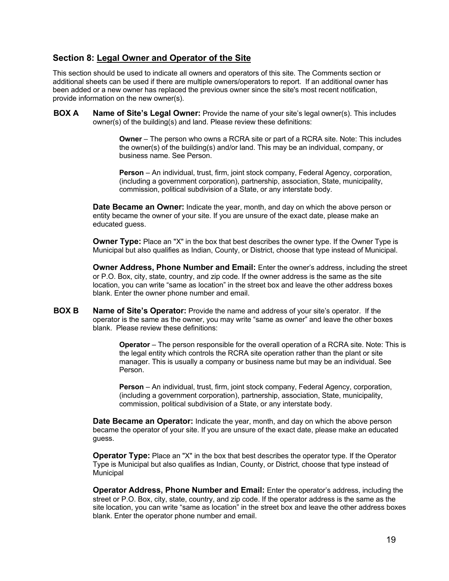#### **Section 8: Legal Owner and Operator of the Site**

This section should be used to indicate all owners and operators of this site. The Comments section or additional sheets can be used if there are multiple owners/operators to report. If an additional owner has been added or a new owner has replaced the previous owner since the site's most recent notification, provide information on the new owner(s).

**BOX A Name of Site's Legal Owner:** Provide the name of your site's legal owner(s). This includes owner(s) of the building(s) and land. Please review these definitions:

> **Owner** – The person who owns a RCRA site or part of a RCRA site. Note: This includes the owner(s) of the building(s) and/or land. This may be an individual, company, or business name. See Person.

**Person** – An individual, trust, firm, joint stock company, Federal Agency, corporation, (including a government corporation), partnership, association, State, municipality, commission, political subdivision of a State, or any interstate body.

**Date Became an Owner:** Indicate the year, month, and day on which the above person or entity became the owner of your site. If you are unsure of the exact date, please make an educated guess.

**Owner Type:** Place an "X" in the box that best describes the owner type. If the Owner Type is Municipal but also qualifies as Indian, County, or District, choose that type instead of Municipal.

**Owner Address, Phone Number and Email:** Enter the owner's address, including the street or P.O. Box, city, state, country, and zip code. If the owner address is the same as the site location, you can write "same as location" in the street box and leave the other address boxes blank. Enter the owner phone number and email.

**BOX B Name of Site's Operator:** Provide the name and address of your site's operator. If the operator is the same as the owner, you may write "same as owner" and leave the other boxes blank. Please review these definitions:

> **Operator** – The person responsible for the overall operation of a RCRA site. Note: This is the legal entity which controls the RCRA site operation rather than the plant or site manager. This is usually a company or business name but may be an individual. See Person.

**Person** – An individual, trust, firm, joint stock company, Federal Agency, corporation, (including a government corporation), partnership, association, State, municipality, commission, political subdivision of a State, or any interstate body.

**Date Became an Operator:** Indicate the year, month, and day on which the above person became the operator of your site. If you are unsure of the exact date, please make an educated guess.

**Operator Type:** Place an "X" in the box that best describes the operator type. If the Operator Type is Municipal but also qualifies as Indian, County, or District, choose that type instead of Municipal

**Operator Address, Phone Number and Email:** Enter the operator's address, including the street or P.O. Box, city, state, country, and zip code. If the operator address is the same as the site location, you can write "same as location" in the street box and leave the other address boxes blank. Enter the operator phone number and email.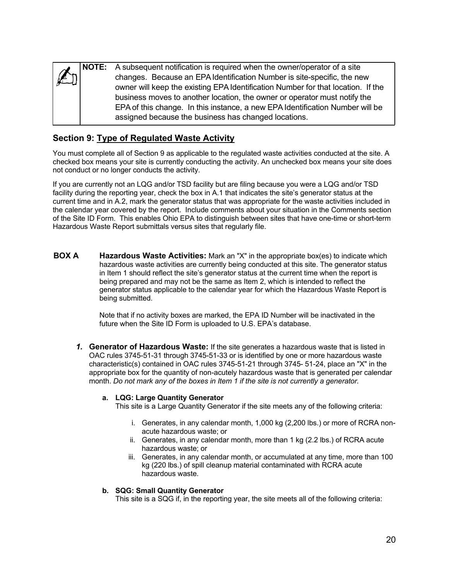|                  | <b>NOTE:</b> A subsequent notification is required when the owner/operator of a site |
|------------------|--------------------------------------------------------------------------------------|
| $\mathbb{R}^{2}$ | changes. Because an EPA Identification Number is site-specific, the new              |
|                  | owner will keep the existing EPA Identification Number for that location. If the     |
|                  | business moves to another location, the owner or operator must notify the            |
|                  | EPA of this change. In this instance, a new EPA Identification Number will be        |
|                  | assigned because the business has changed locations.                                 |
|                  |                                                                                      |

## **Section 9: Type of Regulated Waste Activity**

You must complete all of Section 9 as applicable to the regulated waste activities conducted at the site. A checked box means your site is currently conducting the activity. An unchecked box means your site does not conduct or no longer conducts the activity.

If you are currently not an LQG and/or TSD facility but are filing because you were a LQG and/or TSD facility during the reporting year, check the box in A.1 that indicates the site's generator status at the current time and in A.2, mark the generator status that was appropriate for the waste activities included in the calendar year covered by the report. Include comments about your situation in the Comments section of the Site ID Form. This enables Ohio EPA to distinguish between sites that have one-time or short-term Hazardous Waste Report submittals versus sites that regularly file.

**BOX A Hazardous Waste Activities:** Mark an "X" in the appropriate box(es) to indicate which hazardous waste activities are currently being conducted at this site. The generator status in Item 1 should reflect the site's generator status at the current time when the report is being prepared and may not be the same as Item 2, which is intended to reflect the generator status applicable to the calendar year for which the Hazardous Waste Report is being submitted.

> Note that if no activity boxes are marked, the EPA ID Number will be inactivated in the future when the Site ID Form is uploaded to U.S. EPA's database.

*1.* **Generator of Hazardous Waste:** If the site generates a hazardous waste that is listed in OAC rules 3745-51-31 through 3745-51-33 or is identified by one or more hazardous waste characteristic(s) contained in OAC rules 3745-51-21 through 3745- 51-24, place an "X" in the appropriate box for the quantity of non-acutely hazardous waste that is generated per calendar month. *Do not mark any of the boxes in Item 1 if the site is not currently a generator.*

#### **a. LQG: Large Quantity Generator**

This site is a Large Quantity Generator if the site meets any of the following criteria:

- i. Generates, in any calendar month, 1,000 kg (2,200 lbs.) or more of RCRA nonacute hazardous waste; or
- ii. Generates, in any calendar month, more than 1 kg (2.2 lbs.) of RCRA acute hazardous waste; or
- iii. Generates, in any calendar month, or accumulated at any time, more than 100 kg (220 lbs.) of spill cleanup material contaminated with RCRA acute hazardous waste.

#### **b. SQG: Small Quantity Generator**

This site is a SQG if, in the reporting year, the site meets all of the following criteria: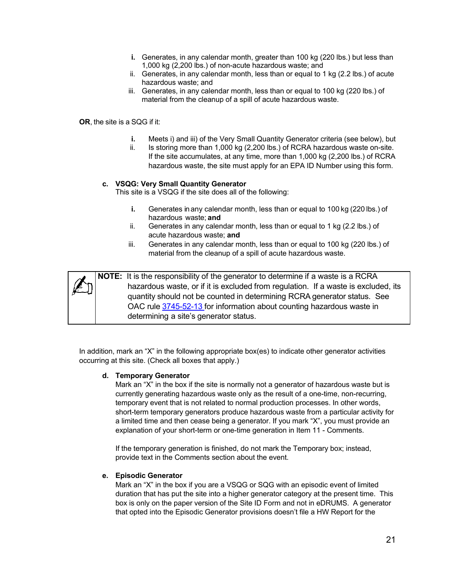- **i.** Generates, in any calendar month, greater than 100 kg (220 lbs.) but less than 1,000 kg (2,200 lbs.) of non-acute hazardous waste; and
- ii. Generates, in any calendar month, less than or equal to 1 kg (2.2 lbs.) of acute hazardous waste; and
- iii. Generates, in any calendar month, less than or equal to 100 kg (220 lbs.) of material from the cleanup of a spill of acute hazardous waste.

**OR**, the site is a SQG if it:

- **i.** Meets i) and iii) of the Very Small Quantity Generator criteria (see below), but
- ii. Is storing more than 1,000 kg (2,200 lbs.) of RCRA hazardous waste on-site. If the site accumulates, at any time, more than 1,000 kg (2,200 lbs.) of RCRA hazardous waste, the site must apply for an EPA ID Number using this form.

#### **c. VSQG: Very Small Quantity Generator**

This site is a VSQG if the site does all of the following:

- **i.** Generates in any calendar month, less than or equal to 100 kg (220 lbs.) of hazardous waste; **and**
- ii. Generates in any calendar month, less than or equal to 1 kg (2.2 lbs.) of acute hazardous waste; **and**
- iii. Generates in any calendar month, less than or equal to 100 kg (220 lbs.) of material from the cleanup of a spill of acute hazardous waste.

| Í<br>ľ<br>b | Ń |
|-------------|---|
|             |   |

**NOTE:** It is the responsibility of the generator to determine if a waste is a RCRA hazardous waste, or if it is excluded from regulation. If a waste is excluded, its quantity should not be counted in determining RCRA generator status. See OAC rule [3745-52-13](https://epa.ohio.gov/static/Portals/30/rules/HW%20Rules/oac_rules/52-13.pdf) for information about counting hazardous waste in determining a site's generator status.

In addition, mark an "X" in the following appropriate box(es) to indicate other generator activities occurring at this site. (Check all boxes that apply.)

#### **d. Temporary Generator**

Mark an "X" in the box if the site is normally not a generator of hazardous waste but is currently generating hazardous waste only as the result of a one-time, non-recurring, temporary event that is not related to normal production processes. In other words, short-term temporary generators produce hazardous waste from a particular activity for a limited time and then cease being a generator. If you mark "X", you must provide an explanation of your short-term or one-time generation in Item 11 - Comments.

If the temporary generation is finished, do not mark the Temporary box; instead, provide text in the Comments section about the event.

#### **e. Episodic Generator**

Mark an "X" in the box if you are a VSQG or SQG with an episodic event of limited duration that has put the site into a higher generator category at the present time. This box is only on the paper version of the Site ID Form and not in eDRUMS. A generator that opted into the Episodic Generator provisions doesn't file a HW Report for the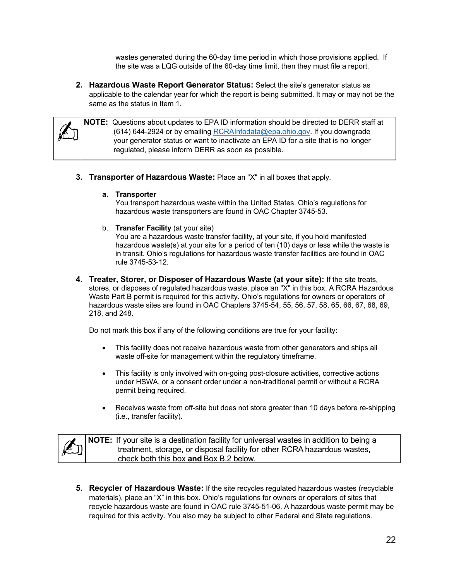wastes generated during the 60-day time period in which those provisions applied. If the site was a LQG outside of the 60-day time limit, then they must file a report.

**2. Hazardous Waste Report Generator Status:** Select the site's generator status as applicable to the calendar year for which the report is being submitted. It may or may not be the same as the status in Item 1.



**NOTE:** Questions about updates to EPA ID information should be directed to DERR staff at (614) 644-2924 or by emailing [RCRAInfodata@epa.ohio.gov.](mailto:RCRAInfodata@epa.ohio.gov) If you downgrade your generator status or want to inactivate an EPA ID for a site that is no longer regulated, please inform DERR as soon as possible.

**3. Transporter of Hazardous Waste:** Place an "X" in all boxes that apply.

#### **a. Transporter**

You transport hazardous waste within the United States. Ohio's regulations for hazardous waste transporters are found in OAC Chapter 3745-53.

b. **Transfer Facility** (at your site)

You are a hazardous waste transfer facility, at your site, if you hold manifested hazardous waste(s) at your site for a period of ten (10) days or less while the waste is in transit. Ohio's regulations for hazardous waste transfer facilities are found in OAC rule 3745-53-12.

**4. Treater, Storer, or Disposer of Hazardous Waste (at your site):** If the site treats, stores, or disposes of regulated hazardous waste, place an "X" in this box. A RCRA Hazardous Waste Part B permit is required for this activity. Ohio's regulations for owners or operators of hazardous waste sites are found in OAC Chapters 3745-54, 55, 56, 57, 58, 65, 66, 67, 68, 69, 218, and 248.

Do not mark this box if any of the following conditions are true for your facility:

- This facility does not receive hazardous waste from other generators and ships all waste off-site for management within the regulatory timeframe.
- This facility is only involved with on-going post-closure activities, corrective actions under HSWA, or a consent order under a non-traditional permit or without a RCRA permit being required.
- Receives waste from off-site but does not store greater than 10 days before re-shipping (i.e., transfer facility).

|                   | <b>NOTE:</b> If your site is a destination facility for universal wastes in addition to being a |
|-------------------|-------------------------------------------------------------------------------------------------|
| $ \mathcal{L}_0 $ | treatment, storage, or disposal facility for other RCRA hazardous wastes,                       |
|                   | check both this box and Box B.2 below.                                                          |

**5. Recycler of Hazardous Waste:** If the site recycles regulated hazardous wastes (recyclable materials), place an "X" in this box. Ohio's regulations for owners or operators of sites that recycle hazardous waste are found in OAC rule 3745-51-06. A hazardous waste permit may be required for this activity. You also may be subject to other Federal and State regulations.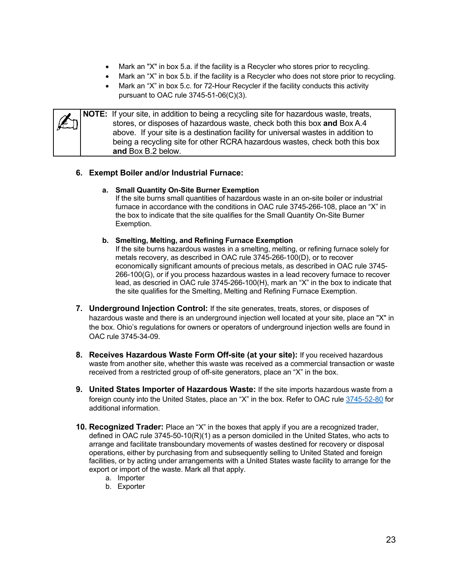- Mark an "X" in box 5.a. if the facility is a Recycler who stores prior to recycling.
- Mark an "X" in box 5.b. if the facility is a Recycler who does not store prior to recycling.
- Mark an "X" in box 5.c. for 72-Hour Recycler if the facility conducts this activity pursuant to OAC rule 3745-51-06(C)(3).

**NOTE:** If your site, in addition to being a recycling site for hazardous waste, treats, stores, or disposes of hazardous waste, check both this box **and** Box A.4 above. If your site is a destination facility for universal wastes in addition to being a recycling site for other RCRA hazardous wastes, check both this box **and** Box B.2 below.

#### **6. Exempt Boiler and/or Industrial Furnace:**

#### **a. Small Quantity On-Site Burner Exemption**

If the site burns small quantities of hazardous waste in an on-site boiler or industrial furnace in accordance with the conditions in OAC rule 3745-266-108, place an "X" in the box to indicate that the site qualifies for the Small Quantity On-Site Burner Exemption.

#### **b. Smelting, Melting, and Refining Furnace Exemption**

If the site burns hazardous wastes in a smelting, melting, or refining furnace solely for metals recovery, as described in OAC rule 3745-266-100(D), or to recover economically significant amounts of precious metals, as described in OAC rule 3745- 266-100(G), or if you process hazardous wastes in a lead recovery furnace to recover lead, as descried in OAC rule 3745-266-100(H), mark an "X" in the box to indicate that the site qualifies for the Smelting, Melting and Refining Furnace Exemption.

- **7. Underground Injection Control:** If the site generates, treats, stores, or disposes of hazardous waste and there is an underground injection well located at your site, place an "X" in the box. Ohio's regulations for owners or operators of underground injection wells are found in OAC rule 3745-34-09.
- **8. Receives Hazardous Waste Form Off-site (at your site):** If you received hazardous waste from another site, whether this waste was received as a commercial transaction or waste received from a restricted group of off-site generators, place an "X" in the box.
- **9. United States Importer of Hazardous Waste:** If the site imports hazardous waste from a foreign county into the United States, place an "X" in the box. Refer to OAC rule [3745-52-80](https://epa.ohio.gov/static/Portals/30/rules/HW%20Rules/oac_rules/52-80.pdf) for additional information.
- **10. Recognized Trader:** Place an "X" in the boxes that apply if you are a recognized trader, defined in OAC rule 3745-50-10(R)(1) as a person domiciled in the United States, who acts to arrange and facilitate transboundary movements of wastes destined for recovery or disposal operations, either by purchasing from and subsequently selling to United Stated and foreign facilities, or by acting under arrangements with a United States waste facility to arrange for the export or import of the waste. Mark all that apply.
	- a. Importer
	- b. Exporter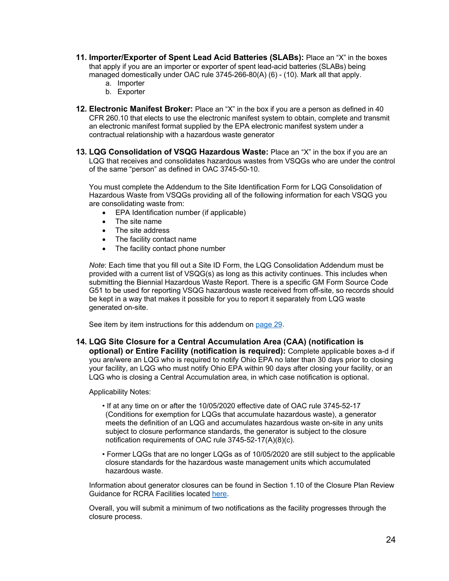- **11. Importer/Exporter of Spent Lead Acid Batteries (SLABs):** Place an "X" in the boxes that apply if you are an importer or exporter of spent lead-acid batteries (SLABs) being managed domestically under OAC rule 3745-266-80(A) (6) - (10). Mark all that apply.
	- a. Importer
	- b. Exporter
- **12. Electronic Manifest Broker:** Place an "X" in the box if you are a person as defined in 40 CFR 260.10 that elects to use the electronic manifest system to obtain, complete and transmit an electronic manifest format supplied by the EPA electronic manifest system under a contractual relationship with a hazardous waste generator
- **13. LQG Consolidation of VSQG Hazardous Waste:** Place an "X" in the box if you are an LQG that receives and consolidates hazardous wastes from VSQGs who are under the control of the same "person" as defined in OAC 3745-50-10.

You must complete the Addendum to the Site Identification Form for LQG Consolidation of Hazardous Waste from VSQGs providing all of the following information for each VSQG you are consolidating waste from:

- EPA Identification number (if applicable)
- The site name
- The site address
- The facility contact name
- The facility contact phone number

*Note*: Each time that you fill out a Site ID Form, the LQG Consolidation Addendum must be provided with a current list of VSQG(s) as long as this activity continues. This includes when submitting the Biennial Hazardous Waste Report. There is a specific GM Form Source Code G51 to be used for reporting VSQG hazardous waste received from off-site, so records should be kept in a way that makes it possible for you to report it separately from LQG waste generated on-site.

See item by item instructions for this addendum on [page 29.](#page-28-0)

#### **14. LQG Site Closure for a Central Accumulation Area (CAA) (notification is**

**optional) or Entire Facility (notification is required):** Complete applicable boxes a-d if you are/were an LQG who is required to notify Ohio EPA no later than 30 days prior to closing your facility, an LQG who must notify Ohio EPA within 90 days after closing your facility, or an LQG who is closing a Central Accumulation area, in which case notification is optional.

Applicability Notes:

- If at any time on or after the 10/05/2020 effective date of OAC rule 3745-52-17 (Conditions for exemption for LQGs that accumulate hazardous waste), a generator meets the definition of an LQG and accumulates hazardous waste on-site in any units subject to closure performance standards, the generator is subject to the closure notification requirements of OAC rule 3745-52-17(A)(8)(c).
- Former LQGs that are no longer LQGs as of 10/05/2020 are still subject to the applicable closure standards for the hazardous waste management units which accumulated hazardous waste.

Information about generator closures can be found in Section 1.10 of the Closure Plan Review Guidance for RCRA Facilities located [here.](https://epa.ohio.gov/static/Portals/30/RCRA/docs/Closure+Plan+Review+Guidance.pdf)

Overall, you will submit a minimum of two notifications as the facility progresses through the closure process.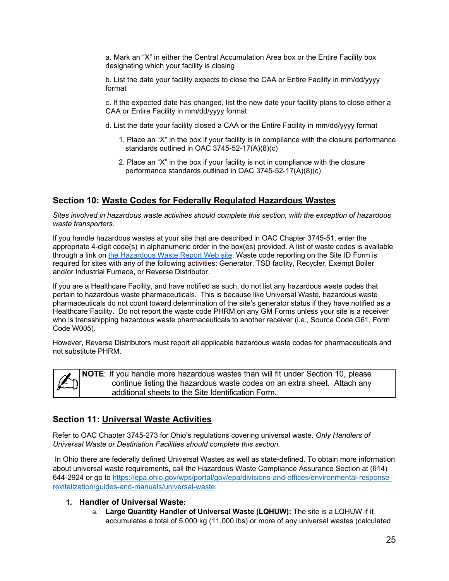a. Mark an "X" in either the Central Accumulation Area box or the Entire Facility box designating which your facility is closing

b. List the date your facility expects to close the CAA or Entire Facility in mm/dd/yyyy format

c. If the expected date has changed, list the new date your facility plans to close either a CAA or Entire Facility in mm/dd/yyyy format

- d. List the date your facility closed a CAA or the Entire Facility in mm/dd/yyyy format
	- 1. Place an "X" in the box if your facility is in compliance with the closure performance standards outlined in OAC 3745-52-17(A)(8)(c)
	- 2. Place an "X" in the box if your facility is not in compliance with the closure performance standards outlined in OAC 3745-52-17(A)(8)(c)

### **Section 10: Waste Codes for Federally Regulated Hazardous Wastes**

*Sites involved in hazardous waste activities should complete this section, with the exception of hazardous waste transporters.*

If you handle hazardous wastes at your site that are described in OAC Chapter 3745-51, enter the appropriate 4-digit code(s) in alphanumeric order in the box(es) provided. A list of waste codes is available through a link on [the Hazardous Waste Report Web site.](https://epa.ohio.gov/wps/portal/gov/epa/divisions-and-offices/environmental-response-revitalization/reports-and-data/hazardous-waste-reporting) Waste code reporting on the Site ID Form is required for sites with any of the following activities: Generator, TSD facility, Recycler, Exempt Boiler and/or Industrial Furnace, or Reverse Distributor.

If you are a Healthcare Facility, and have notified as such, do not list any hazardous waste codes that pertain to hazardous waste pharmaceuticals. This is because like Universal Waste, hazardous waste pharmaceuticals do not count toward determination of the site's generator status if they have notified as a Healthcare Facility. Do not report the waste code PHRM on any GM Forms unless your site is a receiver who is transshipping hazardous waste pharmaceuticals to another receiver (i.e., Source Code G61, Form Code W005).

However, Reverse Distributors must report all applicable hazardous waste codes for pharmaceuticals and not substitute PHRM.

**NOTE**: If you handle more hazardous wastes than will fit under Section 10, please continue listing the hazardous waste codes on an extra sheet. Attach any additional sheets to the Site Identification Form.

### **Section 11: Universal Waste Activities**

Refer to OAC Chapter 3745-273 for Ohio's regulations covering universal waste. *Only Handlers of Universal Waste or Destination Facilities should complete this section.*

In Ohio there are federally defined Universal Wastes as well as state-defined. To obtain more information about universal waste requirements, call the Hazardous Waste Compliance Assurance Section at (614) 644-2924 or go to [https://epa.ohio.gov/wps/portal/gov/epa/divisions-and-offices/environmental-response](https://epa.ohio.gov/wps/portal/gov/epa/divisions-and-offices/environmental-response-revitalization/guides-and-manuals/universal-waste)[revitalization/guides-and-manuals/universal-waste.](https://epa.ohio.gov/wps/portal/gov/epa/divisions-and-offices/environmental-response-revitalization/guides-and-manuals/universal-waste)

#### **1. Handler of Universal Waste:**

a. **Large Quantity Handler of Universal Waste (LQHUW):** The site is a LQHUW if it accumulates a total of 5,000 kg (11,000 lbs) or more of any universal wastes (calculated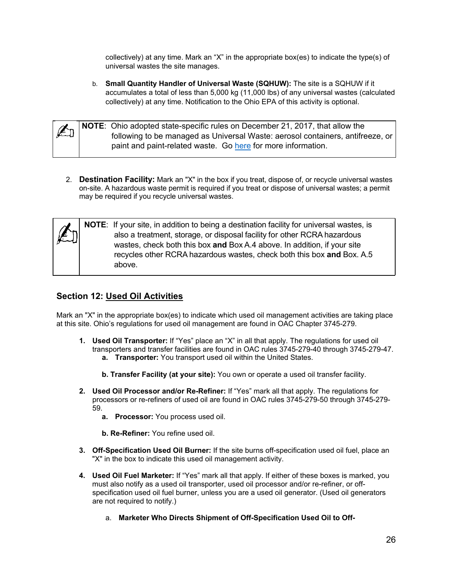collectively) at any time. Mark an "X" in the appropriate box(es) to indicate the type(s) of universal wastes the site manages.

b. **Small Quantity Handler of Universal Waste (SQHUW):** The site is a SQHUW if it accumulates a total of less than 5,000 kg (11,000 lbs) of any universal wastes (calculated collectively) at any time. Notification to the Ohio EPA of this activity is optional.



**NOTE**: Ohio adopted state-specific rules on December 21, 2017, that allow the following to be managed as Universal Waste: aerosol containers, antifreeze, or paint and paint-related waste. Go [here](https://epa.ohio.gov/wps/portal/gov/epa/divisions-and-offices/environmental-response-revitalization/guides-and-manuals/universal-waste) for more information.

2. **Destination Facility:** Mark an "X" in the box if you treat, dispose of, or recycle universal wastes on-site. A hazardous waste permit is required if you treat or dispose of universal wastes; a permit may be required if you recycle universal wastes.

|  |  | NOTE: If your site, in addition to being a destination facility for universal wastes, is<br>also a treatment, storage, or disposal facility for other RCRA hazardous<br>wastes, check both this box and Box A.4 above. In addition, if your site<br>recycles other RCRA hazardous wastes, check both this box and Box. A.5<br>above. |
|--|--|--------------------------------------------------------------------------------------------------------------------------------------------------------------------------------------------------------------------------------------------------------------------------------------------------------------------------------------|
|--|--|--------------------------------------------------------------------------------------------------------------------------------------------------------------------------------------------------------------------------------------------------------------------------------------------------------------------------------------|

## **Section 12: Used Oil Activities**

Mark an "X" in the appropriate box(es) to indicate which used oil management activities are taking place at this site. Ohio's regulations for used oil management are found in OAC Chapter 3745-279.

- **1. Used Oil Transporter:** If "Yes" place an "X" in all that apply. The regulations for used oil transporters and transfer facilities are found in OAC rules 3745-279-40 through 3745-279-47. **a. Transporter:** You transport used oil within the United States.
	- **b. Transfer Facility (at your site):** You own or operate a used oil transfer facility.
- **2. Used Oil Processor and/or Re-Refiner:** If "Yes" mark all that apply. The regulations for processors or re-refiners of used oil are found in OAC rules 3745-279-50 through 3745-279- 59.
	- **a. Processor:** You process used oil.
	- **b. Re-Refiner:** You refine used oil.
- **3. Off-Specification Used Oil Burner:** If the site burns off-specification used oil fuel, place an "X" in the box to indicate this used oil management activity.
- **4. Used Oil Fuel Marketer:** If "Yes" mark all that apply. If either of these boxes is marked, you must also notify as a used oil transporter, used oil processor and/or re-refiner, or offspecification used oil fuel burner, unless you are a used oil generator. (Used oil generators are not required to notify.)
	- a. **Marketer Who Directs Shipment of Off-Specification Used Oil to Off-**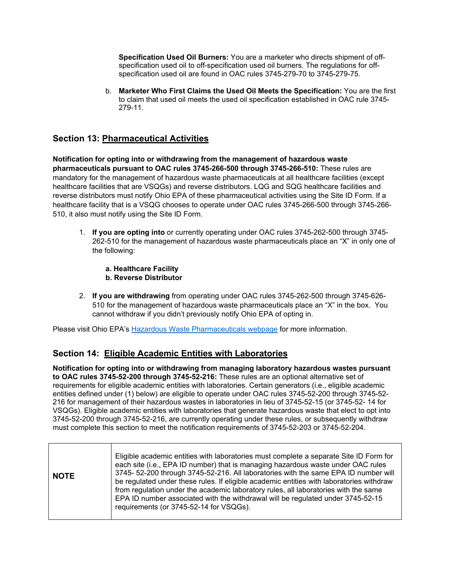**Specification Used Oil Burners:** You are a marketer who directs shipment of offspecification used oil to off-specification used oil burners. The regulations for offspecification used oil are found in OAC rules 3745-279-70 to 3745-279-75.

b. **Marketer Who First Claims the Used Oil Meets the Specification:** You are the first to claim that used oil meets the used oil specification established in OAC rule 3745- 279-11.

## **Section 13: Pharmaceutical Activities**

**Notification for opting into or withdrawing from the management of hazardous waste pharmaceuticals pursuant to OAC rules 3745-266-500 through 3745-266-510:** These rules are mandatory for the management of hazardous waste pharmaceuticals at all healthcare facilities (except healthcare facilities that are VSQGs) and reverse distributors. LQG and SQG healthcare facilities and reverse distributors must notify Ohio EPA of these pharmaceutical activities using the Site ID Form. If a healthcare facility that is a VSQG chooses to operate under OAC rules 3745-266-500 through 3745-266- 510, it also must notify using the Site ID Form.

- 1. **If you are opting into** or currently operating under OAC rules 3745-262-500 through 3745- 262-510 for the management of hazardous waste pharmaceuticals place an "X" in only one of the following:
	- **a. Healthcare Facility**
	- **b. Reverse Distributor**
- 2. **If you are withdrawing** from operating under OAC rules 3745-262-500 through 3745-626- 510 for the management of hazardous waste pharmaceuticals place an "X" in the box. You cannot withdraw if you didn't previously notify Ohio EPA of opting in.

Please visit Ohio EPA's [Hazardous Waste Pharmaceuticals webpage](https://epa.ohio.gov/wps/portal/gov/epa/divisions-and-offices/environmental-response-revitalization/guides-and-manuals/hazardous-waste-pharmaceuticals) for more information.

### **Section 14: Eligible Academic Entities with Laboratories**

**Notification for opting into or withdrawing from managing laboratory hazardous wastes pursuant to OAC rules 3745-52-200 through 3745-52-216:** These rules are an optional alternative set of requirements for eligible academic entities with laboratories. Certain generators (i.e., eligible academic entities defined under (1) below) are eligible to operate under OAC rules 3745-52-200 through 3745-52- 216 for management of their hazardous wastes in laboratories in lieu of 3745-52-15 (or 3745-52- 14 for VSQGs). Eligible academic entities with laboratories that generate hazardous waste that elect to opt into 3745-52-200 through 3745-52-216, are currently operating under these rules, or subsequently withdraw must complete this section to meet the notification requirements of 3745-52-203 or 3745-52-204.

| <b>NOTE</b> | Eligible academic entities with laboratories must complete a separate Site ID Form for<br>each site (i.e., EPA ID number) that is managing hazardous waste under OAC rules<br>3745-52-200 through 3745-52-216. All laboratories with the same EPA ID number will<br>be regulated under these rules. If eligible academic entities with laboratories withdraw<br>from regulation under the academic laboratory rules, all laboratories with the same<br>EPA ID number associated with the withdrawal will be regulated under 3745-52-15<br>requirements (or 3745-52-14 for VSQGs). |
|-------------|-----------------------------------------------------------------------------------------------------------------------------------------------------------------------------------------------------------------------------------------------------------------------------------------------------------------------------------------------------------------------------------------------------------------------------------------------------------------------------------------------------------------------------------------------------------------------------------|
|-------------|-----------------------------------------------------------------------------------------------------------------------------------------------------------------------------------------------------------------------------------------------------------------------------------------------------------------------------------------------------------------------------------------------------------------------------------------------------------------------------------------------------------------------------------------------------------------------------------|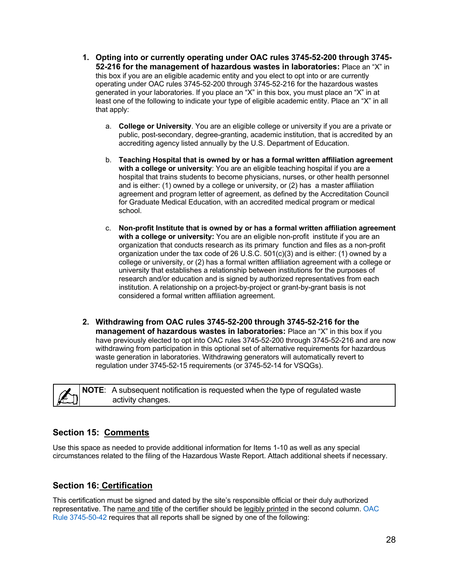- **1. Opting into or currently operating under OAC rules 3745-52-200 through 3745- 52-216 for the management of hazardous wastes in laboratories:** Place an "X" in this box if you are an eligible academic entity and you elect to opt into or are currently operating under OAC rules 3745-52-200 through 3745-52-216 for the hazardous wastes generated in your laboratories. If you place an "X" in this box, you must place an "X" in at least one of the following to indicate your type of eligible academic entity. Place an "X" in all that apply:
	- a. **College or University**. You are an eligible college or university if you are a private or public, post-secondary, degree-granting, academic institution, that is accredited by an accrediting agency listed annually by the U.S. Department of Education.
	- b. **Teaching Hospital that is owned by or has a formal written affiliation agreement with a college or university**: You are an eligible teaching hospital if you are a hospital that trains students to become physicians, nurses, or other health personnel and is either: (1) owned by a college or university, or (2) has a master affiliation agreement and program letter of agreement, as defined by the Accreditation Council for Graduate Medical Education, with an accredited medical program or medical school.
	- c. **Non-profit Institute that is owned by or has a formal written affiliation agreement with a college or university:** You are an eligible non-profit institute if you are an organization that conducts research as its primary function and files as a non-profit organization under the tax code of 26 U.S.C. 501(c)(3) and is either: (1) owned by a college or university, or (2) has a formal written affiliation agreement with a college or university that establishes a relationship between institutions for the purposes of research and/or education and is signed by authorized representatives from each institution. A relationship on a project-by-project or grant-by-grant basis is not considered a formal written affiliation agreement.
- **2. Withdrawing from OAC rules 3745-52-200 through 3745-52-216 for the management of hazardous wastes in laboratories:** Place an "X" in this box if you have previously elected to opt into OAC rules 3745-52-200 through 3745-52-216 and are now withdrawing from participation in this optional set of alternative requirements for hazardous waste generation in laboratories. Withdrawing generators will automatically revert to regulation under 3745-52-15 requirements (or 3745-52-14 for VSQGs).

**NOTE**: A subsequent notification is requested when the type of regulated waste activity changes.

## **Section 15: Comments**

Use this space as needed to provide additional information for Items 1-10 as well as any special circumstances related to the filing of the Hazardous Waste Report. Attach additional sheets if necessary.

### **Section 16: Certification**

This certification must be signed and dated by the site's responsible official or their duly authorized representative. The name and title of the certifier should be legibly printed in the second column. [OAC](https://epa.ohio.gov/static/Portals/30/rules/HW%20Rules/oac_rules/50-42.pdf)  [Rule 3745-50-42](https://epa.ohio.gov/static/Portals/30/rules/HW%20Rules/oac_rules/50-42.pdf) requires that all reports shall be signed by one of the following: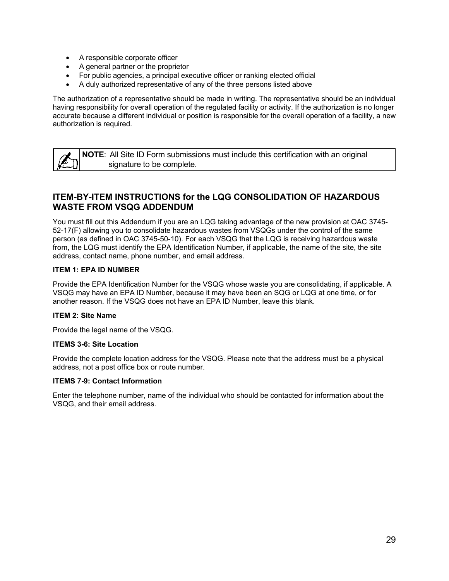- A responsible corporate officer
- A general partner or the proprietor
- For public agencies, a principal executive officer or ranking elected official
- A duly authorized representative of any of the three persons listed above

The authorization of a representative should be made in writing. The representative should be an individual having responsibility for overall operation of the regulated facility or activity. If the authorization is no longer accurate because a different individual or position is responsible for the overall operation of a facility, a new authorization is required.

**NOTE**: All Site ID Form submissions must include this certification with an original signature to be complete.

## <span id="page-28-0"></span>**ITEM-BY-ITEM INSTRUCTIONS for the LQG CONSOLIDATION OF HAZARDOUS WASTE FROM VSQG ADDENDUM**

You must fill out this Addendum if you are an LQG taking advantage of the new provision at OAC 3745- 52-17(F) allowing you to consolidate hazardous wastes from VSQGs under the control of the same person (as defined in OAC 3745-50-10). For each VSQG that the LQG is receiving hazardous waste from, the LQG must identify the EPA Identification Number, if applicable, the name of the site, the site address, contact name, phone number, and email address.

#### **ITEM 1: EPA ID NUMBER**

Provide the EPA Identification Number for the VSQG whose waste you are consolidating, if applicable. A VSQG may have an EPA ID Number, because it may have been an SQG or LQG at one time, or for another reason. If the VSQG does not have an EPA ID Number, leave this blank.

#### **ITEM 2: Site Name**

Provide the legal name of the VSQG.

#### **ITEMS 3-6: Site Location**

Provide the complete location address for the VSQG. Please note that the address must be a physical address, not a post office box or route number.

#### **ITEMS 7-9: Contact Information**

Enter the telephone number, name of the individual who should be contacted for information about the VSQG, and their email address.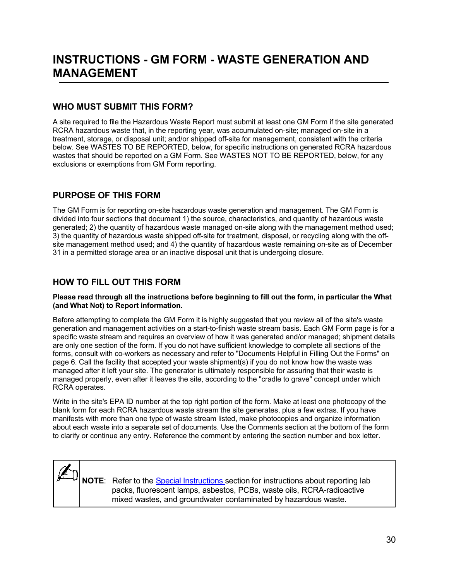## <span id="page-29-0"></span>**INSTRUCTIONS - GM FORM - WASTE GENERATION AND MANAGEMENT**

## **WHO MUST SUBMIT THIS FORM?**

A site required to file the Hazardous Waste Report must submit at least one GM Form if the site generated RCRA hazardous waste that, in the reporting year, was accumulated on-site; managed on-site in a treatment, storage, or disposal unit; and/or shipped off-site for management, consistent with the criteria below. See WASTES TO BE REPORTED, below, for specific instructions on generated RCRA hazardous wastes that should be reported on a GM Form. See WASTES NOT TO BE REPORTED, below, for any exclusions or exemptions from GM Form reporting.

## **PURPOSE OF THIS FORM**

The GM Form is for reporting on-site hazardous waste generation and management. The GM Form is divided into four sections that document 1) the source, characteristics, and quantity of hazardous waste generated; 2) the quantity of hazardous waste managed on-site along with the management method used; 3) the quantity of hazardous waste shipped off-site for treatment, disposal, or recycling along with the offsite management method used; and 4) the quantity of hazardous waste remaining on-site as of December 31 in a permitted storage area or an inactive disposal unit that is undergoing closure.

## **HOW TO FILL OUT THIS FORM**

#### **Please read through all the instructions before beginning to fill out the form, in particular the What (and What Not) to Report information.**

Before attempting to complete the GM Form it is highly suggested that you review all of the site's waste generation and management activities on a start-to-finish waste stream basis. Each GM Form page is for a specific waste stream and requires an overview of how it was generated and/or managed; shipment details are only one section of the form. If you do not have sufficient knowledge to complete all sections of the forms, consult with co-workers as necessary and refer to "Documents Helpful in Filling Out the Forms" on page 6. Call the facility that accepted your waste shipment(s) if you do not know how the waste was managed after it left your site. The generator is ultimately responsible for assuring that their waste is managed properly, even after it leaves the site, according to the "cradle to grave" concept under which RCRA operates.

Write in the site's EPA ID number at the top right portion of the form. Make at least one photocopy of the blank form for each RCRA hazardous waste stream the site generates, plus a few extras. If you have manifests with more than one type of waste stream listed, make photocopies and organize information about each waste into a separate set of documents. Use the Comments section at the bottom of the form to clarify or continue any entry. Reference the comment by entering the section number and box letter.

**NOTE:** Refer to the **[Special Instructions](#page-52-0)** section for instructions about reporting lab packs, fluorescent lamps, asbestos, PCBs, waste oils, RCRA-radioactive mixed wastes, and groundwater contaminated by hazardous waste.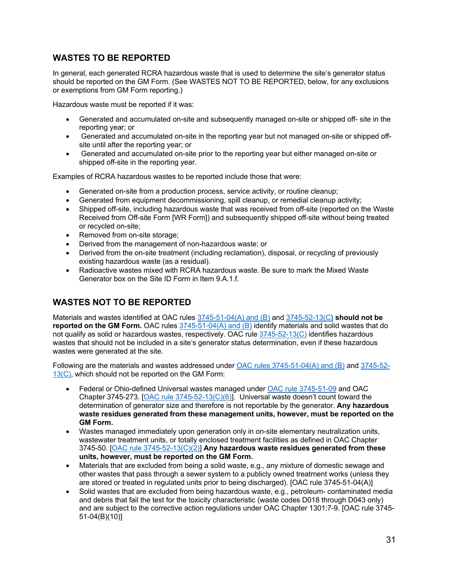## **WASTES TO BE REPORTED**

In general, each generated RCRA hazardous waste that is used to determine the site's generator status should be reported on the GM Form. (See WASTES NOT TO BE REPORTED, below, for any exclusions or exemptions from GM Form reporting.)

Hazardous waste must be reported if it was:

- Generated and accumulated on-site and subsequently managed on-site or shipped off- site in the reporting year; or
- Generated and accumulated on-site in the reporting year but not managed on-site or shipped offsite until after the reporting year; or
- Generated and accumulated on-site prior to the reporting year but either managed on-site or shipped off-site in the reporting year.

Examples of RCRA hazardous wastes to be reported include those that were:

- Generated on-site from a production process, service activity, or routine cleanup;
- Generated from equipment decommissioning, spill cleanup, or remedial cleanup activity;
- Shipped off-site, including hazardous waste that was received from off-site (reported on the Waste Received from Off-site Form [WR Form]) and subsequently shipped off-site without being treated or recycled on-site;
- Removed from on-site storage;
- Derived from the management of non-hazardous waste; or
- Derived from the on-site treatment (including reclamation), disposal, or recycling of previously existing hazardous waste (as a residual).
- Radioactive wastes mixed with RCRA hazardous waste. Be sure to mark the Mixed Waste Generator box on the Site ID Form in Item 9.A.1.f.

## **WASTES NOT TO BE REPORTED**

Materials and wastes identified at OAC rules [3745-51-04\(A\) and \(B\)](https://epa.ohio.gov/static/Portals/30/rules/HW%20Rules/oac_rules/51-04.pdf) and [3745-52-13\(C](https://epa.ohio.gov/static/Portals/30/rules/HW%20Rules/oac_rules/52-13.pdf)**) should not be reported on the GM Form.** OAC rule[s 3745-51-04\(A\) and \(B\)](https://epa.ohio.gov/static/Portals/30/rules/HW%20Rules/oac_rules/51-04.pdf) identify materials and solid wastes that do not qualify as solid or hazardous wastes, respectively. OAC rule  $3745-52-13(C)$  identifies hazardous wastes that should not be included in a site's generator status determination, even if these hazardous wastes were generated at the site.

Following are the materials and wastes addressed unde[r OAC rules 3745-51-04\(A\) and \(B\)](https://epa.ohio.gov/static/Portals/30/rules/HW%20Rules/oac_rules/51-04.pdf) and [3745-52-](https://epa.ohio.gov/static/Portals/30/rules/HW%20Rules/oac_rules/52-13.pdf) [13\(C\),](https://epa.ohio.gov/static/Portals/30/rules/HW%20Rules/oac_rules/52-13.pdf) which should not be reported on the GM Form:

- Federal or Ohio-defined Universal wastes managed under [OAC rule 3745-51-09](https://epa.ohio.gov/static/Portals/30/rules/HW%20Rules/oac_rules/51-09.pdf) and OAC Chapter 3745-273. [\[OAC rule 3745-52-13\(C\)\(6\)\]](https://epa.ohio.gov/static/Portals/30/rules/HW%20Rules/oac_rules/52-13.pdf). Universal waste doesn't count toward the determination of generator size and therefore is not reportable by the generator. **Any hazardous waste residues generated from these management units, however, must be reported on the GM Form.**
- Wastes managed immediately upon generation only in on-site elementary neutralization units, wastewater treatment units, or totally enclosed treatment facilities as defined in OAC Chapter 3745-50. [\[OAC rule 3745-52-13\(C\)\(2\)\]](https://epa.ohio.gov/static/Portals/30/rules/HW%20Rules/oac_rules/52-13.pdf) **Any hazardous waste residues generated from these units, however, must be reported on the GM Form.**
- Materials that are excluded from being a solid waste, e.g., any mixture of domestic sewage and other wastes that pass through a sewer system to a publicly owned treatment works (unless they are stored or treated in regulated units prior to being discharged). [OAC rule 3745-51-04(A)]
- Solid wastes that are excluded from being hazardous waste, e.g., petroleum- contaminated media and debris that fail the test for the toxicity characteristic (waste codes D018 through D043 only) and are subject to the corrective action regulations under OAC Chapter 1301:7-9. [OAC rule 3745- 51-04(B)(10)]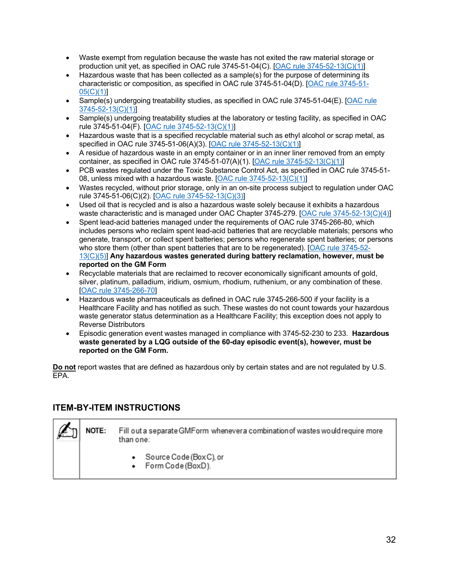- Waste exempt from regulation because the waste has not exited the raw material storage or production unit yet, as specified in OAC rule 3745-51-04(C). [\[OAC rule 3745-52-13\(C\)\(1\)\]](https://epa.ohio.gov/static/Portals/30/rules/HW%20Rules/oac_rules/52-13.pdf)
- Hazardous waste that has been collected as a sample(s) for the purpose of determining its characteristic or composition, as specified in OAC rule 3745-51-04(D). [\[OAC rule 3745-51-](https://epa.ohio.gov/static/Portals/30/rules/HW%20Rules/oac_rules/51-05.pdf) [05\(C\)\(1\)\]](https://epa.ohio.gov/static/Portals/30/rules/HW%20Rules/oac_rules/51-05.pdf)
- Sample(s) undergoing treatability studies, as specified in OAC rule 3745-51-04(E). [\[OAC rule](https://epa.ohio.gov/static/Portals/30/rules/HW%20Rules/oac_rules/52-13.pdf) [3745-52-13\(C\)\(1\)\]](https://epa.ohio.gov/static/Portals/30/rules/HW%20Rules/oac_rules/52-13.pdf)
- Sample(s) undergoing treatability studies at the laboratory or testing facility, as specified in OAC rule 3745-51-04(F). [\[OAC rule 3745-52-13\(C\)\(1\)\]](https://epa.ohio.gov/static/Portals/30/rules/HW%20Rules/oac_rules/52-13.pdf)
- Hazardous waste that is a specified recyclable material such as ethyl alcohol or scrap metal, as specified in OAC rule 3745-51-06(A)(3). [\[OAC rule 3745-52-13\(C\)\(1\)\]](https://epa.ohio.gov/static/Portals/30/rules/HW%20Rules/oac_rules/52-13.pdf)
- A residue of hazardous waste in an empty container or in an inner liner removed from an empty container, as specified in OAC rule 3745-51-07(A)(1). [\[OAC rule 3745-52-13\(C\)\(1\)\]](https://epa.ohio.gov/static/Portals/30/rules/HW%20Rules/oac_rules/52-13.pdf)
- PCB wastes regulated under the Toxic Substance Control Act, as specified in OAC rule 3745-51- 08, unless mixed with a hazardous waste. [\[OAC rule 3745-52-13\(C\)\(1\)\]](https://epa.ohio.gov/static/Portals/30/rules/HW%20Rules/oac_rules/52-13.pdf)
- Wastes recycled, without prior storage, only in an on-site process subject to regulation under OAC rule 3745-51-06(C)(2). [\[OAC rule 3745-52-13\(C\)\(3\)\]](https://epa.ohio.gov/static/Portals/30/rules/HW%20Rules/oac_rules/52-13.pdf)
- Used oil that is recycled and is also a hazardous waste solely because it exhibits a hazardous waste characteristic and is managed under OAC Chapter 3745-279. [OAC rule [3745-52-13\(C\)\(4\)\]](https://epa.ohio.gov/static/Portals/30/rules/HW%20Rules/oac_rules/52-13.pdf)
- Spent lead-acid batteries managed under the requirements of OAC rule 3745-266-80, which includes persons who reclaim spent lead-acid batteries that are recyclable materials; persons who generate, transport, or collect spent batteries; persons who regenerate spent batteries; or persons who store them (other than spent batteries that are to be regenerated). [\[OAC rule 3745-52-](https://epa.ohio.gov/static/Portals/30/rules/HW%20Rules/oac_rules/52-13.pdf) [13\(C\)\(5\)\]](https://epa.ohio.gov/static/Portals/30/rules/HW%20Rules/oac_rules/52-13.pdf) **Any hazardous wastes generated during battery reclamation, however, must be reported on the GM Form**
- Recyclable materials that are reclaimed to recover economically significant amounts of gold, silver, platinum, palladium, iridium, osmium, rhodium, ruthenium, or any combination of these. [\[OAC rule 3745-266-70\]](https://epa.ohio.gov/static/Portals/30/rules/HW+Rules/oac_rules/266-70.pdf)
- Hazardous waste pharmaceuticals as defined in OAC rule 3745-266-500 if your facility is a Healthcare Facility and has notified as such. These wastes do not count towards your hazardous waste generator status determination as a Healthcare Facility; this exception does not apply to Reverse Distributors
- Episodic generation event wastes managed in compliance with 3745-52-230 to 233. **Hazardous waste generated by a LQG outside of the 60-day episodic event(s), however, must be reported on the GM Form.**

**Do not** report wastes that are defined as hazardous only by certain states and are not regulated by U.S. EPA.

### <span id="page-31-0"></span>**ITEM-BY-ITEM INSTRUCTIONS**

NOTE: Fill out a separate GMF orm whenever a combination of wastes would require more than one:

- Source Code (Box C), or
- Form Code (BoxD).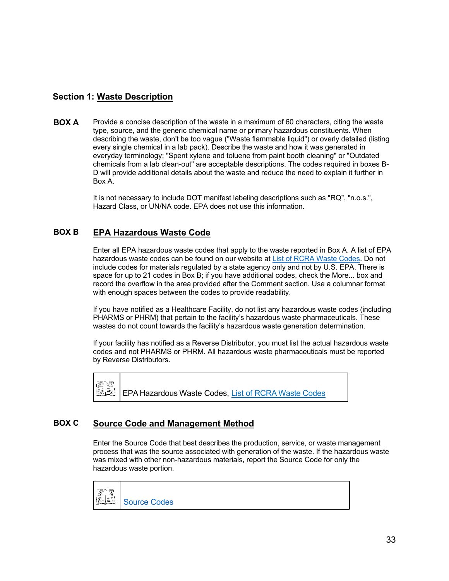## **Section 1: Waste Description**

**BOX A** Provide a concise description of the waste in a maximum of 60 characters, citing the waste type, source, and the generic chemical name or primary hazardous constituents. When describing the waste, don't be too vague ("Waste flammable liquid") or overly detailed (listing every single chemical in a lab pack). Describe the waste and how it was generated in everyday terminology; "Spent xylene and toluene from paint booth cleaning" or "Outdated chemicals from a lab clean-out" are acceptable descriptions. The codes required in boxes B-D will provide additional details about the waste and reduce the need to explain it further in Box A.

> It is not necessary to include DOT manifest labeling descriptions such as "RQ", "n.o.s.", Hazard Class, or UN/NA code. EPA does not use this information.

## **BOX B EPA Hazardous Waste Code**

Enter all EPA hazardous waste codes that apply to the waste reported in Box A. A list of EPA hazardous waste codes can be found on our website at List [of RCRA Waste Codes.](https://epa.ohio.gov/static/Portals/32/annualreport/WasteCodesFromInstructionManual03.pdf) Do not include codes for materials regulated by a state agency only and not by U.S. EPA. There is space for up to 21 codes in Box B; if you have additional codes, check the More... box and record the overflow in the area provided after the Comment section. Use a columnar format with enough spaces between the codes to provide readability.

If you have notified as a Healthcare Facility, do not list any hazardous waste codes (including PHARMS or PHRM) that pertain to the facility's hazardous waste pharmaceuticals. These wastes do not count towards the facility's hazardous waste generation determination.

If your facility has notified as a Reverse Distributor, you must list the actual hazardous waste codes and not PHARMS or PHRM. All hazardous waste pharmaceuticals must be reported by Reverse Distributors.

턣 k. EPA Hazardous Waste Codes, List of RCRA [Waste Codes](https://epa.ohio.gov/static/Portals/32/annualreport/WasteCodesFromInstructionManual03.pdf)

### **BOX C Source Code and Management Method**

Enter the Source Code that best describes the production, service, or waste management process that was the source associated with generation of the waste. If the hazardous waste was mixed with other non-hazardous materials, report the Source Code for only the hazardous waste portion.

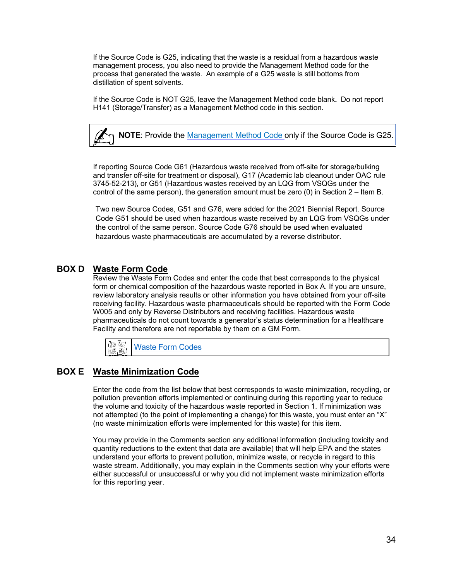If the Source Code is G25, indicating that the waste is a residual from a hazardous waste management process, you also need to provide the Management Method code for the process that generated the waste. An example of a G25 waste is still bottoms from distillation of spent solvents.

If the Source Code is NOT G25, leave the Management Method code blank**.** Do not report H141 (Storage/Transfer) as a Management Method code in this section.

**NOTE**: Provide the [Management Method](#page-71-0) Code only if the Source Code is G25.

If reporting Source Code G61 (Hazardous waste received from off-site for storage/bulking and transfer off-site for treatment or disposal), G17 (Academic lab cleanout under OAC rule 3745-52-213), or G51 (Hazardous wastes received by an LQG from VSQGs under the control of the same person), the generation amount must be zero (0) in Section 2 – Item B.

Two new Source Codes, G51 and G76, were added for the 2021 Biennial Report. Source Code G51 should be used when hazardous waste received by an LQG from VSQGs under the control of the same person. Source Code G76 should be used when evaluated hazardous waste pharmaceuticals are accumulated by a reverse distributor.

#### **BOX D Waste Form Code**

Review the Waste Form Codes and enter the code that best corresponds to the physical form or chemical composition of the hazardous waste reported in Box A. If you are unsure, review laboratory analysis results or other information you have obtained from your off-site receiving facility. Hazardous waste pharmaceuticals should be reported with the Form Code W005 and only by Reverse Distributors and receiving facilities. Hazardous waste pharmaceuticals do not count towards a generator's status determination for a Healthcare Facility and therefore are not reportable by them on a GM Form.



### **BOX E Waste Minimization Code**

Enter the code from the list below that best corresponds to waste minimization, recycling, or pollution prevention efforts implemented or continuing during this reporting year to reduce the volume and toxicity of the hazardous waste reported in Section 1. If minimization was not attempted (to the point of implementing a change) for this waste, you must enter an "X" (no waste minimization efforts were implemented for this waste) for this item.

You may provide in the Comments section any additional information (including toxicity and quantity reductions to the extent that data are available) that will help EPA and the states understand your efforts to prevent pollution, minimize waste, or recycle in regard to this waste stream. Additionally, you may explain in the Comments section why your efforts were either successful or unsuccessful or why you did not implement waste minimization efforts for this reporting year.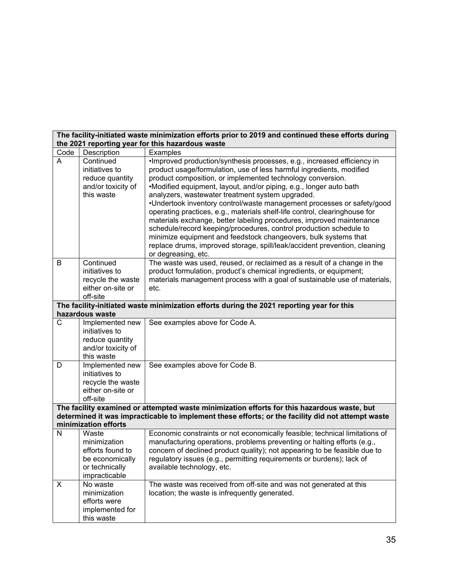| The facility-initiated waste minimization efforts prior to 2019 and continued these efforts during<br>the 2021 reporting year for this hazardous waste                                           |                                                                                                 |                                                                                                                                                                                                                                                                                                                                                                                                                                                                                                                                                                                                                                                                                                                                                                                                                      |  |  |
|--------------------------------------------------------------------------------------------------------------------------------------------------------------------------------------------------|-------------------------------------------------------------------------------------------------|----------------------------------------------------------------------------------------------------------------------------------------------------------------------------------------------------------------------------------------------------------------------------------------------------------------------------------------------------------------------------------------------------------------------------------------------------------------------------------------------------------------------------------------------------------------------------------------------------------------------------------------------------------------------------------------------------------------------------------------------------------------------------------------------------------------------|--|--|
| Code                                                                                                                                                                                             | Description                                                                                     | Examples                                                                                                                                                                                                                                                                                                                                                                                                                                                                                                                                                                                                                                                                                                                                                                                                             |  |  |
| A                                                                                                                                                                                                | Continued<br>initiatives to<br>reduce quantity<br>and/or toxicity of<br>this waste              | ·Improved production/synthesis processes, e.g., increased efficiency in<br>product usage/formulation, use of less harmful ingredients, modified<br>product composition, or implemented technology conversion.<br>•Modified equipment, layout, and/or piping, e.g., longer auto bath<br>analyzers, wastewater treatment system upgraded.<br>•Undertook inventory control/waste management processes or safety/good<br>operating practices, e.g., materials shelf-life control, clearinghouse for<br>materials exchange, better labeling procedures, improved maintenance<br>schedule/record keeping/procedures, control production schedule to<br>minimize equipment and feedstock changeovers, bulk systems that<br>replace drums, improved storage, spill/leak/accident prevention, cleaning<br>or degreasing, etc. |  |  |
| B                                                                                                                                                                                                | Continued<br>initiatives to<br>recycle the waste<br>either on-site or<br>off-site               | The waste was used, reused, or reclaimed as a result of a change in the<br>product formulation, product's chemical ingredients, or equipment;<br>materials management process with a goal of sustainable use of materials,<br>etc.                                                                                                                                                                                                                                                                                                                                                                                                                                                                                                                                                                                   |  |  |
|                                                                                                                                                                                                  | hazardous waste                                                                                 | The facility-initiated waste minimization efforts during the 2021 reporting year for this                                                                                                                                                                                                                                                                                                                                                                                                                                                                                                                                                                                                                                                                                                                            |  |  |
| C                                                                                                                                                                                                | Implemented new                                                                                 | See examples above for Code A.                                                                                                                                                                                                                                                                                                                                                                                                                                                                                                                                                                                                                                                                                                                                                                                       |  |  |
|                                                                                                                                                                                                  | initiatives to<br>reduce quantity<br>and/or toxicity of<br>this waste                           |                                                                                                                                                                                                                                                                                                                                                                                                                                                                                                                                                                                                                                                                                                                                                                                                                      |  |  |
| D                                                                                                                                                                                                | Implemented new<br>initiatives to<br>recycle the waste<br>either on-site or<br>off-site         | See examples above for Code B.                                                                                                                                                                                                                                                                                                                                                                                                                                                                                                                                                                                                                                                                                                                                                                                       |  |  |
| The facility examined or attempted waste minimization efforts for this hazardous waste, but<br>determined it was impracticable to implement these efforts; or the facility did not attempt waste |                                                                                                 |                                                                                                                                                                                                                                                                                                                                                                                                                                                                                                                                                                                                                                                                                                                                                                                                                      |  |  |
|                                                                                                                                                                                                  | minimization efforts                                                                            |                                                                                                                                                                                                                                                                                                                                                                                                                                                                                                                                                                                                                                                                                                                                                                                                                      |  |  |
| N                                                                                                                                                                                                | Waste<br>minimization<br>efforts found to<br>be economically<br>or technically<br>impracticable | Economic constraints or not economically feasible; technical limitations of<br>manufacturing operations, problems preventing or halting efforts (e.g.,<br>concern of declined product quality); not appearing to be feasible due to<br>regulatory issues (e.g., permitting requirements or burdens); lack of<br>available technology, etc.                                                                                                                                                                                                                                                                                                                                                                                                                                                                           |  |  |
| X                                                                                                                                                                                                | No waste<br>minimization<br>efforts were<br>implemented for<br>this waste                       | The waste was received from off-site and was not generated at this<br>location; the waste is infrequently generated.                                                                                                                                                                                                                                                                                                                                                                                                                                                                                                                                                                                                                                                                                                 |  |  |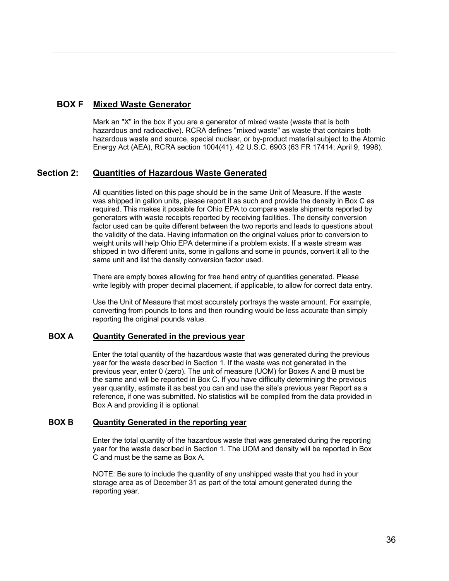## **BOX F Mixed Waste Generator**

Mark an "X" in the box if you are a generator of mixed waste (waste that is both hazardous and radioactive). RCRA defines "mixed waste" as waste that contains both hazardous waste and source, special nuclear, or by-product material subject to the Atomic Energy Act (AEA), RCRA section 1004(41), 42 U.S.C. 6903 (63 FR 17414; April 9, 1998).

### **Section 2: Quantities of Hazardous Waste Generated**

All quantities listed on this page should be in the same Unit of Measure. If the waste was shipped in gallon units, please report it as such and provide the density in Box C as required. This makes it possible for Ohio EPA to compare waste shipments reported by generators with waste receipts reported by receiving facilities. The density conversion factor used can be quite different between the two reports and leads to questions about the validity of the data. Having information on the original values prior to conversion to weight units will help Ohio EPA determine if a problem exists. If a waste stream was shipped in two different units, some in gallons and some in pounds, convert it all to the same unit and list the density conversion factor used.

There are empty boxes allowing for free hand entry of quantities generated. Please write legibly with proper decimal placement, if applicable, to allow for correct data entry.

Use the Unit of Measure that most accurately portrays the waste amount. For example, converting from pounds to tons and then rounding would be less accurate than simply reporting the original pounds value.

#### **BOX A Quantity Generated in the previous year**

Enter the total quantity of the hazardous waste that was generated during the previous year for the waste described in Section 1. If the waste was not generated in the previous year, enter 0 (zero). The unit of measure (UOM) for Boxes A and B must be the same and will be reported in Box C. If you have difficulty determining the previous year quantity, estimate it as best you can and use the site's previous year Report as a reference, if one was submitted. No statistics will be compiled from the data provided in Box A and providing it is optional.

#### **BOX B Quantity Generated in the reporting year**

Enter the total quantity of the hazardous waste that was generated during the reporting year for the waste described in Section 1. The UOM and density will be reported in Box C and must be the same as Box A.

NOTE: Be sure to include the quantity of any unshipped waste that you had in your storage area as of December 31 as part of the total amount generated during the reporting year.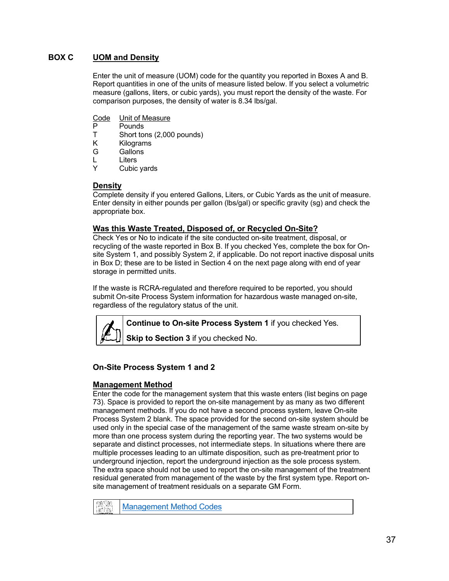## **BOX C UOM and Density**

Enter the unit of measure (UOM) code for the quantity you reported in Boxes A and B. Report quantities in one of the units of measure listed below. If you select a volumetric measure (gallons, liters, or cubic yards), you must report the density of the waste. For comparison purposes, the density of water is 8.34 lbs/gal.

- Code Unit of Measure<br>P Pounds
- P Pounds<br>T Short to
- Short tons (2,000 pounds)
- K Kilograms<br>G Gallons
- **Gallons**
- L Liters
- Y Cubic yards

## **Density**

Complete density if you entered Gallons, Liters, or Cubic Yards as the unit of measure. Enter density in either pounds per gallon (lbs/gal) or specific gravity (sg) and check the appropriate box.

### **Was this Waste Treated, Disposed of, or Recycled On-Site?**

Check Yes or No to indicate if the site conducted on-site treatment, disposal, or recycling of the waste reported in Box B. If you checked Yes, complete the box for Onsite System 1, and possibly System 2, if applicable. Do not report inactive disposal units in Box D; these are to be listed in Section 4 on the next page along with end of year storage in permitted units.

If the waste is RCRA-regulated and therefore required to be reported, you should submit On-site Process System information for hazardous waste managed on-site, regardless of the regulatory status of the unit.

**Continue to On-site Process System 1** if you checked Yes.

**Skip to Section 3** if you checked No.

# **On-Site Process System 1 and 2**

### **Management Method**

Enter the code for the management system that this waste enters (list begins on page 73). Space is provided to report the on-site management by as many as two different management methods. If you do not have a second process system, leave On-site Process System 2 blank. The space provided for the second on-site system should be used only in the special case of the management of the same waste stream on-site by more than one process system during the reporting year. The two systems would be separate and distinct processes, not intermediate steps. In situations where there are multiple processes leading to an ultimate disposition, such as pre-treatment prior to underground injection, report the underground injection as the sole process system. The extra space should not be used to report the on-site management of the treatment residual generated from management of the waste by the first system type. Report onsite management of treatment residuals on a separate GM Form.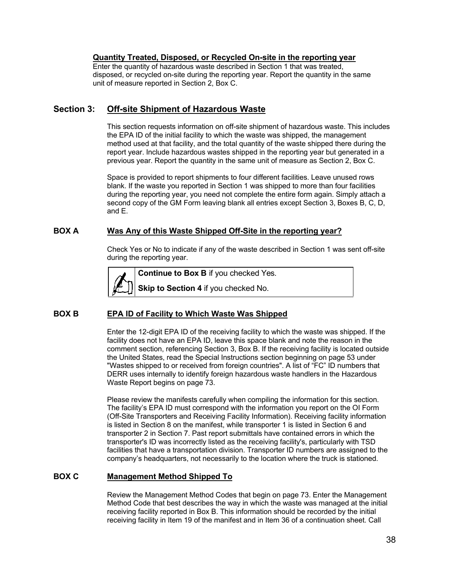### **Quantity Treated, Disposed, or Recycled On-site in the reporting year**

Enter the quantity of hazardous waste described in Section 1 that was treated, disposed, or recycled on-site during the reporting year. Report the quantity in the same unit of measure reported in Section 2, Box C.

### **Section 3: Off-site Shipment of Hazardous Waste**

This section requests information on off-site shipment of hazardous waste. This includes the EPA ID of the initial facility to which the waste was shipped, the management method used at that facility, and the total quantity of the waste shipped there during the report year. Include hazardous wastes shipped in the reporting year but generated in a previous year. Report the quantity in the same unit of measure as Section 2, Box C.

Space is provided to report shipments to four different facilities. Leave unused rows blank. If the waste you reported in Section 1 was shipped to more than four facilities during the reporting year, you need not complete the entire form again. Simply attach a second copy of the GM Form leaving blank all entries except Section 3, Boxes B, C, D, and E.

### **BOX A Was Any of this Waste Shipped Off-Site in the reporting year?**

Check Yes or No to indicate if any of the waste described in Section 1 was sent off-site during the reporting year.



### **BOX B EPA ID of Facility to Which Waste Was Shipped**

Enter the 12-digit EPA ID of the receiving facility to which the waste was shipped. If the facility does not have an EPA ID, leave this space blank and note the reason in the comment section, referencing Section 3, Box B. If the receiving facility is located outside the United States, read the Special Instructions section beginning on page 53 under "Wastes shipped to or received from foreign countries". A list of "FC" ID numbers that DERR uses internally to identify foreign hazardous waste handlers in the Hazardous Waste Report begins on page 73.

Please review the manifests carefully when compiling the information for this section. The facility's EPA ID must correspond with the information you report on the OI Form (Off-Site Transporters and Receiving Facility Information). Receiving facility information is listed in Section 8 on the manifest, while transporter 1 is listed in Section 6 and transporter 2 in Section 7. Past report submittals have contained errors in which the transporter's ID was incorrectly listed as the receiving facility's, particularly with TSD facilities that have a transportation division. Transporter ID numbers are assigned to the company's headquarters, not necessarily to the location where the truck is stationed.

### **BOX C Management Method Shipped To**

Review the Management Method Codes that begin on page 73. Enter the Management Method Code that best describes the way in which the waste was managed at the initial receiving facility reported in Box B. This information should be recorded by the initial receiving facility in Item 19 of the manifest and in Item 36 of a continuation sheet. Call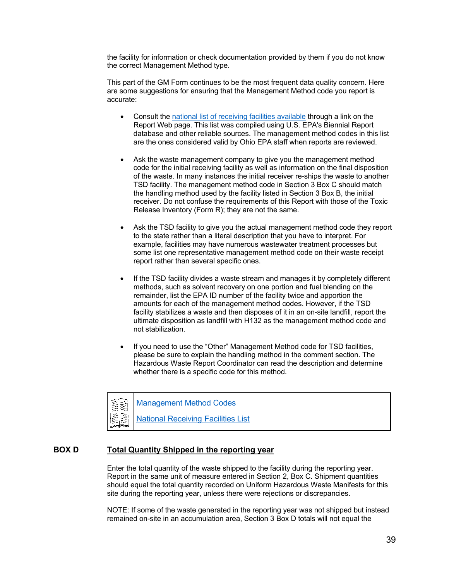the facility for information or check documentation provided by them if you do not know the correct Management Method type.

This part of the GM Form continues to be the most frequent data quality concern. Here are some suggestions for ensuring that the Management Method code you report is accurate:

- Consult the [national list of receiving facilities available](https://epa.ohio.gov/static/Portals/32/annualreport/NTSD.pdf) through a link on the Report Web page. This list was compiled using U.S. EPA's Biennial Report database and other reliable sources. The management method codes in this list are the ones considered valid by Ohio EPA staff when reports are reviewed.
- Ask the waste management company to give you the management method code for the initial receiving facility as well as information on the final disposition of the waste. In many instances the initial receiver re-ships the waste to another TSD facility. The management method code in Section 3 Box C should match the handling method used by the facility listed in Section 3 Box B, the initial receiver. Do not confuse the requirements of this Report with those of the Toxic Release Inventory (Form R); they are not the same.
- Ask the TSD facility to give you the actual management method code they report to the state rather than a literal description that you have to interpret. For example, facilities may have numerous wastewater treatment processes but some list one representative management method code on their waste receipt report rather than several specific ones.
- If the TSD facility divides a waste stream and manages it by completely different methods, such as solvent recovery on one portion and fuel blending on the remainder, list the EPA ID number of the facility twice and apportion the amounts for each of the management method codes. However, if the TSD facility stabilizes a waste and then disposes of it in an on-site landfill, report the ultimate disposition as landfill with H132 as the management method code and not stabilization.
- If you need to use the "Other" Management Method code for TSD facilities, please be sure to explain the handling method in the comment section. The Hazardous Waste Report Coordinator can read the description and determine whether there is a specific code for this method.



### **BOX D Total Quantity Shipped in the reporting year**

Enter the total quantity of the waste shipped to the facility during the reporting year. Report in the same unit of measure entered in Section 2, Box C. Shipment quantities should equal the total quantity recorded on Uniform Hazardous Waste Manifests for this site during the reporting year, unless there were rejections or discrepancies.

NOTE: If some of the waste generated in the reporting year was not shipped but instead remained on-site in an accumulation area, Section 3 Box D totals will not equal the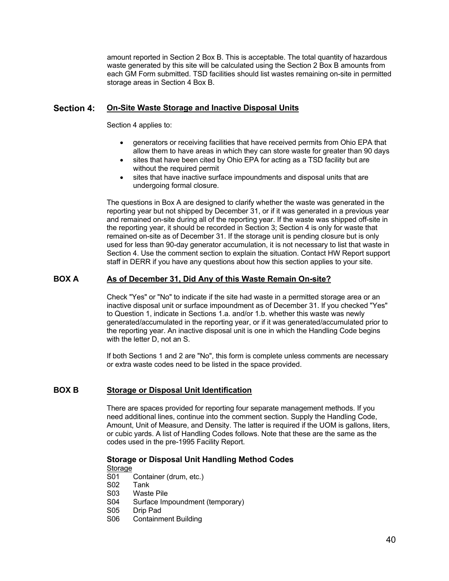amount reported in Section 2 Box B. This is acceptable. The total quantity of hazardous waste generated by this site will be calculated using the Section 2 Box B amounts from each GM Form submitted. TSD facilities should list wastes remaining on-site in permitted storage areas in Section 4 Box B.

### **Section 4: On-Site Waste Storage and Inactive Disposal Units**

Section 4 applies to:

- generators or receiving facilities that have received permits from Ohio EPA that allow them to have areas in which they can store waste for greater than 90 days
- sites that have been cited by Ohio EPA for acting as a TSD facility but are without the required permit
- sites that have inactive surface impoundments and disposal units that are undergoing formal closure.

The questions in Box A are designed to clarify whether the waste was generated in the reporting year but not shipped by December 31, or if it was generated in a previous year and remained on-site during all of the reporting year. If the waste was shipped off-site in the reporting year, it should be recorded in Section 3; Section 4 is only for waste that remained on-site as of December 31. If the storage unit is pending closure but is only used for less than 90-day generator accumulation, it is not necessary to list that waste in Section 4. Use the comment section to explain the situation. Contact HW Report support staff in DERR if you have any questions about how this section applies to your site.

### **BOX A As of December 31, Did Any of this Waste Remain On-site?**

Check "Yes" or "No" to indicate if the site had waste in a permitted storage area or an inactive disposal unit or surface impoundment as of December 31. If you checked "Yes" to Question 1, indicate in Sections 1.a. and/or 1.b. whether this waste was newly generated/accumulated in the reporting year, or if it was generated/accumulated prior to the reporting year. An inactive disposal unit is one in which the Handling Code begins with the letter D, not an S.

If both Sections 1 and 2 are "No", this form is complete unless comments are necessary or extra waste codes need to be listed in the space provided.

### **BOX B Storage or Disposal Unit Identification**

There are spaces provided for reporting four separate management methods. If you need additional lines, continue into the comment section. Supply the Handling Code, Amount, Unit of Measure, and Density. The latter is required if the UOM is gallons, liters, or cubic yards. A list of Handling Codes follows. Note that these are the same as the codes used in the pre-1995 Facility Report.

### **Storage or Disposal Unit Handling Method Codes**

Storage

- S01 Container (drum, etc.)<br>S02 Tank
- **Tank**
- S03 Waste Pile
- S04 Surface Impoundment (temporary)<br>S05 Drip Pad
- Drip Pad
- S06 Containment Building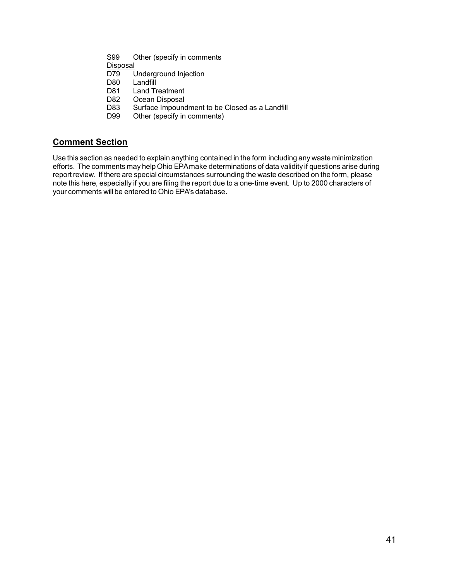- S99 Other (specify in comments
- Disposal<br>D79 l
- D79 Underground Injection<br>D80 Landfill
- Landfill
- D81 Land Treatment<br>D82 Ocean Disposal
- D82 Ocean Disposal<br>D83 Surface Impound
- Surface Impoundment to be Closed as a Landfill
- D99 Other (specify in comments)

# **Comment Section**

Use this section as needed to explain anything contained in the form including any waste minimization efforts. The comments may help Ohio EPAmake determinations of data validity if questions arise during report review. If there are special circumstances surrounding the waste described on the form, please note this here, especially if you are filing the report due to a one-time event. Up to 2000 characters of your comments will be entered to Ohio EPA's database.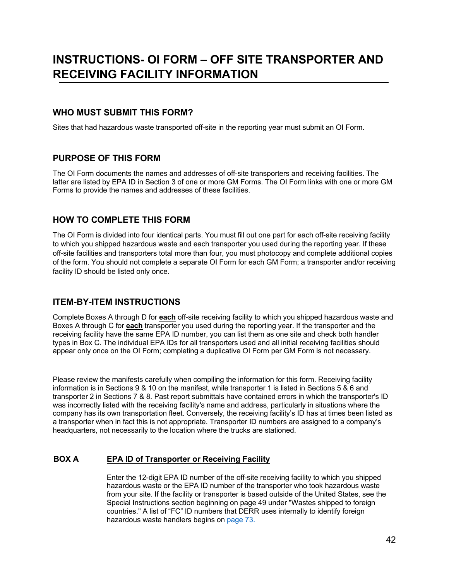# **INSTRUCTIONS- OI FORM – OFF SITE TRANSPORTER AND RECEIVING FACILITY INFORMATION**

## **WHO MUST SUBMIT THIS FORM?**

Sites that had hazardous waste transported off-site in the reporting year must submit an OI Form.

# **PURPOSE OF THIS FORM**

The OI Form documents the names and addresses of off-site transporters and receiving facilities. The latter are listed by EPA ID in Section 3 of one or more GM Forms. The OI Form links with one or more GM Forms to provide the names and addresses of these facilities.

# **HOW TO COMPLETE THIS FORM**

The OI Form is divided into four identical parts. You must fill out one part for each off-site receiving facility to which you shipped hazardous waste and each transporter you used during the reporting year. If these off-site facilities and transporters total more than four, you must photocopy and complete additional copies of the form. You should not complete a separate OI Form for each GM Form; a transporter and/or receiving facility ID should be listed only once.

# **ITEM-BY-ITEM INSTRUCTIONS**

Complete Boxes A through D for **each** off-site receiving facility to which you shipped hazardous waste and Boxes A through C for **each** transporter you used during the reporting year. If the transporter and the receiving facility have the same EPA ID number, you can list them as one site and check both handler types in Box C. The individual EPA IDs for all transporters used and all initial receiving facilities should appear only once on the OI Form; completing a duplicative OI Form per GM Form is not necessary.

Please review the manifests carefully when compiling the information for this form. Receiving facility information is in Sections 9 & 10 on the manifest, while transporter 1 is listed in Sections 5 & 6 and transporter 2 in Sections 7 & 8. Past report submittals have contained errors in which the transporter's ID was incorrectly listed with the receiving facility's name and address, particularly in situations where the company has its own transportation fleet. Conversely, the receiving facility's ID has at times been listed as a transporter when in fact this is not appropriate. Transporter ID numbers are assigned to a company's headquarters, not necessarily to the location where the trucks are stationed.

### **BOX A EPA ID of Transporter or Receiving Facility**

Enter the 12-digit EPA ID number of the off-site receiving facility to which you shipped hazardous waste or the EPA ID number of the transporter who took hazardous waste from your site. If the facility or transporter is based outside of the United States, see the Special Instructions section beginning on page 49 under "Wastes shipped to foreign countries." A list of "FC" ID numbers that DERR uses internally to identify foreign hazardous waste handlers begins on [page 73.](#page-72-0)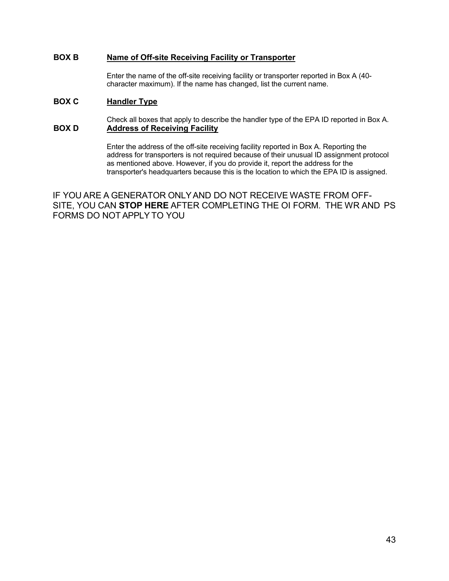### **BOX B Name of Off-site Receiving Facility or Transporter**

Enter the name of the off-site receiving facility or transporter reported in Box A (40 character maximum). If the name has changed, list the current name.

## **BOX C Handler Type**

Check all boxes that apply to describe the handler type of the EPA ID reported in Box A. **BOX D Address of Receiving Facility**

> Enter the address of the off-site receiving facility reported in Box A. Reporting the address for transporters is not required because of their unusual ID assignment protocol as mentioned above. However, if you do provide it, report the address for the transporter's headquarters because this is the location to which the EPA ID is assigned.

IF YOU ARE A GENERATOR ONLYAND DO NOT RECEIVE WASTE FROM OFF-SITE, YOU CAN **STOP HERE** AFTER COMPLETING THE OI FORM. THE WR AND PS FORMS DO NOT APPLY TO YOU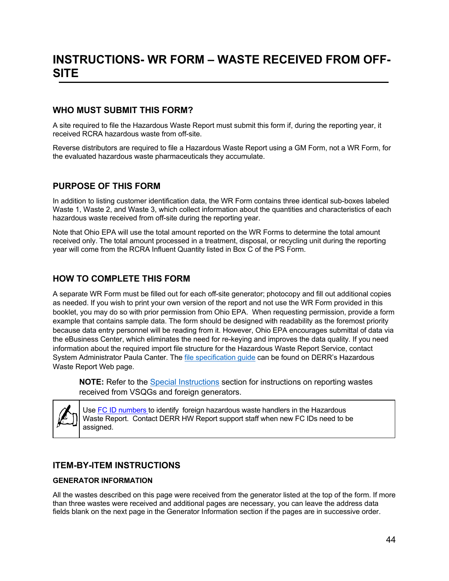# **WHO MUST SUBMIT THIS FORM?**

A site required to file the Hazardous Waste Report must submit this form if, during the reporting year, it received RCRA hazardous waste from off-site.

Reverse distributors are required to file a Hazardous Waste Report using a GM Form, not a WR Form, for the evaluated hazardous waste pharmaceuticals they accumulate.

# **PURPOSE OF THIS FORM**

In addition to listing customer identification data, the WR Form contains three identical sub-boxes labeled Waste 1, Waste 2, and Waste 3, which collect information about the quantities and characteristics of each hazardous waste received from off-site during the reporting year.

Note that Ohio EPA will use the total amount reported on the WR Forms to determine the total amount received only. The total amount processed in a treatment, disposal, or recycling unit during the reporting year will come from the RCRA Influent Quantity listed in Box C of the PS Form.

# **HOW TO COMPLETE THIS FORM**

A separate WR Form must be filled out for each off-site generator; photocopy and fill out additional copies as needed. If you wish to print your own version of the report and not use the WR Form provided in this booklet, you may do so with prior permission from Ohio EPA. When requesting permission, provide a form example that contains sample data. The form should be designed with readability as the foremost priority because data entry personnel will be reading from it. However, Ohio EPA encourages submittal of data via the eBusiness Center, which eliminates the need for re-keying and improves the data quality. If you need information about the required import file structure for the Hazardous Waste Report Service, contact System Administrator Paula Canter. The [file specification guide](https://epa.ohio.gov/static/Portals/32/annualreport/Ohio%20File%20Specification%20Guide.pdf) can be found on DERR's Hazardous Waste Report Web page.

**NOTE:** Refer to the [Special Instructions](#page-52-0) section for instructions on reporting wastes received from VSQGs and foreign generators.



Use FC ID [numbers t](#page-72-0)o identify foreign hazardous waste handlers in the Hazardous Waste Report. Contact DERR HW Report support staff when new FC IDs need to be assigned.

# **ITEM-BY-ITEM INSTRUCTIONS**

### **GENERATOR INFORMATION**

All the wastes described on this page were received from the generator listed at the top of the form. If more than three wastes were received and additional pages are necessary, you can leave the address data fields blank on the next page in the Generator Information section if the pages are in successive order.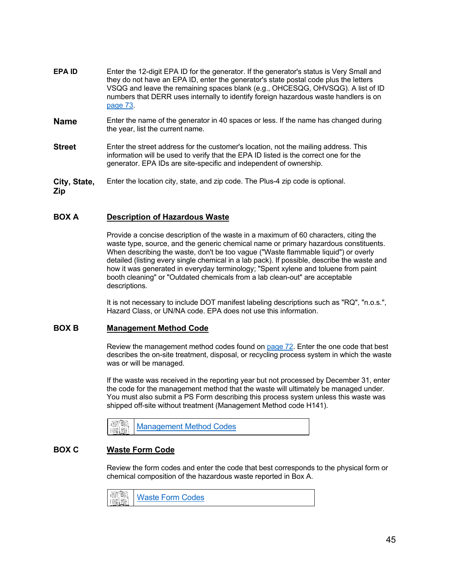- **EPA ID** Enter the 12-digit EPA ID for the generator. If the generator's status is Very Small and they do not have an EPA ID, enter the generator's state postal code plus the letters VSQG and leave the remaining spaces blank (e.g., OHCESQG, OHVSQG). A list of ID numbers that DERR uses internally to identify foreign hazardous waste handlers is on [page](#page-72-0) 73.
- **Name** Enter the name of the generator in 40 spaces or less. If the name has changed during the year, list the current name.
- **Street** Enter the street address for the customer's location, not the mailing address. This information will be used to verify that the EPA ID listed is the correct one for the generator. EPA IDs are site-specific and independent of ownership.
- **City, State,**  Enter the location city, state, and zip code. The Plus-4 zip code is optional.

**Zip**

### **BOX A Description of Hazardous Waste**

Provide a concise description of the waste in a maximum of 60 characters, citing the waste type, source, and the generic chemical name or primary hazardous constituents. When describing the waste, don't be too vague ("Waste flammable liquid") or overly detailed (listing every single chemical in a lab pack). If possible, describe the waste and how it was generated in everyday terminology; "Spent xylene and toluene from paint booth cleaning" or "Outdated chemicals from a lab clean-out" are acceptable descriptions.

It is not necessary to include DOT manifest labeling descriptions such as "RQ", "n.o.s.", Hazard Class, or UN/NA code. EPA does not use this information.

### **BOX B Management Method Code**

Review the management method codes found on [page](#page-71-0) 72. Enter the one code that best describes the on-site treatment, disposal, or recycling process system in which the waste was or will be managed.

If the waste was received in the reporting year but not processed by December 31, enter the code for the management method that the waste will ultimately be managed under. You must also submit a PS Form describing this process system unless this waste was shipped off-site without treatment (Management Method code H141).



### **BOX C Waste Form Code**

Review the form codes and enter the code that best corresponds to the physical form or chemical composition of the hazardous waste reported in Box A.

|  |  | <b>Maste Form Codes</b> |  |
|--|--|-------------------------|--|
|--|--|-------------------------|--|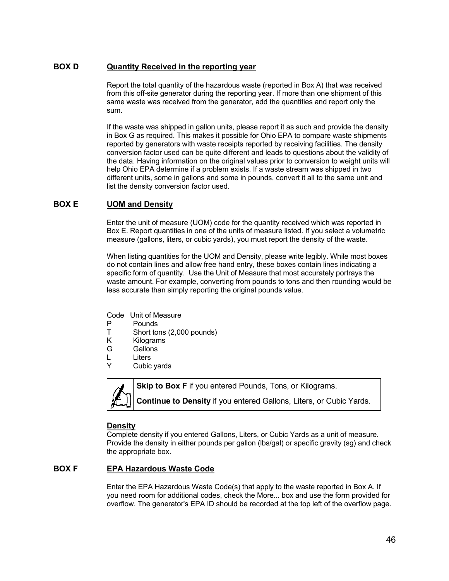### **BOX D Quantity Received in the reporting year**

Report the total quantity of the hazardous waste (reported in Box A) that was received from this off-site generator during the reporting year. If more than one shipment of this same waste was received from the generator, add the quantities and report only the sum.

If the waste was shipped in gallon units, please report it as such and provide the density in Box G as required. This makes it possible for Ohio EPA to compare waste shipments reported by generators with waste receipts reported by receiving facilities. The density conversion factor used can be quite different and leads to questions about the validity of the data. Having information on the original values prior to conversion to weight units will help Ohio EPA determine if a problem exists. If a waste stream was shipped in two different units, some in gallons and some in pounds, convert it all to the same unit and list the density conversion factor used.

### **BOX E UOM and Density**

Enter the unit of measure (UOM) code for the quantity received which was reported in Box E. Report quantities in one of the units of measure listed. If you select a volumetric measure (gallons, liters, or cubic yards), you must report the density of the waste.

When listing quantities for the UOM and Density, please write legibly. While most boxes do not contain lines and allow free hand entry, these boxes contain lines indicating a specific form of quantity. Use the Unit of Measure that most accurately portrays the waste amount. For example, converting from pounds to tons and then rounding would be less accurate than simply reporting the original pounds value.

- Code Unit of Measure
- P Pounds<br>T Short to
- Short tons (2,000 pounds)
- K Kilograms
- G Gallons
- L Liters
- Y Cubic yards



**Skip to Box F** if you entered Pounds, Tons, or Kilograms. **Continue to Density** if you entered Gallons, Liters, or Cubic Yards.

#### **Density**

Complete density if you entered Gallons, Liters, or Cubic Yards as a unit of measure. Provide the density in either pounds per gallon (lbs/gal) or specific gravity (sg) and check the appropriate box.

### **BOX F EPA Hazardous Waste Code**

Enter the EPA Hazardous Waste Code(s) that apply to the waste reported in Box A. If you need room for additional codes, check the More... box and use the form provided for overflow. The generator's EPA ID should be recorded at the top left of the overflow page.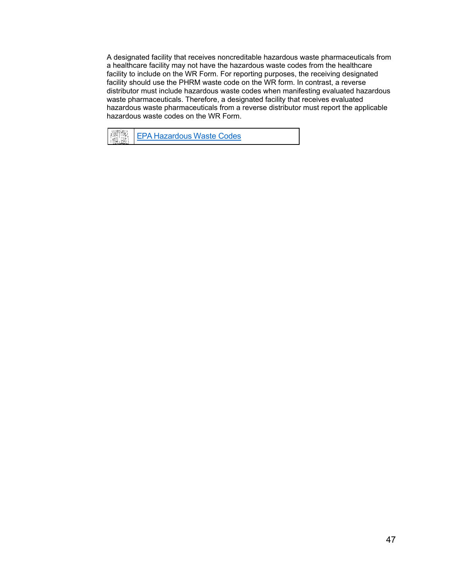A designated facility that receives noncreditable hazardous waste pharmaceuticals from a healthcare facility may not have the hazardous waste codes from the healthcare facility to include on the WR Form. For reporting purposes, the receiving designated facility should use the PHRM waste code on the WR form. In contrast, a reverse distributor must include hazardous waste codes when manifesting evaluated hazardous waste pharmaceuticals. Therefore, a designated facility that receives evaluated hazardous waste pharmaceuticals from a reverse distributor must report the applicable hazardous waste codes on the WR Form.

麗園 EPA [Hazardous](https://epa.ohio.gov/static/Portals/32/annualreport/WasteCodesFromInstructionManual03.pdf) Waste Codes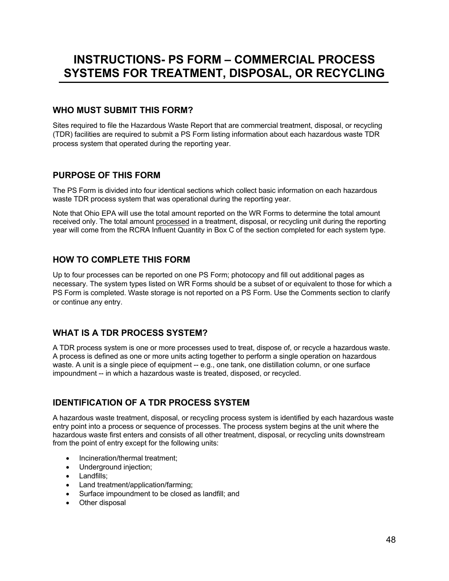# **INSTRUCTIONS- PS FORM – COMMERCIAL PROCESS SYSTEMS FOR TREATMENT, DISPOSAL, OR RECYCLING**

# **WHO MUST SUBMIT THIS FORM?**

Sites required to file the Hazardous Waste Report that are commercial treatment, disposal, or recycling (TDR) facilities are required to submit a PS Form listing information about each hazardous waste TDR process system that operated during the reporting year.

# **PURPOSE OF THIS FORM**

The PS Form is divided into four identical sections which collect basic information on each hazardous waste TDR process system that was operational during the reporting year.

Note that Ohio EPA will use the total amount reported on the WR Forms to determine the total amount received only. The total amount processed in a treatment, disposal, or recycling unit during the reporting year will come from the RCRA Influent Quantity in Box C of the section completed for each system type.

# **HOW TO COMPLETE THIS FORM**

Up to four processes can be reported on one PS Form; photocopy and fill out additional pages as necessary. The system types listed on WR Forms should be a subset of or equivalent to those for which a PS Form is completed. Waste storage is not reported on a PS Form. Use the Comments section to clarify or continue any entry.

# **WHAT IS A TDR PROCESS SYSTEM?**

A TDR process system is one or more processes used to treat, dispose of, or recycle a hazardous waste. A process is defined as one or more units acting together to perform a single operation on hazardous waste. A unit is a single piece of equipment -- e.g., one tank, one distillation column, or one surface impoundment -- in which a hazardous waste is treated, disposed, or recycled.

# **IDENTIFICATION OF A TDR PROCESS SYSTEM**

A hazardous waste treatment, disposal, or recycling process system is identified by each hazardous waste entry point into a process or sequence of processes. The process system begins at the unit where the hazardous waste first enters and consists of all other treatment, disposal, or recycling units downstream from the point of entry except for the following units:

- Incineration/thermal treatment;
- Underground injection;
- Landfills;
- Land treatment/application/farming;
- Surface impoundment to be closed as landfill; and
- Other disposal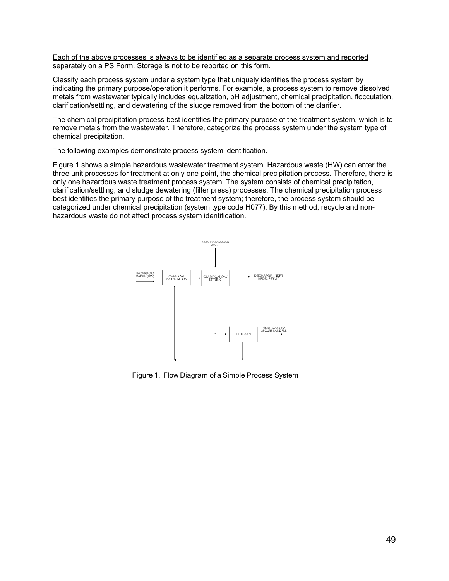Each of the above processes is always to be identified as a separate process system and reported separately on a PS Form. Storage is not to be reported on this form.

Classify each process system under a system type that uniquely identifies the process system by indicating the primary purpose/operation it performs. For example, a process system to remove dissolved metals from wastewater typically includes equalization, pH adjustment, chemical precipitation, flocculation, clarification/settling, and dewatering of the sludge removed from the bottom of the clarifier.

The chemical precipitation process best identifies the primary purpose of the treatment system, which is to remove metals from the wastewater. Therefore, categorize the process system under the system type of chemical precipitation.

The following examples demonstrate process system identification.

Figure 1 shows a simple hazardous wastewater treatment system. Hazardous waste (HW) can enter the three unit processes for treatment at only one point, the chemical precipitation process. Therefore, there is only one hazardous waste treatment process system. The system consists of chemical precipitation, clarification/settling, and sludge dewatering (filter press) processes. The chemical precipitation process best identifies the primary purpose of the treatment system; therefore, the process system should be categorized under chemical precipitation (system type code H077). By this method, recycle and nonhazardous waste do not affect process system identification.



Figure 1. Flow Diagram of a Simple Process System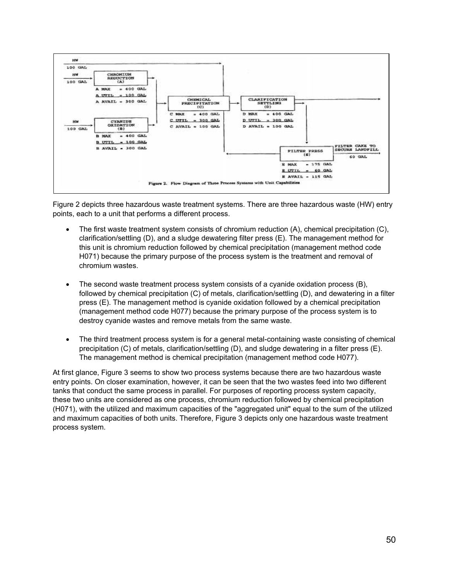

Figure 2 depicts three hazardous waste treatment systems. There are three hazardous waste (HW) entry points, each to a unit that performs a different process.

- The first waste treatment system consists of chromium reduction (A), chemical precipitation (C), clarification/settling (D), and a sludge dewatering filter press (E). The management method for this unit is chromium reduction followed by chemical precipitation (management method code H071) because the primary purpose of the process system is the treatment and removal of chromium wastes.
- The second waste treatment process system consists of a cyanide oxidation process (B), followed by chemical precipitation (C) of metals, clarification/settling (D), and dewatering in a filter press (E). The management method is cyanide oxidation followed by a chemical precipitation (management method code H077) because the primary purpose of the process system is to destroy cyanide wastes and remove metals from the same waste.
- The third treatment process system is for a general metal-containing waste consisting of chemical precipitation (C) of metals, clarification/settling (D), and sludge dewatering in a filter press (E). The management method is chemical precipitation (management method code H077).

At first glance, Figure 3 seems to show two process systems because there are two hazardous waste entry points. On closer examination, however, it can be seen that the two wastes feed into two different tanks that conduct the same process in parallel. For purposes of reporting process system capacity, these two units are considered as one process, chromium reduction followed by chemical precipitation (H071), with the utilized and maximum capacities of the "aggregated unit" equal to the sum of the utilized and maximum capacities of both units. Therefore, Figure 3 depicts only one hazardous waste treatment process system.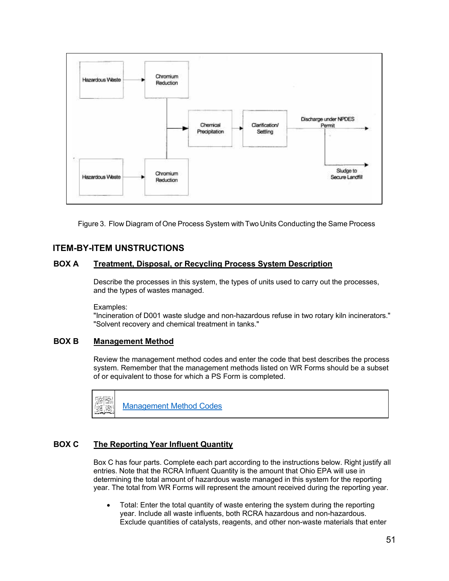

Figure 3. Flow Diagram of One Process System with Two Units Conducting the Same Process

## **ITEM-BY-ITEM UNSTRUCTIONS**

### **BOX A Treatment, Disposal, or Recycling Process System Description**

Describe the processes in this system, the types of units used to carry out the processes, and the types of wastes managed.

Examples:

"Incineration of D001 waste sludge and non-hazardous refuse in two rotary kiln incinerators." "Solvent recovery and chemical treatment in tanks."

### **BOX B Management Method**

Review the management method codes and enter the code that best describes the process system. Remember that the management methods listed on WR Forms should be a subset of or equivalent to those for which a PS Form is completed.



[Management](#page-71-0) Method Codes

## **BOX C The Reporting Year Influent Quantity**

Box C has four parts. Complete each part according to the instructions below. Right justify all entries. Note that the RCRA Influent Quantity is the amount that Ohio EPA will use in determining the total amount of hazardous waste managed in this system for the reporting year. The total from WR Forms will represent the amount received during the reporting year.

• Total: Enter the total quantity of waste entering the system during the reporting year. Include all waste influents, both RCRA hazardous and non-hazardous. Exclude quantities of catalysts, reagents, and other non-waste materials that enter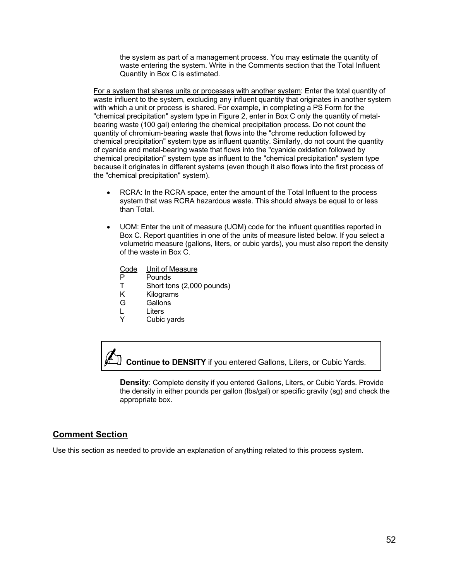the system as part of a management process. You may estimate the quantity of waste entering the system. Write in the Comments section that the Total Influent Quantity in Box C is estimated.

For a system that shares units or processes with another system: Enter the total quantity of waste influent to the system, excluding any influent quantity that originates in another system with which a unit or process is shared. For example, in completing a PS Form for the "chemical precipitation" system type in Figure 2, enter in Box C only the quantity of metalbearing waste (100 gal) entering the chemical precipitation process. Do not count the quantity of chromium-bearing waste that flows into the "chrome reduction followed by chemical precipitation" system type as influent quantity. Similarly, do not count the quantity of cyanide and metal-bearing waste that flows into the "cyanide oxidation followed by chemical precipitation" system type as influent to the "chemical precipitation" system type because it originates in different systems (even though it also flows into the first process of the "chemical precipitation" system).

- RCRA: In the RCRA space, enter the amount of the Total Influent to the process system that was RCRA hazardous waste. This should always be equal to or less than Total.
- UOM: Enter the unit of measure (UOM) code for the influent quantities reported in Box C. Report quantities in one of the units of measure listed below. If you select a volumetric measure (gallons, liters, or cubic yards), you must also report the density of the waste in Box C.
	- Code Unit of Measure
	- P Pounds<br>T Short to
	- Short tons (2,000 pounds)
	- K Kilograms
	- G Gallons<br>L Liters
	- **Liters**
	- Y Cubic yards

**Continue to DENSITY** if you entered Gallons, Liters, or Cubic Yards.

**Density**: Complete density if you entered Gallons, Liters, or Cubic Yards. Provide the density in either pounds per gallon (lbs/gal) or specific gravity (sg) and check the appropriate box.

### **Comment Section**

Use this section as needed to provide an explanation of anything related to this process system.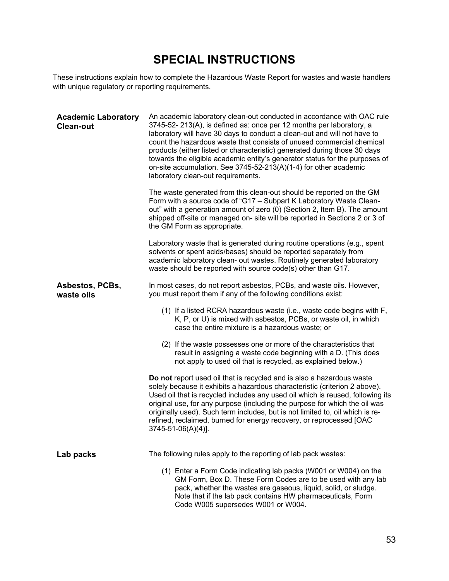# **SPECIAL INSTRUCTIONS**

<span id="page-52-0"></span>These instructions explain how to complete the Hazardous Waste Report for wastes and waste handlers with unique regulatory or reporting requirements.

| <b>Academic Laboratory</b><br><b>Clean-out</b> | An academic laboratory clean-out conducted in accordance with OAC rule<br>3745-52-213(A), is defined as: once per 12 months per laboratory, a<br>laboratory will have 30 days to conduct a clean-out and will not have to<br>count the hazardous waste that consists of unused commercial chemical<br>products (either listed or characteristic) generated during those 30 days<br>towards the eligible academic entity's generator status for the purposes of<br>on-site accumulation. See 3745-52-213(A)(1-4) for other academic<br>laboratory clean-out requirements. |
|------------------------------------------------|--------------------------------------------------------------------------------------------------------------------------------------------------------------------------------------------------------------------------------------------------------------------------------------------------------------------------------------------------------------------------------------------------------------------------------------------------------------------------------------------------------------------------------------------------------------------------|
|                                                | The waste generated from this clean-out should be reported on the GM<br>Form with a source code of "G17 - Subpart K Laboratory Waste Clean-<br>out" with a generation amount of zero (0) (Section 2, Item B). The amount<br>shipped off-site or managed on- site will be reported in Sections 2 or 3 of<br>the GM Form as appropriate.                                                                                                                                                                                                                                   |
|                                                | Laboratory waste that is generated during routine operations (e.g., spent<br>solvents or spent acids/bases) should be reported separately from<br>academic laboratory clean- out wastes. Routinely generated laboratory<br>waste should be reported with source code(s) other than G17.                                                                                                                                                                                                                                                                                  |
| Asbestos, PCBs,<br>waste oils                  | In most cases, do not report asbestos, PCBs, and waste oils. However,<br>you must report them if any of the following conditions exist:                                                                                                                                                                                                                                                                                                                                                                                                                                  |
|                                                | (1) If a listed RCRA hazardous waste (i.e., waste code begins with F,<br>K, P, or U) is mixed with asbestos, PCBs, or waste oil, in which<br>case the entire mixture is a hazardous waste; or                                                                                                                                                                                                                                                                                                                                                                            |
|                                                | (2) If the waste possesses one or more of the characteristics that<br>result in assigning a waste code beginning with a D. (This does<br>not apply to used oil that is recycled, as explained below.)                                                                                                                                                                                                                                                                                                                                                                    |
|                                                | Do not report used oil that is recycled and is also a hazardous waste<br>solely because it exhibits a hazardous characteristic (criterion 2 above).<br>Used oil that is recycled includes any used oil which is reused, following its<br>original use, for any purpose (including the purpose for which the oil was<br>originally used). Such term includes, but is not limited to, oil which is re-<br>refined, reclaimed, burned for energy recovery, or reprocessed [OAC<br>3745-51-06(A)(4)].                                                                        |
| Lab packs                                      | The following rules apply to the reporting of lab pack wastes:                                                                                                                                                                                                                                                                                                                                                                                                                                                                                                           |
|                                                | (1) Enter a Form Code indicating lab packs (W001 or W004) on the<br>GM Form, Box D. These Form Codes are to be used with any lab<br>pack, whether the wastes are gaseous, liquid, solid, or sludge.<br>Note that if the lab pack contains HW pharmaceuticals, Form<br>Code W005 supersedes W001 or W004.                                                                                                                                                                                                                                                                 |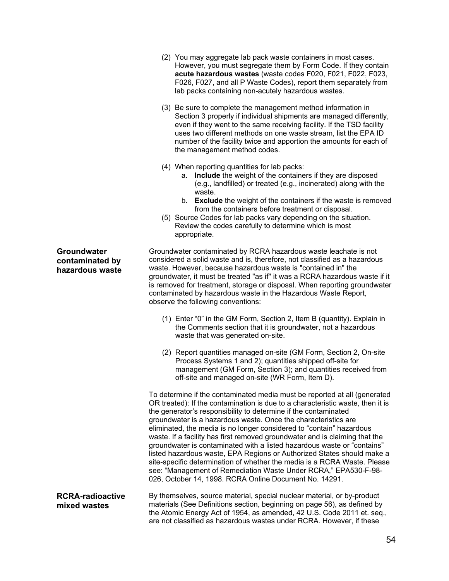- (2) You may aggregate lab pack waste containers in most cases. However, you must segregate them by Form Code. If they contain **acute hazardous wastes** (waste codes F020, F021, F022, F023, F026, F027, and all P Waste Codes), report them separately from lab packs containing non-acutely hazardous wastes.
- (3) Be sure to complete the management method information in Section 3 properly if individual shipments are managed differently, even if they went to the same receiving facility. If the TSD facility uses two different methods on one waste stream, list the EPA ID number of the facility twice and apportion the amounts for each of the management method codes.
- (4) When reporting quantities for lab packs:
	- a. **Include** the weight of the containers if they are disposed (e.g., landfilled) or treated (e.g., incinerated) along with the waste.
	- b. **Exclude** the weight of the containers if the waste is removed from the containers before treatment or disposal.
- (5) Source Codes for lab packs vary depending on the situation. Review the codes carefully to determine which is most appropriate.

**Groundwater contaminated by hazardous waste** Groundwater contaminated by RCRA hazardous waste leachate is not considered a solid waste and is, therefore, not classified as a hazardous waste. However, because hazardous waste is "contained in" the groundwater, it must be treated "as if" it was a RCRA hazardous waste if it is removed for treatment, storage or disposal. When reporting groundwater contaminated by hazardous waste in the Hazardous Waste Report, observe the following conventions:

- (1) Enter "0" in the GM Form, Section 2, Item B (quantity). Explain in the Comments section that it is groundwater, not a hazardous waste that was generated on-site.
- (2) Report quantities managed on-site (GM Form, Section 2, On-site Process Systems 1 and 2); quantities shipped off-site for management (GM Form, Section 3); and quantities received from off-site and managed on-site (WR Form, Item D).

To determine if the contaminated media must be reported at all (generated OR treated): If the contamination is due to a characteristic waste, then it is the generator's responsibility to determine if the contaminated groundwater is a hazardous waste. Once the characteristics are eliminated, the media is no longer considered to "contain" hazardous waste. If a facility has first removed groundwater and is claiming that the groundwater is contaminated with a listed hazardous waste or "contains" listed hazardous waste, EPA Regions or Authorized States should make a site-specific determination of whether the media is a RCRA Waste. Please see: "Management of Remediation Waste Under RCRA," EPA530-F-98- 026, October 14, 1998. RCRA Online Document No. 14291.

**RCRA-radioactive mixed wastes** By themselves, source material, special nuclear material, or by-product materials (See Definitions section, beginning on page 56), as defined by the Atomic Energy Act of 1954, as amended, 42 U.S. Code 2011 et. seq., are not classified as hazardous wastes under RCRA. However, if these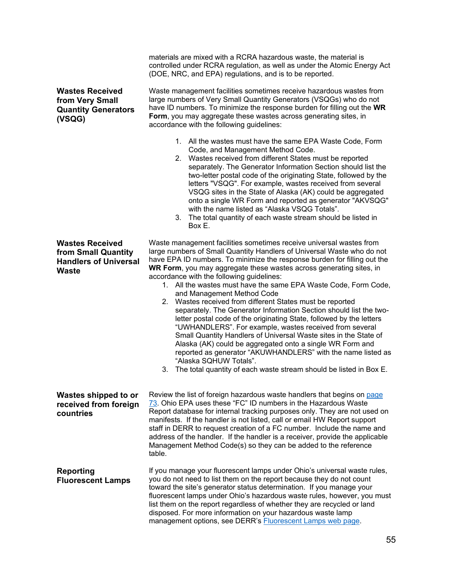|                                                                                               | controlled under RCRA regulation, as well as under the Atomic Energy Act<br>(DOE, NRC, and EPA) regulations, and is to be reported.                                                                                                                                                                                                                                                                                                                                                                                                                                                                                                                                                                                                                                                                                                                                                                                                                                                                                         |
|-----------------------------------------------------------------------------------------------|-----------------------------------------------------------------------------------------------------------------------------------------------------------------------------------------------------------------------------------------------------------------------------------------------------------------------------------------------------------------------------------------------------------------------------------------------------------------------------------------------------------------------------------------------------------------------------------------------------------------------------------------------------------------------------------------------------------------------------------------------------------------------------------------------------------------------------------------------------------------------------------------------------------------------------------------------------------------------------------------------------------------------------|
| <b>Wastes Received</b><br>from Very Small<br><b>Quantity Generators</b><br>(VSQG)             | Waste management facilities sometimes receive hazardous wastes from<br>large numbers of Very Small Quantity Generators (VSQGs) who do not<br>have ID numbers. To minimize the response burden for filling out the WR<br>Form, you may aggregate these wastes across generating sites, in<br>accordance with the following guidelines:                                                                                                                                                                                                                                                                                                                                                                                                                                                                                                                                                                                                                                                                                       |
|                                                                                               | 1. All the wastes must have the same EPA Waste Code, Form<br>Code, and Management Method Code.<br>Wastes received from different States must be reported<br>2.<br>separately. The Generator Information Section should list the<br>two-letter postal code of the originating State, followed by the<br>letters "VSQG". For example, wastes received from several<br>VSQG sites in the State of Alaska (AK) could be aggregated<br>onto a single WR Form and reported as generator "AKVSQG"<br>with the name listed as "Alaska VSQG Totals".<br>3.<br>The total quantity of each waste stream should be listed in<br>Box E.                                                                                                                                                                                                                                                                                                                                                                                                  |
| <b>Wastes Received</b><br>from Small Quantity<br><b>Handlers of Universal</b><br><b>Waste</b> | Waste management facilities sometimes receive universal wastes from<br>large numbers of Small Quantity Handlers of Universal Waste who do not<br>have EPA ID numbers. To minimize the response burden for filling out the<br>WR Form, you may aggregate these wastes across generating sites, in<br>accordance with the following guidelines:<br>1. All the wastes must have the same EPA Waste Code, Form Code,<br>and Management Method Code<br>2. Wastes received from different States must be reported<br>separately. The Generator Information Section should list the two-<br>letter postal code of the originating State, followed by the letters<br>"UWHANDLERS". For example, wastes received from several<br>Small Quantity Handlers of Universal Waste sites in the State of<br>Alaska (AK) could be aggregated onto a single WR Form and<br>reported as generator "AKUWHANDLERS" with the name listed as<br>"Alaska SQHUW Totals".<br>The total quantity of each waste stream should be listed in Box E.<br>3. |
| Wastes shipped to or<br>received from foreign<br>countries                                    | Review the list of foreign hazardous waste handlers that begins on page<br>73. Ohio EPA uses these "FC" ID numbers in the Hazardous Waste<br>Report database for internal tracking purposes only. They are not used on<br>manifests. If the handler is not listed, call or email HW Report support<br>staff in DERR to request creation of a FC number. Include the name and<br>address of the handler. If the handler is a receiver, provide the applicable<br>Management Method Code(s) so they can be added to the reference<br>table.                                                                                                                                                                                                                                                                                                                                                                                                                                                                                   |
| <b>Reporting</b><br><b>Fluorescent Lamps</b>                                                  | If you manage your fluorescent lamps under Ohio's universal waste rules,<br>you do not need to list them on the report because they do not count<br>toward the site's generator status determination. If you manage your<br>fluorescent lamps under Ohio's hazardous waste rules, however, you must<br>list them on the report regardless of whether they are recycled or land<br>disposed. For more information on your hazardous waste lamp<br>management options, see DERR's <b>Fluorescent Lamps web page</b> .                                                                                                                                                                                                                                                                                                                                                                                                                                                                                                         |

materials are mixed with a RCRA hazardous waste, the material is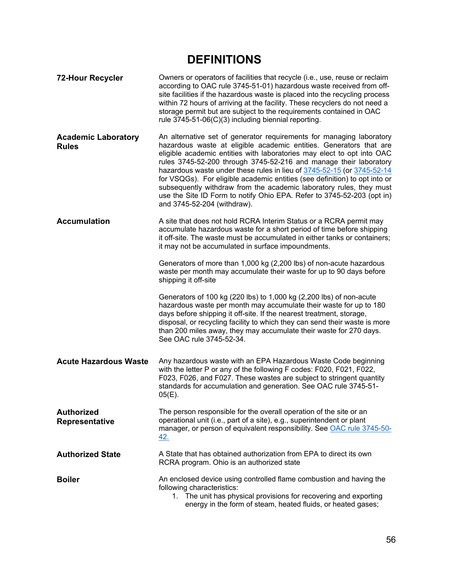# **DEFINITIONS**

| <b>72-Hour Recycler</b>                    | Owners or operators of facilities that recycle (i.e., use, reuse or reclaim<br>according to OAC rule 3745-51-01) hazardous waste received from off-<br>site facilities if the hazardous waste is placed into the recycling process<br>within 72 hours of arriving at the facility. These recyclers do not need a<br>storage permit but are subject to the requirements contained in OAC<br>rule 3745-51-06(C)(3) including biennial reporting.                                                                                                                                                                                    |
|--------------------------------------------|-----------------------------------------------------------------------------------------------------------------------------------------------------------------------------------------------------------------------------------------------------------------------------------------------------------------------------------------------------------------------------------------------------------------------------------------------------------------------------------------------------------------------------------------------------------------------------------------------------------------------------------|
| <b>Academic Laboratory</b><br><b>Rules</b> | An alternative set of generator requirements for managing laboratory<br>hazardous waste at eligible academic entities. Generators that are<br>eligible academic entities with laboratories may elect to opt into OAC<br>rules 3745-52-200 through 3745-52-216 and manage their laboratory<br>hazardous waste under these rules in lieu of 3745-52-15 (or 3745-52-14<br>for VSQGs). For eligible academic entities (see definition) to opt into or<br>subsequently withdraw from the academic laboratory rules, they must<br>use the Site ID Form to notify Ohio EPA. Refer to 3745-52-203 (opt in)<br>and 3745-52-204 (withdraw). |
| <b>Accumulation</b>                        | A site that does not hold RCRA Interim Status or a RCRA permit may<br>accumulate hazardous waste for a short period of time before shipping<br>it off-site. The waste must be accumulated in either tanks or containers;<br>it may not be accumulated in surface impoundments.                                                                                                                                                                                                                                                                                                                                                    |
|                                            | Generators of more than 1,000 kg (2,200 lbs) of non-acute hazardous<br>waste per month may accumulate their waste for up to 90 days before<br>shipping it off-site                                                                                                                                                                                                                                                                                                                                                                                                                                                                |
|                                            | Generators of 100 kg (220 lbs) to 1,000 kg (2,200 lbs) of non-acute<br>hazardous waste per month may accumulate their waste for up to 180<br>days before shipping it off-site. If the nearest treatment, storage,<br>disposal, or recycling facility to which they can send their waste is more<br>than 200 miles away, they may accumulate their waste for 270 days.<br>See OAC rule 3745-52-34.                                                                                                                                                                                                                                 |
| <b>Acute Hazardous Waste</b>               | Any hazardous waste with an EPA Hazardous Waste Code beginning<br>with the letter P or any of the following F codes: F020, F021, F022,<br>F023, F026, and F027. These wastes are subject to stringent quantity<br>standards for accumulation and generation. See OAC rule 3745-51-<br>$05(E)$ .                                                                                                                                                                                                                                                                                                                                   |
| <b>Authorized</b><br>Representative        | The person responsible for the overall operation of the site or an<br>operational unit (i.e., part of a site), e.g., superintendent or plant<br>manager, or person of equivalent responsibility. See OAC rule 3745-50-<br><u>42.</u>                                                                                                                                                                                                                                                                                                                                                                                              |
| <b>Authorized State</b>                    | A State that has obtained authorization from EPA to direct its own<br>RCRA program. Ohio is an authorized state                                                                                                                                                                                                                                                                                                                                                                                                                                                                                                                   |
| <b>Boiler</b>                              | An enclosed device using controlled flame combustion and having the<br>following characteristics:<br>1. The unit has physical provisions for recovering and exporting<br>energy in the form of steam, heated fluids, or heated gases;                                                                                                                                                                                                                                                                                                                                                                                             |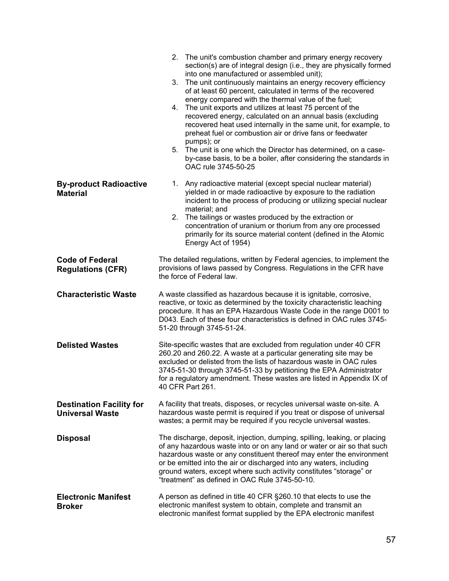|                                                           | 2. The unit's combustion chamber and primary energy recovery<br>section(s) are of integral design (i.e., they are physically formed<br>into one manufactured or assembled unit);<br>The unit continuously maintains an energy recovery efficiency<br>3.<br>of at least 60 percent, calculated in terms of the recovered<br>energy compared with the thermal value of the fuel;<br>4. The unit exports and utilizes at least 75 percent of the<br>recovered energy, calculated on an annual basis (excluding<br>recovered heat used internally in the same unit, for example, to<br>preheat fuel or combustion air or drive fans or feedwater<br>pumps); or<br>5. The unit is one which the Director has determined, on a case-<br>by-case basis, to be a boiler, after considering the standards in<br>OAC rule 3745-50-25 |
|-----------------------------------------------------------|----------------------------------------------------------------------------------------------------------------------------------------------------------------------------------------------------------------------------------------------------------------------------------------------------------------------------------------------------------------------------------------------------------------------------------------------------------------------------------------------------------------------------------------------------------------------------------------------------------------------------------------------------------------------------------------------------------------------------------------------------------------------------------------------------------------------------|
| <b>By-product Radioactive</b><br><b>Material</b>          | Any radioactive material (except special nuclear material)<br>1.<br>yielded in or made radioactive by exposure to the radiation<br>incident to the process of producing or utilizing special nuclear<br>material; and<br>2.<br>The tailings or wastes produced by the extraction or<br>concentration of uranium or thorium from any ore processed<br>primarily for its source material content (defined in the Atomic<br>Energy Act of 1954)                                                                                                                                                                                                                                                                                                                                                                               |
| <b>Code of Federal</b><br><b>Regulations (CFR)</b>        | The detailed regulations, written by Federal agencies, to implement the<br>provisions of laws passed by Congress. Regulations in the CFR have<br>the force of Federal law.                                                                                                                                                                                                                                                                                                                                                                                                                                                                                                                                                                                                                                                 |
| <b>Characteristic Waste</b>                               | A waste classified as hazardous because it is ignitable, corrosive,<br>reactive, or toxic as determined by the toxicity characteristic leaching<br>procedure. It has an EPA Hazardous Waste Code in the range D001 to<br>D043. Each of these four characteristics is defined in OAC rules 3745-<br>51-20 through 3745-51-24.                                                                                                                                                                                                                                                                                                                                                                                                                                                                                               |
| <b>Delisted Wastes</b>                                    | Site-specific wastes that are excluded from regulation under 40 CFR<br>260.20 and 260.22. A waste at a particular generating site may be<br>excluded or delisted from the lists of hazardous waste in OAC rules<br>3745-51-30 through 3745-51-33 by petitioning the EPA Administrator<br>for a regulatory amendment. These wastes are listed in Appendix IX of<br>40 CFR Part 261.                                                                                                                                                                                                                                                                                                                                                                                                                                         |
| <b>Destination Facility for</b><br><b>Universal Waste</b> | A facility that treats, disposes, or recycles universal waste on-site. A<br>hazardous waste permit is required if you treat or dispose of universal<br>wastes; a permit may be required if you recycle universal wastes.                                                                                                                                                                                                                                                                                                                                                                                                                                                                                                                                                                                                   |
| <b>Disposal</b>                                           | The discharge, deposit, injection, dumping, spilling, leaking, or placing<br>of any hazardous waste into or on any land or water or air so that such<br>hazardous waste or any constituent thereof may enter the environment<br>or be emitted into the air or discharged into any waters, including<br>ground waters, except where such activity constitutes "storage" or<br>"treatment" as defined in OAC Rule 3745-50-10.                                                                                                                                                                                                                                                                                                                                                                                                |
| <b>Electronic Manifest</b><br><b>Broker</b>               | A person as defined in title 40 CFR §260.10 that elects to use the<br>electronic manifest system to obtain, complete and transmit an<br>electronic manifest format supplied by the EPA electronic manifest                                                                                                                                                                                                                                                                                                                                                                                                                                                                                                                                                                                                                 |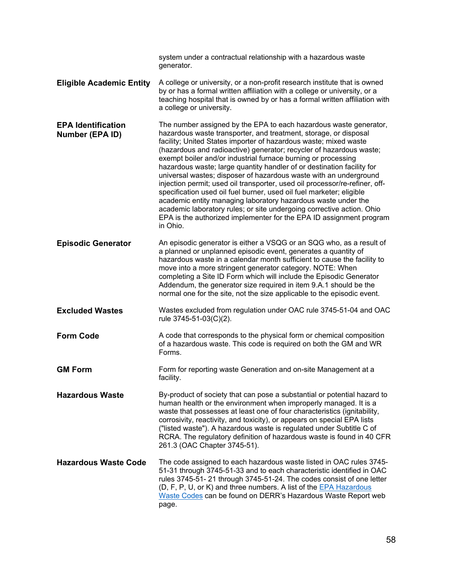|                                              | system under a contractual relationship with a hazardous waste<br>generator.                                                                                                                                                                                                                                                                                                                                                                                                                                                                                                                                                                                                                                                                                                                                                                                                         |
|----------------------------------------------|--------------------------------------------------------------------------------------------------------------------------------------------------------------------------------------------------------------------------------------------------------------------------------------------------------------------------------------------------------------------------------------------------------------------------------------------------------------------------------------------------------------------------------------------------------------------------------------------------------------------------------------------------------------------------------------------------------------------------------------------------------------------------------------------------------------------------------------------------------------------------------------|
| <b>Eligible Academic Entity</b>              | A college or university, or a non-profit research institute that is owned<br>by or has a formal written affiliation with a college or university, or a<br>teaching hospital that is owned by or has a formal written affiliation with<br>a college or university.                                                                                                                                                                                                                                                                                                                                                                                                                                                                                                                                                                                                                    |
| <b>EPA Identification</b><br>Number (EPA ID) | The number assigned by the EPA to each hazardous waste generator,<br>hazardous waste transporter, and treatment, storage, or disposal<br>facility; United States importer of hazardous waste; mixed waste<br>(hazardous and radioactive) generator; recycler of hazardous waste;<br>exempt boiler and/or industrial furnace burning or processing<br>hazardous waste; large quantity handler of or destination facility for<br>universal wastes; disposer of hazardous waste with an underground<br>injection permit; used oil transporter, used oil processor/re-refiner, off-<br>specification used oil fuel burner, used oil fuel marketer; eligible<br>academic entity managing laboratory hazardous waste under the<br>academic laboratory rules; or site undergoing corrective action. Ohio<br>EPA is the authorized implementer for the EPA ID assignment program<br>in Ohio. |
| <b>Episodic Generator</b>                    | An episodic generator is either a VSQG or an SQG who, as a result of<br>a planned or unplanned episodic event, generates a quantity of<br>hazardous waste in a calendar month sufficient to cause the facility to<br>move into a more stringent generator category. NOTE: When<br>completing a Site ID Form which will include the Episodic Generator<br>Addendum, the generator size required in item 9.A.1 should be the<br>normal one for the site, not the size applicable to the episodic event.                                                                                                                                                                                                                                                                                                                                                                                |
| <b>Excluded Wastes</b>                       | Wastes excluded from regulation under OAC rule 3745-51-04 and OAC<br>rule 3745-51-03(C)(2).                                                                                                                                                                                                                                                                                                                                                                                                                                                                                                                                                                                                                                                                                                                                                                                          |
| <b>Form Code</b>                             | A code that corresponds to the physical form or chemical composition<br>of a hazardous waste. This code is required on both the GM and WR<br>Forms.                                                                                                                                                                                                                                                                                                                                                                                                                                                                                                                                                                                                                                                                                                                                  |
| <b>GM Form</b>                               | Form for reporting waste Generation and on-site Management at a<br>facility.                                                                                                                                                                                                                                                                                                                                                                                                                                                                                                                                                                                                                                                                                                                                                                                                         |
| <b>Hazardous Waste</b>                       | By-product of society that can pose a substantial or potential hazard to<br>human health or the environment when improperly managed. It is a<br>waste that possesses at least one of four characteristics (ignitability,<br>corrosivity, reactivity, and toxicity), or appears on special EPA lists<br>("listed waste"). A hazardous waste is regulated under Subtitle C of<br>RCRA. The regulatory definition of hazardous waste is found in 40 CFR<br>261.3 (OAC Chapter 3745-51).                                                                                                                                                                                                                                                                                                                                                                                                 |
| <b>Hazardous Waste Code</b>                  | The code assigned to each hazardous waste listed in OAC rules 3745-<br>51-31 through 3745-51-33 and to each characteristic identified in OAC<br>rules 3745-51-21 through 3745-51-24. The codes consist of one letter<br>(D, F, P, U, or K) and three numbers. A list of the EPA Hazardous<br>Waste Codes can be found on DERR's Hazardous Waste Report web<br>page.                                                                                                                                                                                                                                                                                                                                                                                                                                                                                                                  |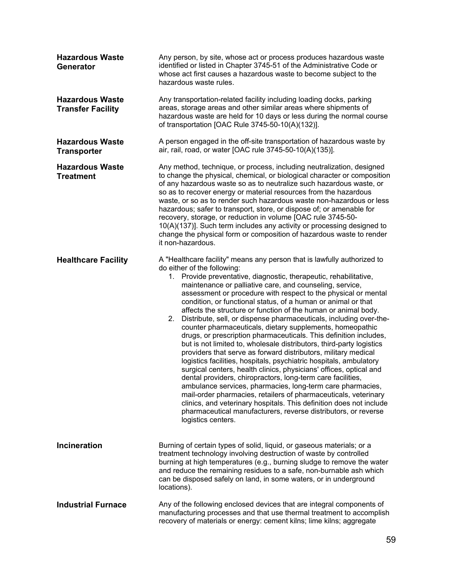| <b>Hazardous Waste</b><br><b>Generator</b>         | Any person, by site, whose act or process produces hazardous waste<br>identified or listed in Chapter 3745-51 of the Administrative Code or<br>whose act first causes a hazardous waste to become subject to the<br>hazardous waste rules.                                                                                                                                                                                                                                                                                                                                                                                                                                                                                                                                                                                                                                                                                                                                                                                                                                                                                                                                                                                                                                                                        |
|----------------------------------------------------|-------------------------------------------------------------------------------------------------------------------------------------------------------------------------------------------------------------------------------------------------------------------------------------------------------------------------------------------------------------------------------------------------------------------------------------------------------------------------------------------------------------------------------------------------------------------------------------------------------------------------------------------------------------------------------------------------------------------------------------------------------------------------------------------------------------------------------------------------------------------------------------------------------------------------------------------------------------------------------------------------------------------------------------------------------------------------------------------------------------------------------------------------------------------------------------------------------------------------------------------------------------------------------------------------------------------|
| <b>Hazardous Waste</b><br><b>Transfer Facility</b> | Any transportation-related facility including loading docks, parking<br>areas, storage areas and other similar areas where shipments of<br>hazardous waste are held for 10 days or less during the normal course<br>of transportation [OAC Rule 3745-50-10(A)(132)].                                                                                                                                                                                                                                                                                                                                                                                                                                                                                                                                                                                                                                                                                                                                                                                                                                                                                                                                                                                                                                              |
| <b>Hazardous Waste</b><br><b>Transporter</b>       | A person engaged in the off-site transportation of hazardous waste by<br>air, rail, road, or water [OAC rule 3745-50-10(A)(135)].                                                                                                                                                                                                                                                                                                                                                                                                                                                                                                                                                                                                                                                                                                                                                                                                                                                                                                                                                                                                                                                                                                                                                                                 |
| <b>Hazardous Waste</b><br><b>Treatment</b>         | Any method, technique, or process, including neutralization, designed<br>to change the physical, chemical, or biological character or composition<br>of any hazardous waste so as to neutralize such hazardous waste, or<br>so as to recover energy or material resources from the hazardous<br>waste, or so as to render such hazardous waste non-hazardous or less<br>hazardous; safer to transport, store, or dispose of; or amenable for<br>recovery, storage, or reduction in volume [OAC rule 3745-50-<br>10(A)(137)]. Such term includes any activity or processing designed to<br>change the physical form or composition of hazardous waste to render<br>it non-hazardous.                                                                                                                                                                                                                                                                                                                                                                                                                                                                                                                                                                                                                               |
| <b>Healthcare Facility</b>                         | A "Healthcare facility" means any person that is lawfully authorized to<br>do either of the following:<br>Provide preventative, diagnostic, therapeutic, rehabilitative,<br>1.<br>maintenance or palliative care, and counseling, service,<br>assessment or procedure with respect to the physical or mental<br>condition, or functional status, of a human or animal or that<br>affects the structure or function of the human or animal body.<br>Distribute, sell, or dispense pharmaceuticals, including over-the-<br>2.<br>counter pharmaceuticals, dietary supplements, homeopathic<br>drugs, or prescription pharmaceuticals. This definition includes,<br>but is not limited to, wholesale distributors, third-party logistics<br>providers that serve as forward distributors, military medical<br>logistics facilities, hospitals, psychiatric hospitals, ambulatory<br>surgical centers, health clinics, physicians' offices, optical and<br>dental providers, chiropractors, long-term care facilities<br>ambulance services, pharmacies, long-term care pharmacies,<br>mail-order pharmacies, retailers of pharmaceuticals, veterinary<br>clinics, and veterinary hospitals. This definition does not include<br>pharmaceutical manufacturers, reverse distributors, or reverse<br>logistics centers. |
| Incineration                                       | Burning of certain types of solid, liquid, or gaseous materials; or a<br>treatment technology involving destruction of waste by controlled<br>burning at high temperatures (e.g., burning sludge to remove the water<br>and reduce the remaining residues to a safe, non-burnable ash which<br>can be disposed safely on land, in some waters, or in underground<br>locations).                                                                                                                                                                                                                                                                                                                                                                                                                                                                                                                                                                                                                                                                                                                                                                                                                                                                                                                                   |
| <b>Industrial Furnace</b>                          | Any of the following enclosed devices that are integral components of<br>manufacturing processes and that use thermal treatment to accomplish<br>recovery of materials or energy: cement kilns; lime kilns; aggregate                                                                                                                                                                                                                                                                                                                                                                                                                                                                                                                                                                                                                                                                                                                                                                                                                                                                                                                                                                                                                                                                                             |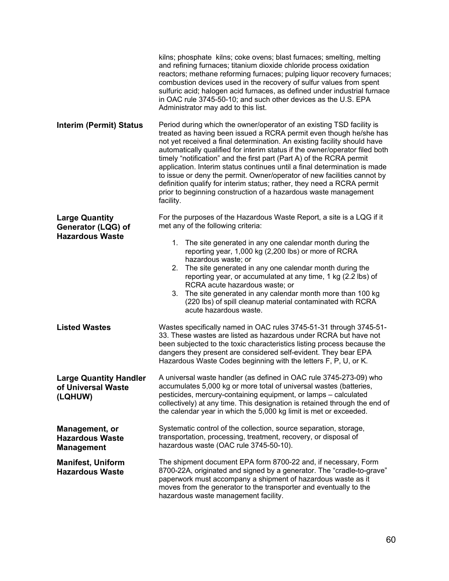|                                                                       | kilns; phosphate kilns; coke ovens; blast furnaces; smelting, melting<br>and refining furnaces; titanium dioxide chloride process oxidation<br>reactors; methane reforming furnaces; pulping liquor recovery furnaces;<br>combustion devices used in the recovery of sulfur values from spent<br>sulfuric acid; halogen acid furnaces, as defined under industrial furnace<br>in OAC rule 3745-50-10; and such other devices as the U.S. EPA<br>Administrator may add to this list.                                                                                                                                                                                                              |
|-----------------------------------------------------------------------|--------------------------------------------------------------------------------------------------------------------------------------------------------------------------------------------------------------------------------------------------------------------------------------------------------------------------------------------------------------------------------------------------------------------------------------------------------------------------------------------------------------------------------------------------------------------------------------------------------------------------------------------------------------------------------------------------|
| <b>Interim (Permit) Status</b>                                        | Period during which the owner/operator of an existing TSD facility is<br>treated as having been issued a RCRA permit even though he/she has<br>not yet received a final determination. An existing facility should have<br>automatically qualified for interim status if the owner/operator filed both<br>timely "notification" and the first part (Part A) of the RCRA permit<br>application. Interim status continues until a final determination is made<br>to issue or deny the permit. Owner/operator of new facilities cannot by<br>definition qualify for interim status; rather, they need a RCRA permit<br>prior to beginning construction of a hazardous waste management<br>facility. |
| <b>Large Quantity</b><br>Generator (LQG) of<br><b>Hazardous Waste</b> | For the purposes of the Hazardous Waste Report, a site is a LQG if it<br>met any of the following criteria:                                                                                                                                                                                                                                                                                                                                                                                                                                                                                                                                                                                      |
|                                                                       | 1. The site generated in any one calendar month during the<br>reporting year, 1,000 kg (2,200 lbs) or more of RCRA<br>hazardous waste; or<br>The site generated in any one calendar month during the<br>2.<br>reporting year, or accumulated at any time, 1 kg (2.2 lbs) of<br>RCRA acute hazardous waste; or<br>3. The site generated in any calendar month more than 100 kg<br>(220 lbs) of spill cleanup material contaminated with RCRA<br>acute hazardous waste.                                                                                                                                                                                                                            |
| <b>Listed Wastes</b>                                                  | Wastes specifically named in OAC rules 3745-51-31 through 3745-51-<br>33. These wastes are listed as hazardous under RCRA but have not<br>been subjected to the toxic characteristics listing process because the<br>dangers they present are considered self-evident. They bear EPA<br>Hazardous Waste Codes beginning with the letters F, P, U, or K.                                                                                                                                                                                                                                                                                                                                          |
| <b>Large Quantity Handler</b><br>of Universal Waste<br>(LQHUW)        | A universal waste handler (as defined in OAC rule 3745-273-09) who<br>accumulates 5,000 kg or more total of universal wastes (batteries,<br>pesticides, mercury-containing equipment, or lamps - calculated<br>collectively) at any time. This designation is retained through the end of<br>the calendar year in which the 5,000 kg limit is met or exceeded.                                                                                                                                                                                                                                                                                                                                   |
| Management, or<br><b>Hazardous Waste</b><br><b>Management</b>         | Systematic control of the collection, source separation, storage,<br>transportation, processing, treatment, recovery, or disposal of<br>hazardous waste (OAC rule 3745-50-10).                                                                                                                                                                                                                                                                                                                                                                                                                                                                                                                   |
| <b>Manifest, Uniform</b><br><b>Hazardous Waste</b>                    | The shipment document EPA form 8700-22 and, if necessary, Form<br>8700-22A, originated and signed by a generator. The "cradle-to-grave"<br>paperwork must accompany a shipment of hazardous waste as it<br>moves from the generator to the transporter and eventually to the<br>hazardous waste management facility.                                                                                                                                                                                                                                                                                                                                                                             |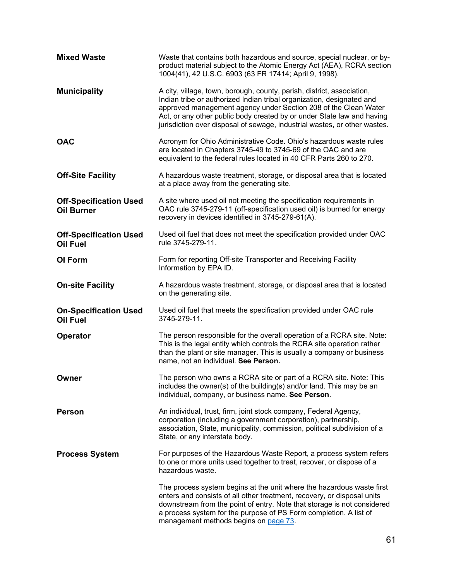| <b>Mixed Waste</b>                                 | Waste that contains both hazardous and source, special nuclear, or by-<br>product material subject to the Atomic Energy Act (AEA), RCRA section<br>1004(41), 42 U.S.C. 6903 (63 FR 17414; April 9, 1998).                                                                                                                                                                 |
|----------------------------------------------------|---------------------------------------------------------------------------------------------------------------------------------------------------------------------------------------------------------------------------------------------------------------------------------------------------------------------------------------------------------------------------|
| <b>Municipality</b>                                | A city, village, town, borough, county, parish, district, association,<br>Indian tribe or authorized Indian tribal organization, designated and<br>approved management agency under Section 208 of the Clean Water<br>Act, or any other public body created by or under State law and having<br>jurisdiction over disposal of sewage, industrial wastes, or other wastes. |
| <b>OAC</b>                                         | Acronym for Ohio Administrative Code. Ohio's hazardous waste rules<br>are located in Chapters 3745-49 to 3745-69 of the OAC and are<br>equivalent to the federal rules located in 40 CFR Parts 260 to 270.                                                                                                                                                                |
| <b>Off-Site Facility</b>                           | A hazardous waste treatment, storage, or disposal area that is located<br>at a place away from the generating site.                                                                                                                                                                                                                                                       |
| <b>Off-Specification Used</b><br><b>Oil Burner</b> | A site where used oil not meeting the specification requirements in<br>OAC rule 3745-279-11 (off-specification used oil) is burned for energy<br>recovery in devices identified in 3745-279-61(A).                                                                                                                                                                        |
| <b>Off-Specification Used</b><br><b>Oil Fuel</b>   | Used oil fuel that does not meet the specification provided under OAC<br>rule 3745-279-11.                                                                                                                                                                                                                                                                                |
| OI Form                                            | Form for reporting Off-site Transporter and Receiving Facility<br>Information by EPA ID.                                                                                                                                                                                                                                                                                  |
| <b>On-site Facility</b>                            | A hazardous waste treatment, storage, or disposal area that is located<br>on the generating site.                                                                                                                                                                                                                                                                         |
| <b>On-Specification Used</b><br><b>Oil Fuel</b>    | Used oil fuel that meets the specification provided under OAC rule<br>3745-279-11.                                                                                                                                                                                                                                                                                        |
| Operator                                           | The person responsible for the overall operation of a RCRA site. Note:<br>This is the legal entity which controls the RCRA site operation rather<br>than the plant or site manager. This is usually a company or business<br>name, not an individual. See Person.                                                                                                         |
| Owner                                              | The person who owns a RCRA site or part of a RCRA site. Note: This<br>includes the owner(s) of the building(s) and/or land. This may be an<br>individual, company, or business name. See Person.                                                                                                                                                                          |
| <b>Person</b>                                      | An individual, trust, firm, joint stock company, Federal Agency,<br>corporation (including a government corporation), partnership,<br>association, State, municipality, commission, political subdivision of a<br>State, or any interstate body.                                                                                                                          |
| <b>Process System</b>                              | For purposes of the Hazardous Waste Report, a process system refers<br>to one or more units used together to treat, recover, or dispose of a<br>hazardous waste.                                                                                                                                                                                                          |
|                                                    | The process system begins at the unit where the hazardous waste first<br>enters and consists of all other treatment, recovery, or disposal units<br>downstream from the point of entry. Note that storage is not considered<br>a process system for the purpose of PS Form completion. A list of<br>management methods begins on page 73.                                 |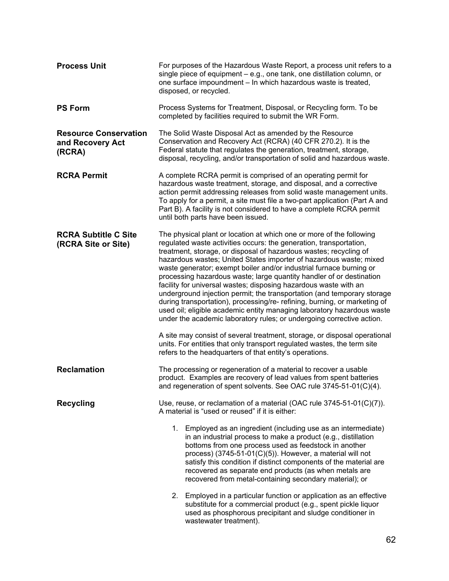| <b>Process Unit</b>                                        | For purposes of the Hazardous Waste Report, a process unit refers to a<br>single piece of equipment – e.g., one tank, one distillation column, or<br>one surface impoundment - In which hazardous waste is treated,<br>disposed, or recycled.                                                                                                                                                                                                                                                                                                                                                                                                                                                                                                                                                                                                                                                                                                                                                                                          |
|------------------------------------------------------------|----------------------------------------------------------------------------------------------------------------------------------------------------------------------------------------------------------------------------------------------------------------------------------------------------------------------------------------------------------------------------------------------------------------------------------------------------------------------------------------------------------------------------------------------------------------------------------------------------------------------------------------------------------------------------------------------------------------------------------------------------------------------------------------------------------------------------------------------------------------------------------------------------------------------------------------------------------------------------------------------------------------------------------------|
| <b>PS Form</b>                                             | Process Systems for Treatment, Disposal, or Recycling form. To be<br>completed by facilities required to submit the WR Form.                                                                                                                                                                                                                                                                                                                                                                                                                                                                                                                                                                                                                                                                                                                                                                                                                                                                                                           |
| <b>Resource Conservation</b><br>and Recovery Act<br>(RCRA) | The Solid Waste Disposal Act as amended by the Resource<br>Conservation and Recovery Act (RCRA) (40 CFR 270.2). It is the<br>Federal statute that regulates the generation, treatment, storage,<br>disposal, recycling, and/or transportation of solid and hazardous waste.                                                                                                                                                                                                                                                                                                                                                                                                                                                                                                                                                                                                                                                                                                                                                            |
| <b>RCRA Permit</b>                                         | A complete RCRA permit is comprised of an operating permit for<br>hazardous waste treatment, storage, and disposal, and a corrective<br>action permit addressing releases from solid waste management units.<br>To apply for a permit, a site must file a two-part application (Part A and<br>Part B). A facility is not considered to have a complete RCRA permit<br>until both parts have been issued.                                                                                                                                                                                                                                                                                                                                                                                                                                                                                                                                                                                                                               |
| <b>RCRA Subtitle C Site</b><br>(RCRA Site or Site)         | The physical plant or location at which one or more of the following<br>regulated waste activities occurs: the generation, transportation,<br>treatment, storage, or disposal of hazardous wastes; recycling of<br>hazardous wastes; United States importer of hazardous waste; mixed<br>waste generator; exempt boiler and/or industrial furnace burning or<br>processing hazardous waste; large quantity handler of or destination<br>facility for universal wastes; disposing hazardous waste with an<br>underground injection permit; the transportation (and temporary storage<br>during transportation), processing/re- refining, burning, or marketing of<br>used oil; eligible academic entity managing laboratory hazardous waste<br>under the academic laboratory rules; or undergoing corrective action.<br>A site may consist of several treatment, storage, or disposal operational<br>units. For entities that only transport regulated wastes, the term site<br>refers to the headquarters of that entity's operations. |
| <b>Reclamation</b>                                         | The processing or regeneration of a material to recover a usable<br>product. Examples are recovery of lead values from spent batteries<br>and regeneration of spent solvents. See OAC rule 3745-51-01(C)(4).                                                                                                                                                                                                                                                                                                                                                                                                                                                                                                                                                                                                                                                                                                                                                                                                                           |
| <b>Recycling</b>                                           | Use, reuse, or reclamation of a material (OAC rule $3745-51-01(C)(7)$ ).<br>A material is "used or reused" if it is either:                                                                                                                                                                                                                                                                                                                                                                                                                                                                                                                                                                                                                                                                                                                                                                                                                                                                                                            |
|                                                            | 1.<br>Employed as an ingredient (including use as an intermediate)<br>in an industrial process to make a product (e.g., distillation<br>bottoms from one process used as feedstock in another<br>process) $(3745-51-01(C)(5))$ . However, a material will not<br>satisfy this condition if distinct components of the material are<br>recovered as separate end products (as when metals are<br>recovered from metal-containing secondary material); or                                                                                                                                                                                                                                                                                                                                                                                                                                                                                                                                                                                |
|                                                            | Employed in a particular function or application as an effective<br>2.<br>substitute for a commercial product (e.g., spent pickle liquor<br>used as phosphorous precipitant and sludge conditioner in<br>wastewater treatment).                                                                                                                                                                                                                                                                                                                                                                                                                                                                                                                                                                                                                                                                                                                                                                                                        |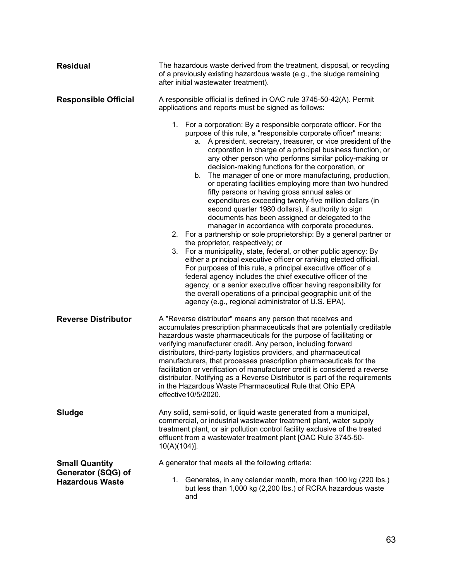| <b>Residual</b>                                                       | The hazardous waste derived from the treatment, disposal, or recycling<br>of a previously existing hazardous waste (e.g., the sludge remaining<br>after initial wastewater treatment).                                                                                                                                                                                                                                                                                                                                                                                                                                                                                                                                                                                                                                                                                                                                                                                                                                                                                                                                                                                                                                                                                                                                                                                      |
|-----------------------------------------------------------------------|-----------------------------------------------------------------------------------------------------------------------------------------------------------------------------------------------------------------------------------------------------------------------------------------------------------------------------------------------------------------------------------------------------------------------------------------------------------------------------------------------------------------------------------------------------------------------------------------------------------------------------------------------------------------------------------------------------------------------------------------------------------------------------------------------------------------------------------------------------------------------------------------------------------------------------------------------------------------------------------------------------------------------------------------------------------------------------------------------------------------------------------------------------------------------------------------------------------------------------------------------------------------------------------------------------------------------------------------------------------------------------|
| <b>Responsible Official</b>                                           | A responsible official is defined in OAC rule 3745-50-42(A). Permit<br>applications and reports must be signed as follows:                                                                                                                                                                                                                                                                                                                                                                                                                                                                                                                                                                                                                                                                                                                                                                                                                                                                                                                                                                                                                                                                                                                                                                                                                                                  |
|                                                                       | 1. For a corporation: By a responsible corporate officer. For the<br>purpose of this rule, a "responsible corporate officer" means:<br>A president, secretary, treasurer, or vice president of the<br>а.<br>corporation in charge of a principal business function, or<br>any other person who performs similar policy-making or<br>decision-making functions for the corporation, or<br>The manager of one or more manufacturing, production,<br>b.<br>or operating facilities employing more than two hundred<br>fifty persons or having gross annual sales or<br>expenditures exceeding twenty-five million dollars (in<br>second quarter 1980 dollars), if authority to sign<br>documents has been assigned or delegated to the<br>manager in accordance with corporate procedures.<br>For a partnership or sole proprietorship: By a general partner or<br>2.<br>the proprietor, respectively; or<br>For a municipality, state, federal, or other public agency: By<br>3.<br>either a principal executive officer or ranking elected official.<br>For purposes of this rule, a principal executive officer of a<br>federal agency includes the chief executive officer of the<br>agency, or a senior executive officer having responsibility for<br>the overall operations of a principal geographic unit of the<br>agency (e.g., regional administrator of U.S. EPA). |
| <b>Reverse Distributor</b>                                            | A "Reverse distributor" means any person that receives and<br>accumulates prescription pharmaceuticals that are potentially creditable<br>hazardous waste pharmaceuticals for the purpose of facilitating or<br>verifying manufacturer credit. Any person, including forward<br>distributors, third-party logistics providers, and pharmaceutical<br>manufacturers, that processes prescription pharmaceuticals for the<br>facilitation or verification of manufacturer credit is considered a reverse<br>distributor. Notifying as a Reverse Distributor is part of the requirements<br>in the Hazardous Waste Pharmaceutical Rule that Ohio EPA<br>effective10/5/2020.                                                                                                                                                                                                                                                                                                                                                                                                                                                                                                                                                                                                                                                                                                    |
| Sludge                                                                | Any solid, semi-solid, or liquid waste generated from a municipal,<br>commercial, or industrial wastewater treatment plant, water supply<br>treatment plant, or air pollution control facility exclusive of the treated<br>effluent from a wastewater treatment plant [OAC Rule 3745-50-<br>$10(A)(104)$ ].                                                                                                                                                                                                                                                                                                                                                                                                                                                                                                                                                                                                                                                                                                                                                                                                                                                                                                                                                                                                                                                                 |
| <b>Small Quantity</b><br>Generator (SQG) of<br><b>Hazardous Waste</b> | A generator that meets all the following criteria:<br>Generates, in any calendar month, more than 100 kg (220 lbs.)<br>1.<br>but less than 1,000 kg (2,200 lbs.) of RCRA hazardous waste<br>and                                                                                                                                                                                                                                                                                                                                                                                                                                                                                                                                                                                                                                                                                                                                                                                                                                                                                                                                                                                                                                                                                                                                                                             |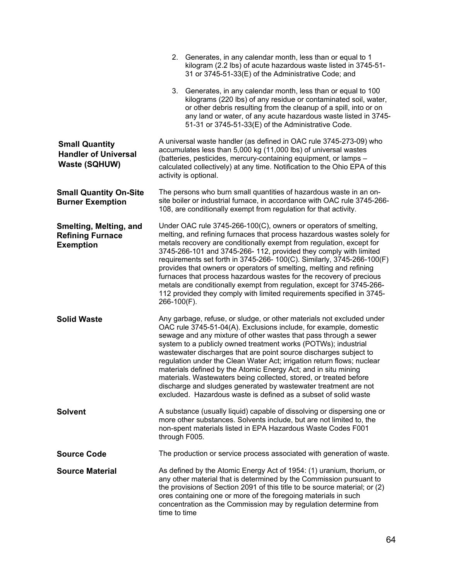|                                                                              | 2. Generates, in any calendar month, less than or equal to 1<br>kilogram (2.2 lbs) of acute hazardous waste listed in 3745-51-<br>31 or 3745-51-33(E) of the Administrative Code; and                                                                                                                                                                                                                                                                                                                                                                                                                                                                                                                        |
|------------------------------------------------------------------------------|--------------------------------------------------------------------------------------------------------------------------------------------------------------------------------------------------------------------------------------------------------------------------------------------------------------------------------------------------------------------------------------------------------------------------------------------------------------------------------------------------------------------------------------------------------------------------------------------------------------------------------------------------------------------------------------------------------------|
|                                                                              | 3. Generates, in any calendar month, less than or equal to 100<br>kilograms (220 lbs) of any residue or contaminated soil, water,<br>or other debris resulting from the cleanup of a spill, into or on<br>any land or water, of any acute hazardous waste listed in 3745-<br>51-31 or 3745-51-33(E) of the Administrative Code.                                                                                                                                                                                                                                                                                                                                                                              |
| <b>Small Quantity</b><br><b>Handler of Universal</b><br><b>Waste (SQHUW)</b> | A universal waste handler (as defined in OAC rule 3745-273-09) who<br>accumulates less than 5,000 kg (11,000 lbs) of universal wastes<br>(batteries, pesticides, mercury-containing equipment, or lamps -<br>calculated collectively) at any time. Notification to the Ohio EPA of this<br>activity is optional.                                                                                                                                                                                                                                                                                                                                                                                             |
| <b>Small Quantity On-Site</b><br><b>Burner Exemption</b>                     | The persons who burn small quantities of hazardous waste in an on-<br>site boiler or industrial furnace, in accordance with OAC rule 3745-266-<br>108, are conditionally exempt from regulation for that activity.                                                                                                                                                                                                                                                                                                                                                                                                                                                                                           |
| Smelting, Melting, and<br><b>Refining Furnace</b><br><b>Exemption</b>        | Under OAC rule 3745-266-100(C), owners or operators of smelting,<br>melting, and refining furnaces that process hazardous wastes solely for<br>metals recovery are conditionally exempt from regulation, except for<br>3745-266-101 and 3745-266-112, provided they comply with limited<br>requirements set forth in 3745-266- 100(C). Similarly, 3745-266-100(F)<br>provides that owners or operators of smelting, melting and refining<br>furnaces that process hazardous wastes for the recovery of precious<br>metals are conditionally exempt from regulation, except for 3745-266-<br>112 provided they comply with limited requirements specified in 3745-<br>266-100(F).                             |
| <b>Solid Waste</b>                                                           | Any garbage, refuse, or sludge, or other materials not excluded under<br>OAC rule 3745-51-04(A). Exclusions include, for example, domestic<br>sewage and any mixture of other wastes that pass through a sewer<br>system to a publicly owned treatment works (POTWs); industrial<br>wastewater discharges that are point source discharges subject to<br>regulation under the Clean Water Act; irrigation return flows; nuclear<br>materials defined by the Atomic Energy Act; and in situ mining<br>materials. Wastewaters being collected, stored, or treated before<br>discharge and sludges generated by wastewater treatment are not<br>excluded. Hazardous waste is defined as a subset of solid waste |
| <b>Solvent</b>                                                               | A substance (usually liquid) capable of dissolving or dispersing one or<br>more other substances. Solvents include, but are not limited to, the<br>non-spent materials listed in EPA Hazardous Waste Codes F001<br>through F005.                                                                                                                                                                                                                                                                                                                                                                                                                                                                             |
| <b>Source Code</b>                                                           | The production or service process associated with generation of waste.                                                                                                                                                                                                                                                                                                                                                                                                                                                                                                                                                                                                                                       |
| <b>Source Material</b>                                                       | As defined by the Atomic Energy Act of 1954: (1) uranium, thorium, or<br>any other material that is determined by the Commission pursuant to<br>the provisions of Section 2091 of this title to be source material; or (2)<br>ores containing one or more of the foregoing materials in such<br>concentration as the Commission may by regulation determine from<br>time to time                                                                                                                                                                                                                                                                                                                             |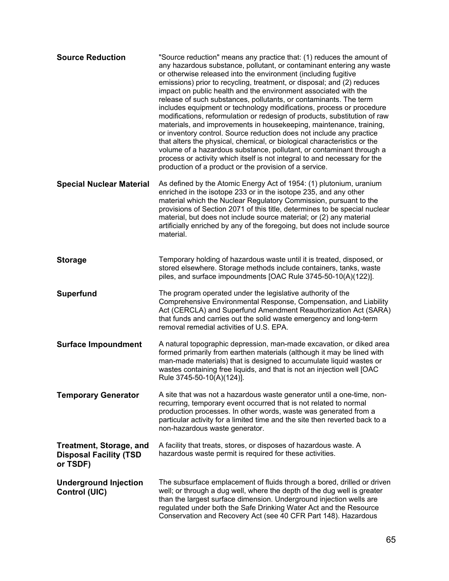| <b>Source Reduction</b>                                                     | "Source reduction" means any practice that: (1) reduces the amount of<br>any hazardous substance, pollutant, or contaminant entering any waste<br>or otherwise released into the environment (including fugitive<br>emissions) prior to recycling, treatment, or disposal; and (2) reduces<br>impact on public health and the environment associated with the<br>release of such substances, pollutants, or contaminants. The term<br>includes equipment or technology modifications, process or procedure<br>modifications, reformulation or redesign of products, substitution of raw<br>materials, and improvements in housekeeping, maintenance, training,<br>or inventory control. Source reduction does not include any practice<br>that alters the physical, chemical, or biological characteristics or the<br>volume of a hazardous substance, pollutant, or contaminant through a<br>process or activity which itself is not integral to and necessary for the<br>production of a product or the provision of a service. |
|-----------------------------------------------------------------------------|-----------------------------------------------------------------------------------------------------------------------------------------------------------------------------------------------------------------------------------------------------------------------------------------------------------------------------------------------------------------------------------------------------------------------------------------------------------------------------------------------------------------------------------------------------------------------------------------------------------------------------------------------------------------------------------------------------------------------------------------------------------------------------------------------------------------------------------------------------------------------------------------------------------------------------------------------------------------------------------------------------------------------------------|
| <b>Special Nuclear Material</b>                                             | As defined by the Atomic Energy Act of 1954: (1) plutonium, uranium<br>enriched in the isotope 233 or in the isotope 235, and any other<br>material which the Nuclear Regulatory Commission, pursuant to the<br>provisions of Section 2071 of this title, determines to be special nuclear<br>material, but does not include source material; or (2) any material<br>artificially enriched by any of the foregoing, but does not include source<br>material.                                                                                                                                                                                                                                                                                                                                                                                                                                                                                                                                                                      |
| <b>Storage</b>                                                              | Temporary holding of hazardous waste until it is treated, disposed, or<br>stored elsewhere. Storage methods include containers, tanks, waste<br>piles, and surface impoundments [OAC Rule 3745-50-10(A)(122)].                                                                                                                                                                                                                                                                                                                                                                                                                                                                                                                                                                                                                                                                                                                                                                                                                    |
| <b>Superfund</b>                                                            | The program operated under the legislative authority of the<br>Comprehensive Environmental Response, Compensation, and Liability<br>Act (CERCLA) and Superfund Amendment Reauthorization Act (SARA)<br>that funds and carries out the solid waste emergency and long-term<br>removal remedial activities of U.S. EPA.                                                                                                                                                                                                                                                                                                                                                                                                                                                                                                                                                                                                                                                                                                             |
| <b>Surface Impoundment</b>                                                  | A natural topographic depression, man-made excavation, or diked area<br>formed primarily from earthen materials (although it may be lined with<br>man-made materials) that is designed to accumulate liquid wastes or<br>wastes containing free liquids, and that is not an injection well [OAC<br>Rule 3745-50-10(A)(124)].                                                                                                                                                                                                                                                                                                                                                                                                                                                                                                                                                                                                                                                                                                      |
| <b>Temporary Generator</b>                                                  | A site that was not a hazardous waste generator until a one-time, non-<br>recurring, temporary event occurred that is not related to normal<br>production processes. In other words, waste was generated from a<br>particular activity for a limited time and the site then reverted back to a<br>non-hazardous waste generator.                                                                                                                                                                                                                                                                                                                                                                                                                                                                                                                                                                                                                                                                                                  |
| <b>Treatment, Storage, and</b><br><b>Disposal Facility (TSD</b><br>or TSDF) | A facility that treats, stores, or disposes of hazardous waste. A<br>hazardous waste permit is required for these activities.                                                                                                                                                                                                                                                                                                                                                                                                                                                                                                                                                                                                                                                                                                                                                                                                                                                                                                     |
| <b>Underground Injection</b><br>Control (UIC)                               | The subsurface emplacement of fluids through a bored, drilled or driven<br>well; or through a dug well, where the depth of the dug well is greater<br>than the largest surface dimension. Underground injection wells are<br>regulated under both the Safe Drinking Water Act and the Resource<br>Conservation and Recovery Act (see 40 CFR Part 148). Hazardous                                                                                                                                                                                                                                                                                                                                                                                                                                                                                                                                                                                                                                                                  |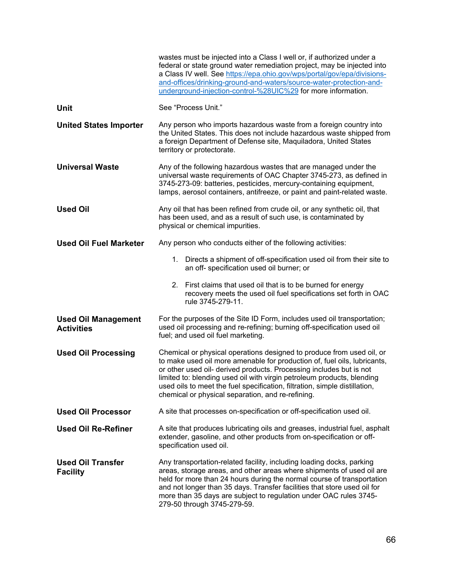|                                                 | wastes must be injected into a Class I well or, if authorized under a<br>federal or state ground water remediation project, may be injected into<br>a Class IV well. See https://epa.ohio.gov/wps/portal/gov/epa/divisions-<br>and-offices/drinking-ground-and-waters/source-water-protection-and-<br>underground-injection-control-%28UIC%29 for more information.                                                                   |
|-------------------------------------------------|---------------------------------------------------------------------------------------------------------------------------------------------------------------------------------------------------------------------------------------------------------------------------------------------------------------------------------------------------------------------------------------------------------------------------------------|
| <b>Unit</b>                                     | See "Process Unit."                                                                                                                                                                                                                                                                                                                                                                                                                   |
| <b>United States Importer</b>                   | Any person who imports hazardous waste from a foreign country into<br>the United States. This does not include hazardous waste shipped from<br>a foreign Department of Defense site, Maquiladora, United States<br>territory or protectorate.                                                                                                                                                                                         |
| <b>Universal Waste</b>                          | Any of the following hazardous wastes that are managed under the<br>universal waste requirements of OAC Chapter 3745-273, as defined in<br>3745-273-09: batteries, pesticides, mercury-containing equipment,<br>lamps, aerosol containers, antifreeze, or paint and paint-related waste.                                                                                                                                              |
| <b>Used Oil</b>                                 | Any oil that has been refined from crude oil, or any synthetic oil, that<br>has been used, and as a result of such use, is contaminated by<br>physical or chemical impurities.                                                                                                                                                                                                                                                        |
| <b>Used Oil Fuel Marketer</b>                   | Any person who conducts either of the following activities:                                                                                                                                                                                                                                                                                                                                                                           |
|                                                 | Directs a shipment of off-specification used oil from their site to<br>1.<br>an off- specification used oil burner; or                                                                                                                                                                                                                                                                                                                |
|                                                 | 2. First claims that used oil that is to be burned for energy<br>recovery meets the used oil fuel specifications set forth in OAC<br>rule 3745-279-11.                                                                                                                                                                                                                                                                                |
| <b>Used Oil Management</b><br><b>Activities</b> | For the purposes of the Site ID Form, includes used oil transportation;<br>used oil processing and re-refining; burning off-specification used oil<br>fuel; and used oil fuel marketing.                                                                                                                                                                                                                                              |
| <b>Used Oil Processing</b>                      | Chemical or physical operations designed to produce from used oil, or<br>to make used oil more amenable for production of, fuel oils, lubricants,<br>or other used oil- derived products. Processing includes but is not<br>limited to: blending used oil with virgin petroleum products, blending<br>used oils to meet the fuel specification, filtration, simple distillation,<br>chemical or physical separation, and re-refining. |
| <b>Used Oil Processor</b>                       | A site that processes on-specification or off-specification used oil.                                                                                                                                                                                                                                                                                                                                                                 |
| <b>Used Oil Re-Refiner</b>                      | A site that produces lubricating oils and greases, industrial fuel, asphalt<br>extender, gasoline, and other products from on-specification or off-<br>specification used oil.                                                                                                                                                                                                                                                        |
| <b>Used Oil Transfer</b><br><b>Facility</b>     | Any transportation-related facility, including loading docks, parking<br>areas, storage areas, and other areas where shipments of used oil are<br>held for more than 24 hours during the normal course of transportation<br>and not longer than 35 days. Transfer facilities that store used oil for<br>more than 35 days are subject to regulation under OAC rules 3745-<br>279-50 through 3745-279-59.                              |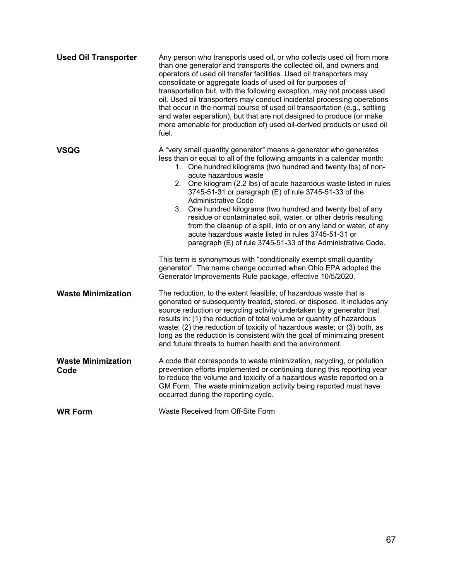| <b>Used Oil Transporter</b>       | Any person who transports used oil, or who collects used oil from more<br>than one generator and transports the collected oil, and owners and<br>operators of used oil transfer facilities. Used oil transporters may<br>consolidate or aggregate loads of used oil for purposes of<br>transportation but, with the following exception, may not process used<br>oil. Used oil transporters may conduct incidental processing operations<br>that occur in the normal course of used oil transportation (e.g., settling<br>and water separation), but that are not designed to produce (or make<br>more amenable for production of) used oil-derived products or used oil<br>fuel.                                                                                                                                                                                                                                              |
|-----------------------------------|--------------------------------------------------------------------------------------------------------------------------------------------------------------------------------------------------------------------------------------------------------------------------------------------------------------------------------------------------------------------------------------------------------------------------------------------------------------------------------------------------------------------------------------------------------------------------------------------------------------------------------------------------------------------------------------------------------------------------------------------------------------------------------------------------------------------------------------------------------------------------------------------------------------------------------|
| VSQG                              | A "very small quantity generator" means a generator who generates<br>less than or equal to all of the following amounts in a calendar month:<br>1. One hundred kilograms (two hundred and twenty lbs) of non-<br>acute hazardous waste<br>2. One kilogram (2.2 lbs) of acute hazardous waste listed in rules<br>3745-51-31 or paragraph (E) of rule 3745-51-33 of the<br>Administrative Code<br>3. One hundred kilograms (two hundred and twenty lbs) of any<br>residue or contaminated soil, water, or other debris resulting<br>from the cleanup of a spill, into or on any land or water, of any<br>acute hazardous waste listed in rules 3745-51-31 or<br>paragraph (E) of rule 3745-51-33 of the Administrative Code.<br>This term is synonymous with "conditionally exempt small quantity<br>generator". The name change occurred when Ohio EPA adopted the<br>Generator Improvements Rule package, effective 10/5/2020. |
| <b>Waste Minimization</b>         | The reduction, to the extent feasible, of hazardous waste that is<br>generated or subsequently treated, stored, or disposed. It includes any<br>source reduction or recycling activity undertaken by a generator that<br>results in: (1) the reduction of total volume or quantity of hazardous<br>waste; (2) the reduction of toxicity of hazardous waste; or (3) both, as<br>long as the reduction is consistent with the goal of minimizing present<br>and future threats to human health and the environment.                                                                                                                                                                                                                                                                                                                                                                                                              |
| <b>Waste Minimization</b><br>Code | A code that corresponds to waste minimization, recycling, or pollution<br>prevention efforts implemented or continuing during this reporting year<br>to reduce the volume and toxicity of a hazardous waste reported on a<br>GM Form. The waste minimization activity being reported must have<br>occurred during the reporting cycle.                                                                                                                                                                                                                                                                                                                                                                                                                                                                                                                                                                                         |
| <b>WR Form</b>                    | Waste Received from Off-Site Form                                                                                                                                                                                                                                                                                                                                                                                                                                                                                                                                                                                                                                                                                                                                                                                                                                                                                              |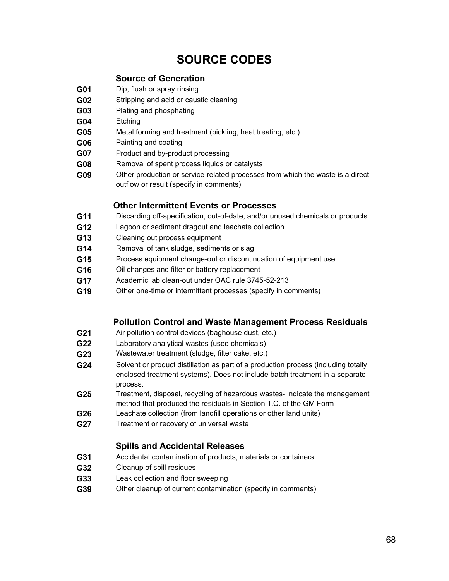# **SOURCE CODES**

# **Source of Generation**

- **G01** Dip, flush or spray rinsing
- **G02** Stripping and acid or caustic cleaning
- **G03** Plating and phosphating
- **G04** Etching
- **G05** Metal forming and treatment (pickling, heat treating, etc.)
- **G06** Painting and coating
- **G07** Product and by-product processing
- **G08** Removal of spent process liquids or catalysts
- **G09** Other production or service-related processes from which the waste is a direct outflow or result (specify in comments)

## **Other Intermittent Events or Processes**

- **G11** Discarding off-specification, out-of-date, and/or unused chemicals or products
- **G12** Lagoon or sediment dragout and leachate collection
- **G13** Cleaning out process equipment
- **G14** Removal of tank sludge, sediments or slag
- **G15** Process equipment change-out or discontinuation of equipment use
- **G16** Oil changes and filter or battery replacement
- **G17** Academic lab clean-out under OAC rule 3745-52-213
- **G19** Other one-time or intermittent processes (specify in comments)

# **Pollution Control and Waste Management Process Residuals**

- **G21** Air pollution control devices (baghouse dust, etc.)
- **G22** Laboratory analytical wastes (used chemicals)
- **G23** Wastewater treatment (sludge, filter cake, etc.)
- **G24** Solvent or product distillation as part of a production process (including totally enclosed treatment systems). Does not include batch treatment in a separate process.
- **G25** Treatment, disposal, recycling of hazardous wastes- indicate the management method that produced the residuals in Section 1.C. of the GM Form
- **G26** Leachate collection (from landfill operations or other land units)
- **G27** Treatment or recovery of universal waste

# **Spills and Accidental Releases**

- **G31** Accidental contamination of products, materials or containers
- **G32** Cleanup of spill residues
- **G33** Leak collection and floor sweeping
- **G39** Other cleanup of current contamination (specify in comments)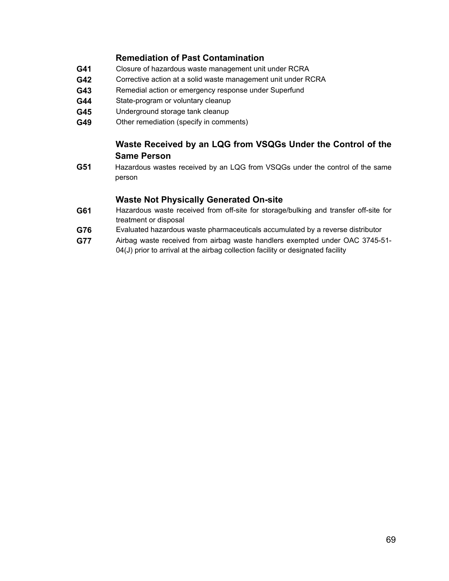# **Remediation of Past Contamination**

- **G41** Closure of hazardous waste management unit under RCRA
- **G42** Corrective action at a solid waste management unit under RCRA
- **G43** Remedial action or emergency response under Superfund
- **G44** State-program or voluntary cleanup
- **G45** Underground storage tank cleanup
- **G49** Other remediation (specify in comments)

# **Waste Received by an LQG from VSQGs Under the Control of the Same Person**

**G51** Hazardous wastes received by an LQG from VSQGs under the control of the same person

# **Waste Not Physically Generated On-site**

- **G61** Hazardous waste received from off-site for storage/bulking and transfer off-site for treatment or disposal
- **G76** Evaluated hazardous waste pharmaceuticals accumulated by a reverse distributor
- **G77** Airbag waste received from airbag waste handlers exempted under OAC 3745-51- 04(J) prior to arrival at the airbag collection facility or designated facility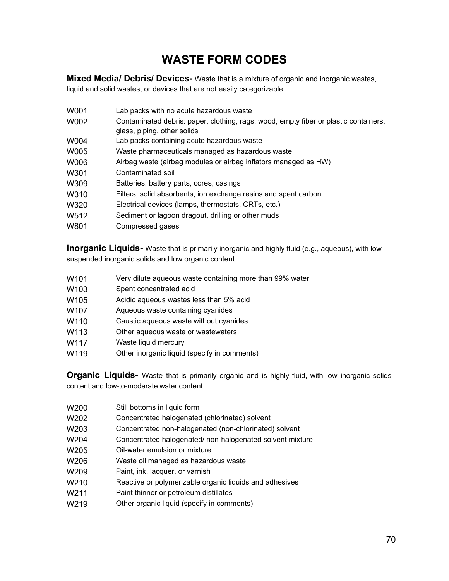# **WASTE FORM CODES**

<span id="page-69-0"></span>**Mixed Media/ Debris/ Devices-** Waste that is a mixture of organic and inorganic wastes, liquid and solid wastes, or devices that are not easily categorizable

| W001 | Lab packs with no acute hazardous waste                                              |
|------|--------------------------------------------------------------------------------------|
| W002 | Contaminated debris: paper, clothing, rags, wood, empty fiber or plastic containers, |
|      | glass, piping, other solids                                                          |
| W004 | Lab packs containing acute hazardous waste                                           |
| W005 | Waste pharmaceuticals managed as hazardous waste                                     |
| W006 | Airbag waste (airbag modules or airbag inflators managed as HW)                      |
| W301 | Contaminated soil                                                                    |
| W309 | Batteries, battery parts, cores, casings                                             |
| W310 | Filters, solid absorbents, ion exchange resins and spent carbon                      |
| W320 | Electrical devices (lamps, thermostats, CRTs, etc.)                                  |
| W512 | Sediment or lagoon dragout, drilling or other muds                                   |
| W801 | Compressed gases                                                                     |

**Inorganic Liquids-** Waste that is primarily inorganic and highly fluid (e.g., aqueous), with low suspended inorganic solids and low organic content

- W101 Very dilute aqueous waste containing more than 99% water
- W<sub>103</sub> Spent concentrated acid
- W105 Acidic aqueous wastes less than 5% acid
- W107 Aqueous waste containing cyanides
- W110 Caustic aqueous waste without cyanides
- W113 Other aqueous waste or wastewaters
- W<sub>117</sub> Waste liquid mercury
- W119 Other inorganic liquid (specify in comments)

**Organic Liquids-** Waste that is primarily organic and is highly fluid, with low inorganic solids content and low-to-moderate water content

- W<sub>200</sub> Still bottoms in liquid form
- W202 Concentrated halogenated (chlorinated) solvent
- W203 Concentrated non-halogenated (non-chlorinated) solvent
- W204 Concentrated halogenated/ non-halogenated solvent mixture
- W<sub>205</sub> Oil-water emulsion or mixture
- W206 Waste oil managed as hazardous waste
- W209 Paint, ink, lacquer, or varnish
- W<sub>210</sub> Reactive or polymerizable organic liquids and adhesives
- W211 Paint thinner or petroleum distillates
- W219 Other organic liquid (specify in comments)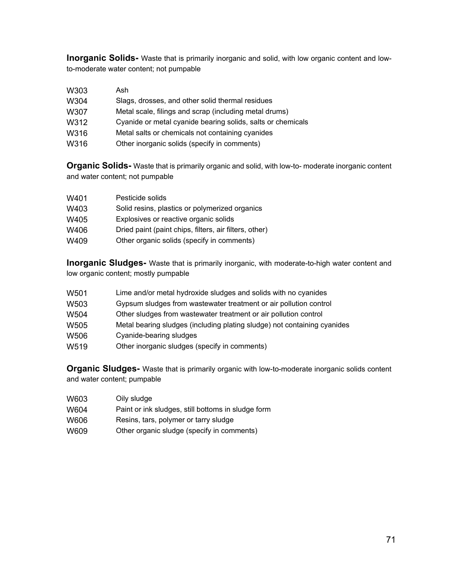**Inorganic Solids-** Waste that is primarily inorganic and solid, with low organic content and lowto-moderate water content; not pumpable

| W303 | Ash                                                         |
|------|-------------------------------------------------------------|
| W304 | Slags, drosses, and other solid thermal residues            |
| W307 | Metal scale, filings and scrap (including metal drums)      |
| W312 | Cyanide or metal cyanide bearing solids, salts or chemicals |
| W316 | Metal salts or chemicals not containing cyanides            |
| W316 | Other inorganic solids (specify in comments)                |

**Organic Solids-** Waste that is primarily organic and solid, with low-to- moderate inorganic content and water content; not pumpable

| W401 | Pesticide solids                                       |
|------|--------------------------------------------------------|
| W403 | Solid resins, plastics or polymerized organics         |
| W405 | Explosives or reactive organic solids                  |
| W406 | Dried paint (paint chips, filters, air filters, other) |
| W409 | Other organic solids (specify in comments)             |

**Inorganic Sludges-** Waste that is primarily inorganic, with moderate-to-high water content and low organic content; mostly pumpable

| W501 | Lime and/or metal hydroxide sludges and solids with no cyanides |
|------|-----------------------------------------------------------------|
|------|-----------------------------------------------------------------|

- W503 Gypsum sludges from wastewater treatment or air pollution control
- W504 Other sludges from wastewater treatment or air pollution control
- W505 Metal bearing sludges (including plating sludge) not containing cyanides
- W506 Cyanide-bearing sludges
- W519 Other inorganic sludges (specify in comments)

**Organic Sludges-** Waste that is primarily organic with low-to-moderate inorganic solids content and water content; pumpable

| W603 | Oily sludge                                        |
|------|----------------------------------------------------|
| W604 | Paint or ink sludges, still bottoms in sludge form |
| W606 | Resins, tars, polymer or tarry sludge              |
| W609 | Other organic sludge (specify in comments)         |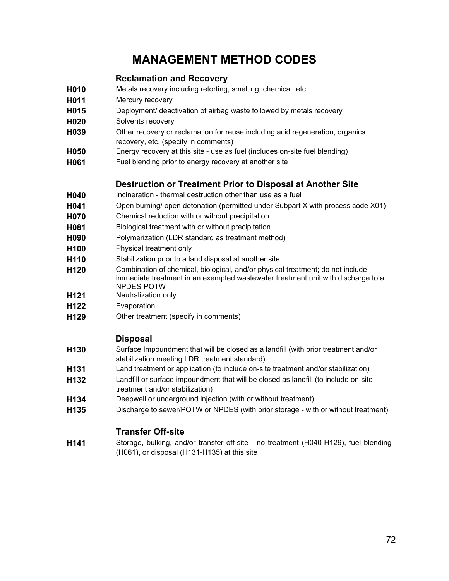# **MANAGEMENT METHOD CODES**

# **Reclamation and Recovery**

- <span id="page-71-0"></span>**H010** Metals recovery including retorting, smelting, chemical, etc.
- **H011** Mercury recovery
- **H015** Deployment/ deactivation of airbag waste followed by metals recovery
- **H020** Solvents recovery
- **H039** Other recovery or reclamation for reuse including acid regeneration, organics recovery, etc. (specify in comments)
- **H050** Energy recovery at this site use as fuel (includes on-site fuel blending)
- **H061** Fuel blending prior to energy recovery at another site

# **Destruction or Treatment Prior to Disposal at Another Site**

- **H040** Incineration thermal destruction other than use as a fuel
- **H041** Open burning/ open detonation (permitted under Subpart X with process code X01)
- **H070** Chemical reduction with or without precipitation
- **H081** Biological treatment with or without precipitation
- **H090** Polymerization (LDR standard as treatment method)
- **H100** Physical treatment only
- **H110** Stabilization prior to a land disposal at another site
- **H120** Combination of chemical, biological, and/or physical treatment; do not include immediate treatment in an exempted wastewater treatment unit with discharge to a NPDES‐POTW
- **H121** Neutralization only
- **H122** Evaporation
- **H129** Other treatment (specify in comments)

# **Disposal**

- **H130** Surface Impoundment that will be closed as a landfill (with prior treatment and/or stabilization meeting LDR treatment standard)
- **H131** Land treatment or application (to include on-site treatment and/or stabilization)
- **H132** Landfill or surface impoundment that will be closed as landfill (to include on-site treatment and/or stabilization)
- **H134** Deepwell or underground injection (with or without treatment)
- **H135** Discharge to sewer/POTW or NPDES (with prior storage with or without treatment)

# **Transfer Off-site**

**H141** Storage, bulking, and/or transfer off-site - no treatment (H040-H129), fuel blending (H061), or disposal (H131-H135) at this site